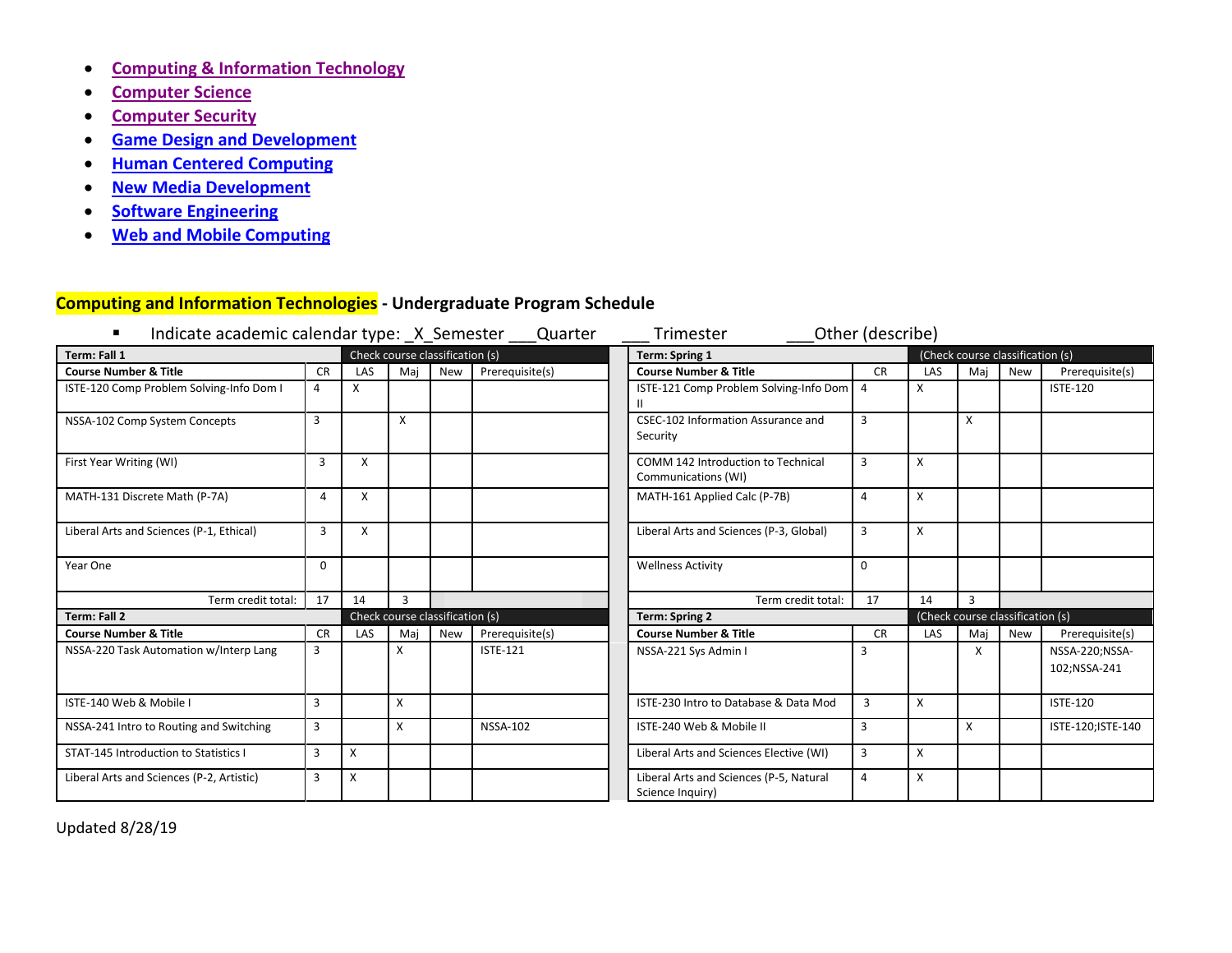- **[Computing & Information Technology](#page-0-0)**
- **[Computer Science](#page-4-0)**
- **[Computer Security](#page-9-0)**
- **[Game Design and Development](#page-12-0)**
- **[Human Centered Computing](#page-16-0)**
- **[New Media Development](#page-20-0)**
- **[Software Engineering](#page-24-0)**
- **[Web and Mobile Computing](#page-29-0)**

# <span id="page-0-0"></span>**Computing and Information Technologies - Undergraduate Program Schedule**

| Indicate academic calendar type: _X_Semester _ |                |     |                                 |            | Quarter         | Trimester                                                   | Other (describe) |     |                                  |            |                                |
|------------------------------------------------|----------------|-----|---------------------------------|------------|-----------------|-------------------------------------------------------------|------------------|-----|----------------------------------|------------|--------------------------------|
| Term: Fall 1                                   |                |     | Check course classification (s) |            |                 | Term: Spring 1                                              |                  |     | (Check course classification (s) |            |                                |
| <b>Course Number &amp; Title</b>               | <b>CR</b>      | LAS | Mai                             | <b>New</b> | Prerequisite(s) | <b>Course Number &amp; Title</b>                            | <b>CR</b>        | LAS | Maj                              | <b>New</b> | Prerequisite(s)                |
| ISTE-120 Comp Problem Solving-Info Dom I       | $\overline{4}$ | X   |                                 |            |                 | ISTE-121 Comp Problem Solving-Info Dom                      | 4                | X   |                                  |            | <b>ISTE-120</b>                |
| NSSA-102 Comp System Concepts                  | 3              |     | X                               |            |                 | CSEC-102 Information Assurance and<br>Security              | 3                |     | X                                |            |                                |
| First Year Writing (WI)                        | 3              | X   |                                 |            |                 | COMM 142 Introduction to Technical<br>Communications (WI)   | 3                | X   |                                  |            |                                |
| MATH-131 Discrete Math (P-7A)                  | 4              | X   |                                 |            |                 | MATH-161 Applied Calc (P-7B)                                | 4                | X   |                                  |            |                                |
| Liberal Arts and Sciences (P-1, Ethical)       | 3              | X   |                                 |            |                 | Liberal Arts and Sciences (P-3, Global)                     | 3                | x   |                                  |            |                                |
| Year One                                       | 0              |     |                                 |            |                 | <b>Wellness Activity</b>                                    | 0                |     |                                  |            |                                |
| Term credit total:                             | 17             | 14  | $\overline{3}$                  |            |                 | Term credit total:                                          | 17               | 14  | 3                                |            |                                |
| <b>Term: Fall 2</b>                            |                |     | Check course classification (s) |            |                 | <b>Term: Spring 2</b>                                       |                  |     | (Check course classification (s) |            |                                |
| <b>Course Number &amp; Title</b>               | <b>CR</b>      | LAS | Mai                             | <b>New</b> | Prerequisite(s) | <b>Course Number &amp; Title</b>                            | <b>CR</b>        | LAS | Maj                              | New        | Prerequisite(s)                |
| NSSA-220 Task Automation w/Interp Lang         | 3              |     | X                               |            | <b>ISTE-121</b> | NSSA-221 Sys Admin I                                        | 3                |     | x                                |            | NSSA-220;NSSA-<br>102;NSSA-241 |
|                                                |                |     |                                 |            |                 |                                                             |                  |     |                                  |            |                                |
| ISTE-140 Web & Mobile I                        | 3              |     | X                               |            |                 | ISTE-230 Intro to Database & Data Mod                       | 3                | X   |                                  |            | <b>ISTE-120</b>                |
| NSSA-241 Intro to Routing and Switching        | 3              |     | x                               |            | <b>NSSA-102</b> | ISTE-240 Web & Mobile II                                    | 3                |     | X                                |            | ISTE-120; ISTE-140             |
| STAT-145 Introduction to Statistics I          | 3              | X   |                                 |            |                 | Liberal Arts and Sciences Elective (WI)                     | 3                | X   |                                  |            |                                |
| Liberal Arts and Sciences (P-2, Artistic)      | 3              | X   |                                 |            |                 | Liberal Arts and Sciences (P-5, Natural<br>Science Inquiry) | 4                | X   |                                  |            |                                |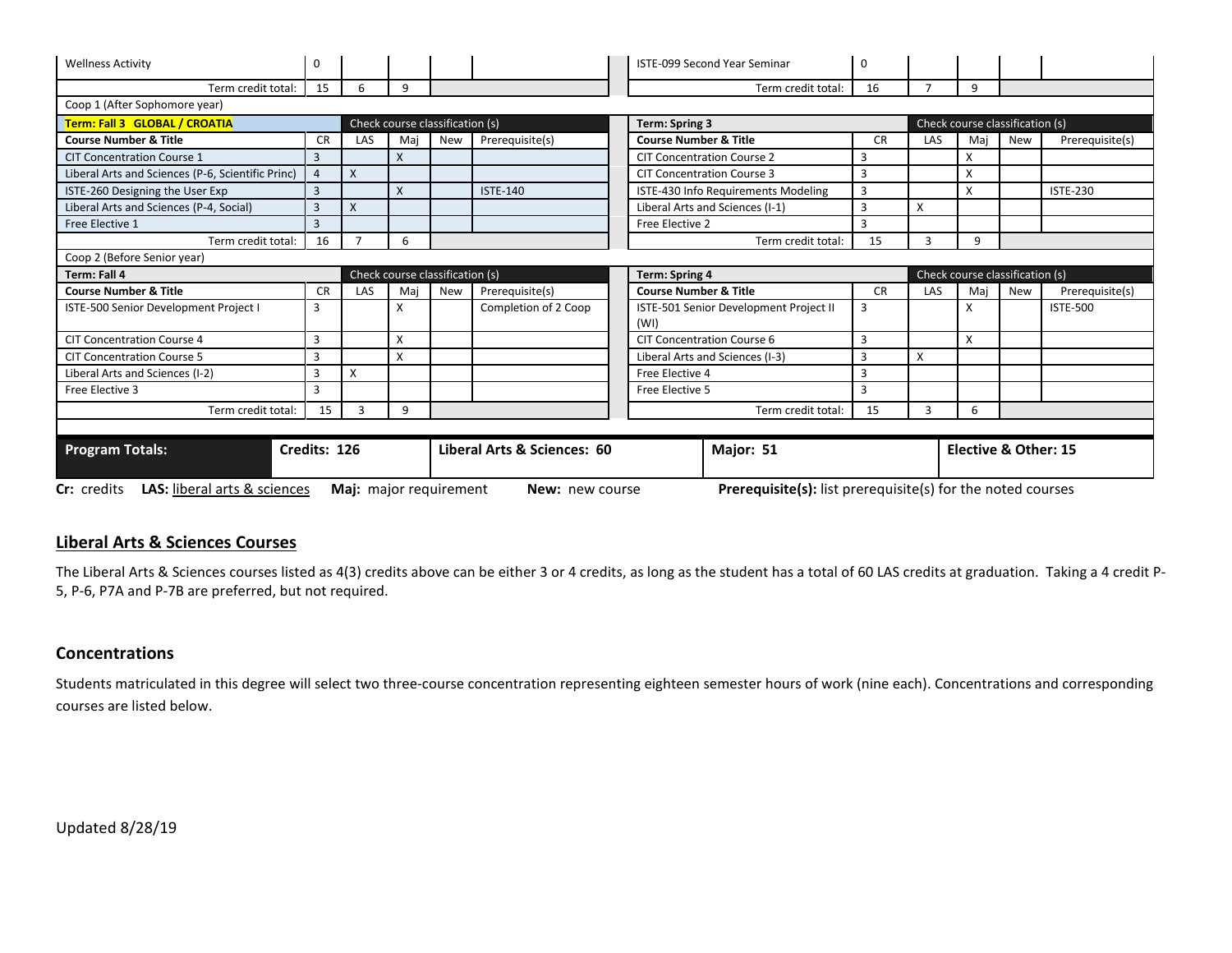| <b>Wellness Activity</b>                          | 0              |                                             |     |                                 |                      |  | <b>ISTE-099 Second Year Seminar</b>                                | 0         |            |                                 |            |                 |
|---------------------------------------------------|----------------|---------------------------------------------|-----|---------------------------------|----------------------|--|--------------------------------------------------------------------|-----------|------------|---------------------------------|------------|-----------------|
| Term credit total:                                | 15             | 6                                           | 9   |                                 |                      |  | Term credit total:                                                 | 16        |            | 9                               |            |                 |
| Coop 1 (After Sophomore year)                     |                |                                             |     |                                 |                      |  |                                                                    |           |            |                                 |            |                 |
| Term: Fall 3 GLOBAL / CROATIA                     |                |                                             |     | Check course classification (s) |                      |  | Term: Spring 3                                                     |           |            | Check course classification (s) |            |                 |
| <b>Course Number &amp; Title</b>                  | <b>CR</b>      | LAS                                         | Mai | <b>New</b>                      | Prerequisite(s)      |  | <b>Course Number &amp; Title</b>                                   | <b>CR</b> | <b>LAS</b> | Mai                             | <b>New</b> | Prerequisite(s) |
| <b>CIT Concentration Course 1</b>                 | 3              |                                             | X   |                                 |                      |  | <b>CIT Concentration Course 2</b>                                  | 3         |            | X                               |            |                 |
| Liberal Arts and Sciences (P-6, Scientific Princ) | $\overline{a}$ | X                                           |     |                                 |                      |  | <b>CIT Concentration Course 3</b>                                  | 3         |            | X                               |            |                 |
| ISTE-260 Designing the User Exp                   | 3              |                                             | X   |                                 | <b>ISTE-140</b>      |  | ISTE-430 Info Requirements Modeling                                | 3         |            | X                               |            | <b>ISTE-230</b> |
| Liberal Arts and Sciences (P-4, Social)           | 3              | X                                           |     |                                 |                      |  | Liberal Arts and Sciences (I-1)                                    | 3         | Χ          |                                 |            |                 |
| Free Elective 1                                   | 3              |                                             |     |                                 |                      |  | Free Elective 2                                                    | 3         |            |                                 |            |                 |
| Term credit total:                                | 16             |                                             | 6   |                                 |                      |  | Term credit total:                                                 | 15        | 3          | 9                               |            |                 |
| Coop 2 (Before Senior year)                       |                |                                             |     |                                 |                      |  |                                                                    |           |            |                                 |            |                 |
| Term: Fall 4                                      |                |                                             |     | Check course classification (s) |                      |  | <b>Term: Spring 4</b>                                              |           |            | Check course classification (s) |            |                 |
| <b>Course Number &amp; Title</b>                  | <b>CR</b>      | <b>LAS</b>                                  | Mai | <b>New</b>                      | Prerequisite(s)      |  | <b>Course Number &amp; Title</b>                                   | <b>CR</b> | LAS        | Mai                             | <b>New</b> | Prerequisite(s) |
| ISTE-500 Senior Development Project I             | 3              |                                             | X   |                                 | Completion of 2 Coop |  | ISTE-501 Senior Development Project II<br>(WI)                     | 3         |            | X                               |            | <b>ISTE-500</b> |
| <b>CIT Concentration Course 4</b>                 | 3              |                                             | X   |                                 |                      |  | <b>CIT Concentration Course 6</b>                                  | 3         |            | X                               |            |                 |
| <b>CIT Concentration Course 5</b>                 | 3              |                                             | X   |                                 |                      |  | Liberal Arts and Sciences (I-3)                                    | 3         | X          |                                 |            |                 |
| Liberal Arts and Sciences (I-2)                   | 3              | X                                           |     |                                 |                      |  | Free Elective 4                                                    | 3         |            |                                 |            |                 |
| Free Elective 3                                   | 3              |                                             |     |                                 |                      |  | Free Elective 5                                                    | 3         |            |                                 |            |                 |
| Term credit total:                                | 15             | $\mathbf{3}$                                | 9   |                                 |                      |  | Term credit total:                                                 | 15        | 3          | 6                               |            |                 |
|                                                   |                |                                             |     |                                 |                      |  |                                                                    |           |            |                                 |            |                 |
| <b>Program Totals:</b>                            |                | Credits: 126<br>Liberal Arts & Sciences: 60 |     |                                 |                      |  | Major: 51                                                          |           |            | Elective & Other: 15            |            |                 |
| LAS: liberal arts & sciences<br>Cr: credits       |                | Maj: major requirement                      |     |                                 | New: new course      |  | <b>Prerequisite(s):</b> list prerequisite(s) for the noted courses |           |            |                                 |            |                 |

### **Liberal Arts & Sciences Courses**

The Liberal Arts & Sciences courses listed as 4(3) credits above can be either 3 or 4 credits, as long as the student has a total of 60 LAS credits at graduation. Taking a 4 credit P-5, P-6, P7A and P-7B are preferred, but not required.

### **Concentrations**

Students matriculated in this degree will select two three-course concentration representing eighteen semester hours of work (nine each). Concentrations and corresponding courses are listed below.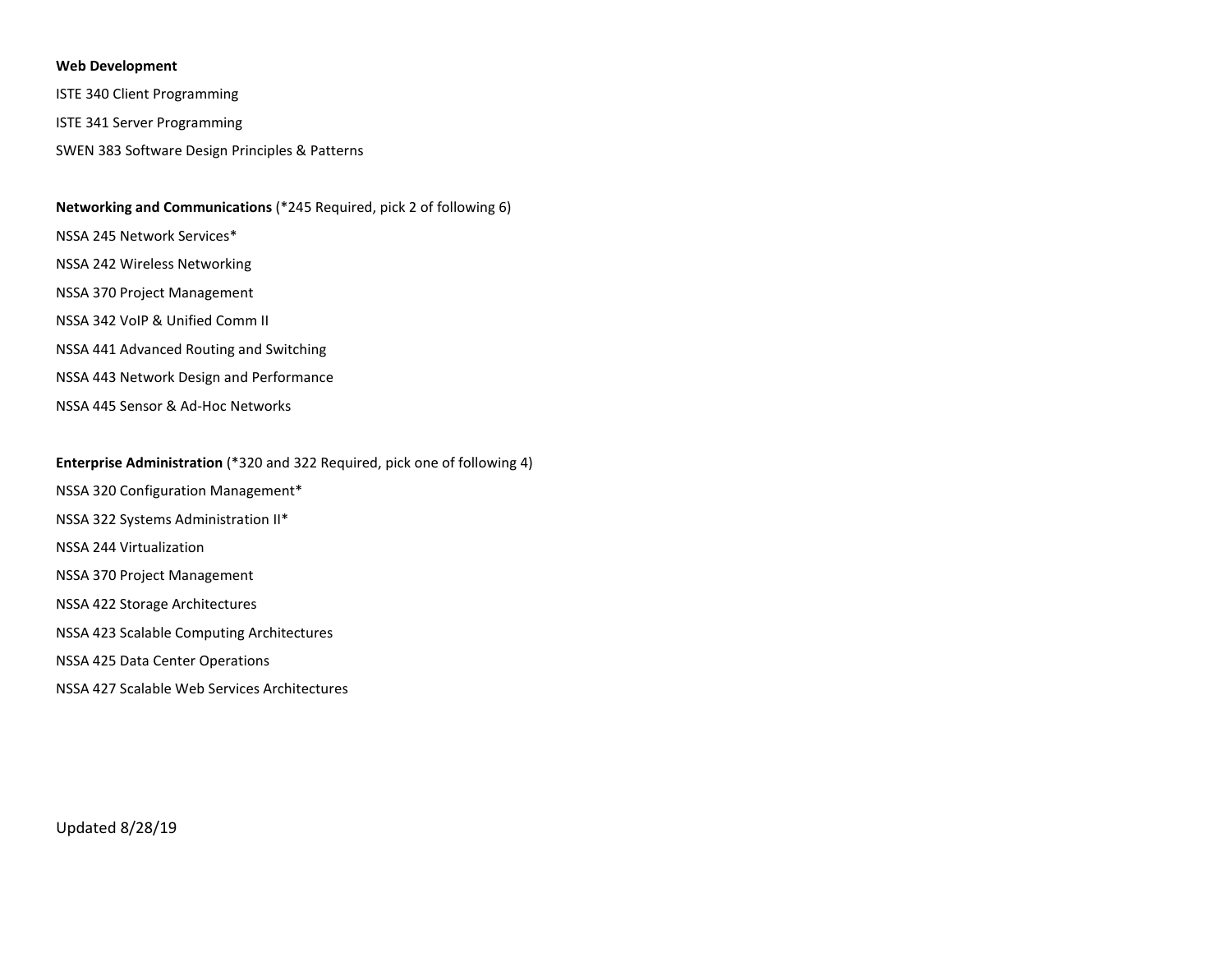#### **Web Development**

ISTE 340 Client Programming

ISTE 341 Server Programming

SWEN 383 Software Design Principles & Patterns

#### **Networking and Communications** (\*245 Required, pick 2 of following 6)

NSSA 245 Network Services\*

- NSSA 242 Wireless Networking
- NSSA 370 Project Management
- NSSA 342 VoIP & Unified Comm II
- NSSA 441 Advanced Routing and Switching
- NSSA 443 Network Design and Performance
- NSSA 445 Sensor & Ad-Hoc Networks

#### **Enterprise Administration** (\*320 and 322 Required, pick one of following 4)

- NSSA 320 Configuration Management\*
- NSSA 322 Systems Administration II\*

NSSA 244 Virtualization

- NSSA 370 Project Management
- NSSA 422 Storage Architectures
- NSSA 423 Scalable Computing Architectures
- NSSA 425 Data Center Operations
- NSSA 427 Scalable Web Services Architectures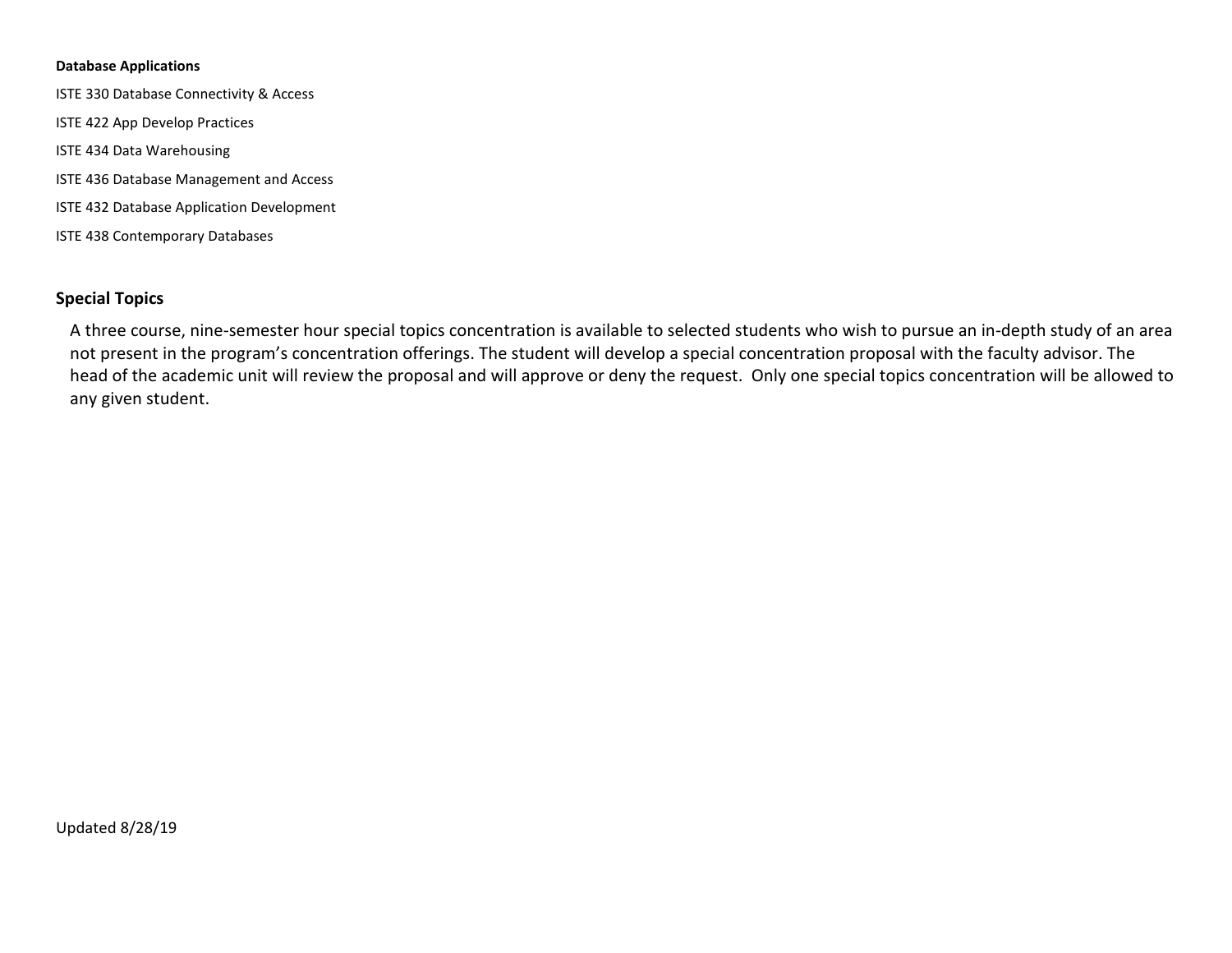#### **Database Applications**

ISTE 330 Database Connectivity & Access ISTE 422 App Develop Practices ISTE 434 Data Warehousing ISTE 436 Database Management and Access ISTE 432 Database Application Development ISTE 438 Contemporary Databases

# **Special Topics**

A three course, nine-semester hour special topics concentration is available to selected students who wish to pursue an in-depth study of an area not present in the program's concentration offerings. The student will develop a special concentration proposal with the faculty advisor. The head of the academic unit will review the proposal and will approve or deny the request. Only one special topics concentration will be allowed to any given student.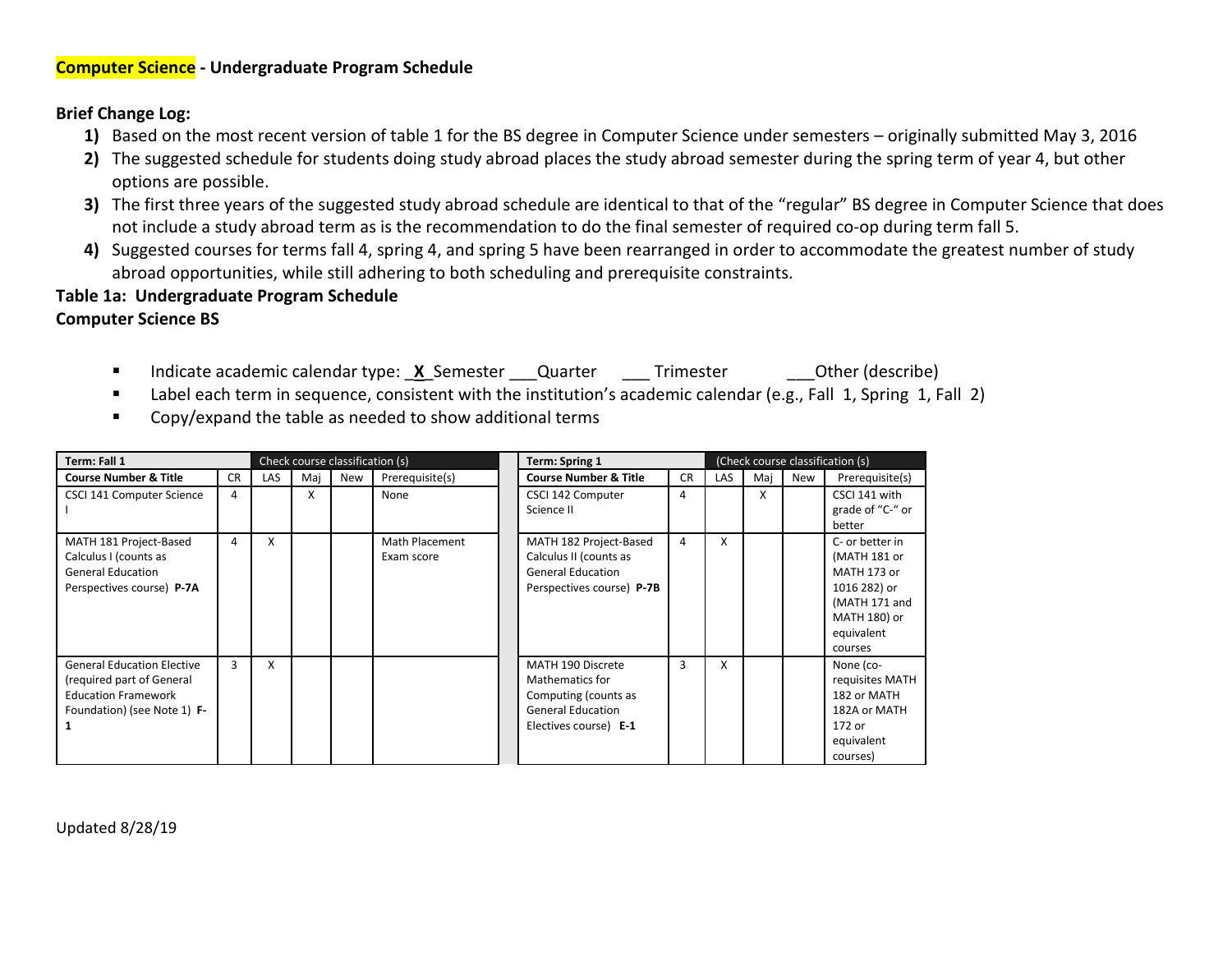# <span id="page-4-0"></span>**Computer Science - Undergraduate Program Schedule**

## **Brief Change Log:**

- **1)** Based on the most recent version of table 1 for the BS degree in Computer Science under semesters originally submitted May 3, 2016
- **2)** The suggested schedule for students doing study abroad places the study abroad semester during the spring term of year 4, but other options are possible.
- **3)** The first three years of the suggested study abroad schedule are identical to that of the "regular" BS degree in Computer Science that does not include a study abroad term as is the recommendation to do the final semester of required co-op during term fall 5.
- **4)** Suggested courses for terms fall 4, spring 4, and spring 5 have been rearranged in order to accommodate the greatest number of study abroad opportunities, while still adhering to both scheduling and prerequisite constraints.

# **Table 1a: Undergraduate Program Schedule**

# **Computer Science BS**

- Indicate academic calendar type: <u>X</u>\_Semester \_\_\_Quarter \_\_\_\_Trimester \_\_\_\_Other (describe)
- Label each term in sequence, consistent with the institution's academic calendar (e.g., Fall 1, Spring 1, Fall 2)
- Copy/expand the table as needed to show additional terms

| Term: Fall 1                                                                                                                |           |            |     | Check course classification (s) |                              | <b>Term: Spring 1</b>                                                                                             |           |            |     |     | (Check course classification (s)                                                                                         |
|-----------------------------------------------------------------------------------------------------------------------------|-----------|------------|-----|---------------------------------|------------------------------|-------------------------------------------------------------------------------------------------------------------|-----------|------------|-----|-----|--------------------------------------------------------------------------------------------------------------------------|
| <b>Course Number &amp; Title</b>                                                                                            | <b>CR</b> | <b>LAS</b> | Maj | New                             | Prerequisite(s)              | <b>Course Number &amp; Title</b>                                                                                  | <b>CR</b> | <b>LAS</b> | Maj | New | Prerequisite(s)                                                                                                          |
| CSCI 141 Computer Science                                                                                                   | 4         |            | X   |                                 | None                         | CSCI 142 Computer<br>Science II                                                                                   | 4         |            | x   |     | CSCI 141 with<br>grade of "C-" or<br>better                                                                              |
| MATH 181 Project-Based<br>Calculus I (counts as<br><b>General Education</b><br>Perspectives course) P-7A                    | 4         | X          |     |                                 | Math Placement<br>Exam score | MATH 182 Project-Based<br>Calculus II (counts as<br><b>General Education</b><br>Perspectives course) P-7B         | 4         | X          |     |     | C- or better in<br>(MATH 181 or<br>MATH 173 or<br>1016 282) or<br>(MATH 171 and<br>MATH 180) or<br>equivalent<br>courses |
| <b>General Education Elective</b><br>(required part of General<br><b>Education Framework</b><br>Foundation) (see Note 1) F- | 3         | X          |     |                                 |                              | MATH 190 Discrete<br>Mathematics for<br>Computing (counts as<br><b>General Education</b><br>Electives course) E-1 | 3         | x          |     |     | None (co-<br>requisites MATH<br>182 or MATH<br>182A or MATH<br>172 or<br>equivalent<br>courses)                          |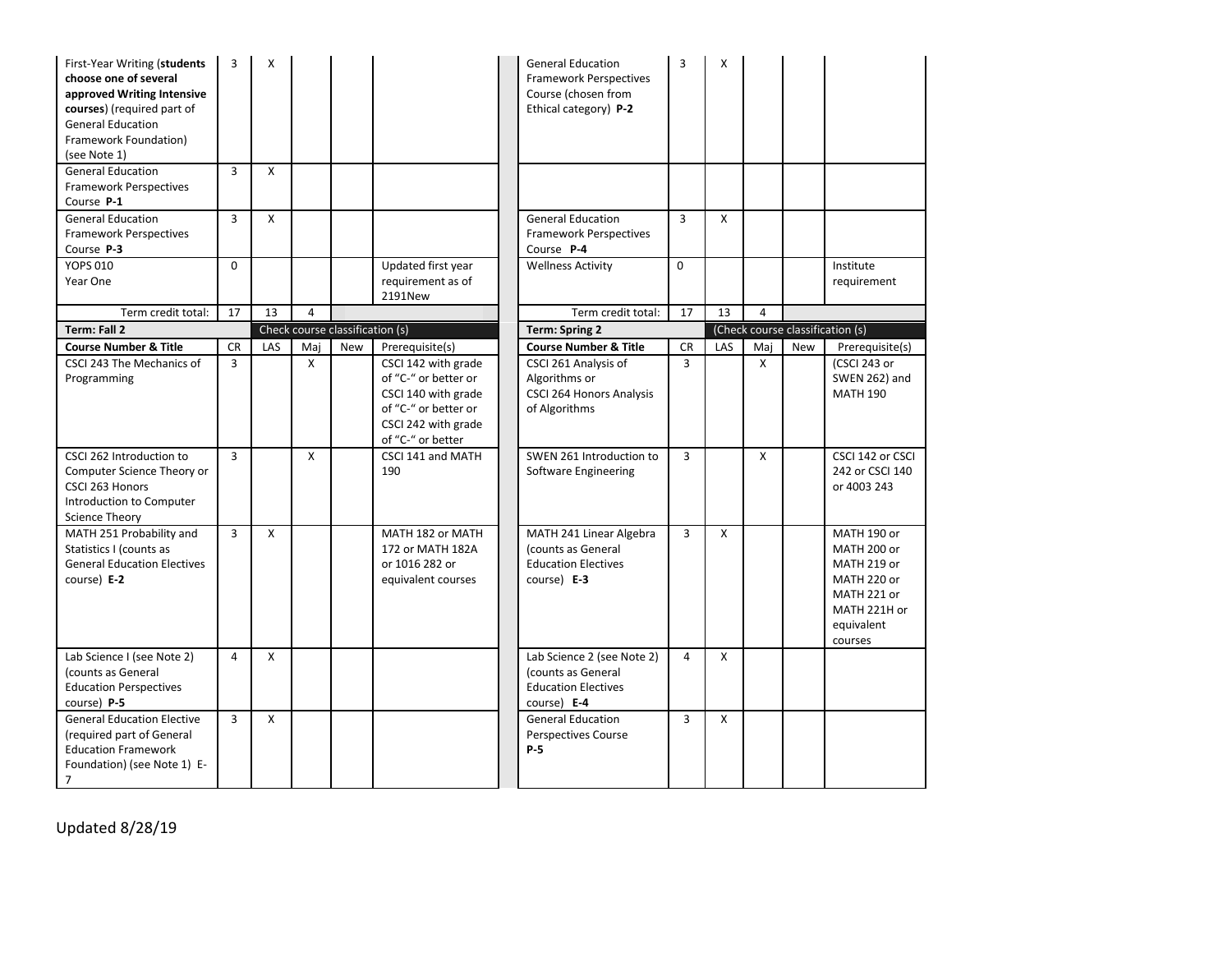| First-Year Writing (students<br>choose one of several<br>approved Writing Intensive<br>courses) (required part of<br><b>General Education</b><br>Framework Foundation)<br>(see Note 1) | 3              | X            |          |                                 |                                                                                                                                                           | <b>General Education</b><br><b>Framework Perspectives</b><br>Course (chosen from<br>Ethical category) P-2                     | 3                           | X                         |                |            |                                                                                                                  |
|----------------------------------------------------------------------------------------------------------------------------------------------------------------------------------------|----------------|--------------|----------|---------------------------------|-----------------------------------------------------------------------------------------------------------------------------------------------------------|-------------------------------------------------------------------------------------------------------------------------------|-----------------------------|---------------------------|----------------|------------|------------------------------------------------------------------------------------------------------------------|
| <b>General Education</b><br><b>Framework Perspectives</b><br>Course P-1                                                                                                                | 3              | X            |          |                                 |                                                                                                                                                           |                                                                                                                               |                             |                           |                |            |                                                                                                                  |
| <b>General Education</b><br><b>Framework Perspectives</b><br>Course P-3                                                                                                                | 3              | X            |          |                                 |                                                                                                                                                           | <b>General Education</b><br>Framework Perspectives<br>Course P-4                                                              | 3                           | $\boldsymbol{\mathsf{x}}$ |                |            |                                                                                                                  |
| <b>YOPS 010</b><br>Year One                                                                                                                                                            | 0              |              |          |                                 | Updated first year<br>requirement as of<br>2191New                                                                                                        | <b>Wellness Activity</b>                                                                                                      | 0                           |                           |                |            | Institute<br>requirement                                                                                         |
| Term credit total:                                                                                                                                                                     | 17             | 13           | $\Delta$ |                                 |                                                                                                                                                           | Term credit total:                                                                                                            | 17                          | 13                        | $\overline{a}$ |            |                                                                                                                  |
| Term: Fall 2                                                                                                                                                                           |                |              |          | Check course classification (s) |                                                                                                                                                           | <b>Term: Spring 2</b>                                                                                                         |                             |                           |                |            | (Check course classification (s)                                                                                 |
| <b>Course Number &amp; Title</b><br>CSCI 243 The Mechanics of<br>Programming                                                                                                           | <b>CR</b><br>3 | LAS          | Maj<br>X | <b>New</b>                      | Prerequisite(s)<br>CSCI 142 with grade<br>of "C-" or better or<br>CSCI 140 with grade<br>of "C-" or better or<br>CSCI 242 with grade<br>of "C-" or better | <b>Course Number &amp; Title</b><br>CSCI 261 Analysis of<br>Algorithms or<br><b>CSCI 264 Honors Analysis</b><br>of Algorithms | <b>CR</b><br>$\overline{3}$ | LAS                       | Mai<br>X       | <b>New</b> | Prerequisite(s)<br>(CSCI 243 or<br><b>SWEN 262) and</b><br><b>MATH 190</b>                                       |
| CSCI 262 Introduction to<br>Computer Science Theory or<br>CSCI 263 Honors<br>Introduction to Computer<br><b>Science Theory</b>                                                         | 3              |              | X        |                                 | CSCI 141 and MATH<br>190                                                                                                                                  | SWEN 261 Introduction to<br>Software Engineering                                                                              | 3                           |                           | X              |            | CSCI 142 or CSCI<br>242 or CSCI 140<br>or 4003 243                                                               |
| MATH 251 Probability and<br>Statistics I (counts as<br><b>General Education Electives</b><br>course) E-2                                                                               | $\overline{3}$ | $\mathsf{x}$ |          |                                 | MATH 182 or MATH<br>172 or MATH 182A<br>or 1016 282 or<br>equivalent courses                                                                              | MATH 241 Linear Algebra<br>(counts as General<br><b>Education Electives</b><br>course) E-3                                    | $\overline{3}$              | $\mathsf{x}$              |                |            | MATH 190 or<br>MATH 200 or<br>MATH 219 or<br>MATH 220 or<br>MATH 221 or<br>MATH 221H or<br>equivalent<br>courses |
| Lab Science I (see Note 2)<br>(counts as General<br><b>Education Perspectives</b><br>course) P-5                                                                                       | 4              | X            |          |                                 |                                                                                                                                                           | Lab Science 2 (see Note 2)<br>(counts as General<br><b>Education Electives</b><br>course) E-4                                 | 4                           | X                         |                |            |                                                                                                                  |
| <b>General Education Elective</b><br>(required part of General<br><b>Education Framework</b><br>Foundation) (see Note 1) E-<br>7                                                       | 3              | $\mathsf{x}$ |          |                                 |                                                                                                                                                           | <b>General Education</b><br><b>Perspectives Course</b><br><b>P-5</b>                                                          | 3                           | $\mathsf{x}$              |                |            |                                                                                                                  |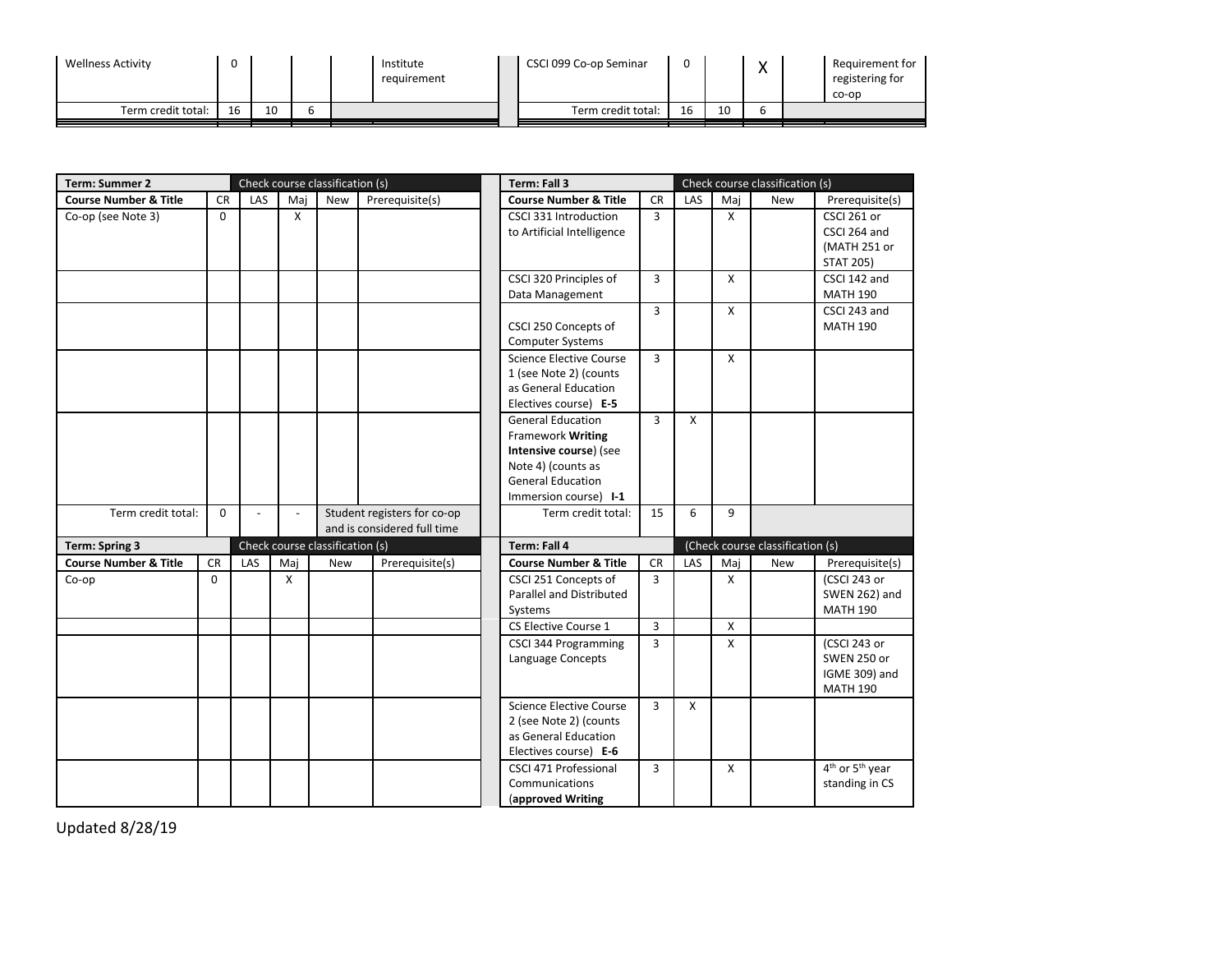| <b>Wellness Activity</b> |    |    |  | Institute<br>requirement | CSCI 099 Co-op Seminar | ◠<br>υ |    |  | Requirement for<br>registering for<br>co-op |
|--------------------------|----|----|--|--------------------------|------------------------|--------|----|--|---------------------------------------------|
| Term credit total:       | 16 | 10 |  |                          | Term credit total:     | 16     | 10 |  |                                             |

| <b>Term: Summer 2</b>            |             |        |                | Check course classification (s) |                                                            | Term: Fall 3                                                                                                                                              |                |              |              | Check course classification (s)  |                                                                        |
|----------------------------------|-------------|--------|----------------|---------------------------------|------------------------------------------------------------|-----------------------------------------------------------------------------------------------------------------------------------------------------------|----------------|--------------|--------------|----------------------------------|------------------------------------------------------------------------|
| <b>Course Number &amp; Title</b> | <b>CR</b>   | LAS    | Maj            | New                             | Prerequisite(s)                                            | <b>Course Number &amp; Title</b>                                                                                                                          | <b>CR</b>      | LAS          | Maj          | New                              | Prerequisite(s)                                                        |
| Co-op (see Note 3)               | $\Omega$    |        | $\mathsf{X}$   |                                 |                                                            | CSCI 331 Introduction<br>to Artificial Intelligence                                                                                                       | $\overline{3}$ |              | X            |                                  | CSCI 261 or<br>CSCI 264 and<br>(MATH 251 or<br><b>STAT 205)</b>        |
|                                  |             |        |                |                                 |                                                            | CSCI 320 Principles of<br>Data Management                                                                                                                 | 3              |              | $\mathsf{X}$ |                                  | CSCI 142 and<br><b>MATH 190</b>                                        |
|                                  |             |        |                |                                 |                                                            | CSCI 250 Concepts of<br><b>Computer Systems</b>                                                                                                           | $\overline{3}$ |              | X            |                                  | CSCI 243 and<br><b>MATH 190</b>                                        |
|                                  |             |        |                |                                 |                                                            | Science Elective Course<br>1 (see Note 2) (counts<br>as General Education<br>Electives course) E-5                                                        | 3              |              | X            |                                  |                                                                        |
|                                  |             |        |                |                                 |                                                            | <b>General Education</b><br><b>Framework Writing</b><br>Intensive course) (see<br>Note 4) (counts as<br><b>General Education</b><br>Immersion course) I-1 | $\overline{3}$ | $\mathsf{x}$ |              |                                  |                                                                        |
| Term credit total:               | $\mathbf 0$ | $\sim$ | $\overline{a}$ |                                 | Student registers for co-op<br>and is considered full time | Term credit total:                                                                                                                                        | 15             | 6            | 9            |                                  |                                                                        |
| <b>Term: Spring 3</b>            |             |        |                | Check course classification (s) |                                                            | Term: Fall 4                                                                                                                                              |                |              |              | (Check course classification (s) |                                                                        |
| <b>Course Number &amp; Title</b> | <b>CR</b>   | LAS    | Maj            | <b>New</b>                      | Prerequisite(s)                                            | <b>Course Number &amp; Title</b>                                                                                                                          | <b>CR</b>      | LAS          | Maj          | New                              | Prerequisite(s)                                                        |
| Co-op                            | 0           |        | X              |                                 |                                                            | CSCI 251 Concepts of<br>Parallel and Distributed<br>Systems                                                                                               | 3              |              | X            |                                  | (CSCI 243 or<br>SWEN 262) and<br><b>MATH 190</b>                       |
|                                  |             |        |                |                                 |                                                            | CS Elective Course 1                                                                                                                                      | 3              |              | X            |                                  |                                                                        |
|                                  |             |        |                |                                 |                                                            | <b>CSCI 344 Programming</b><br>Language Concepts                                                                                                          | 3              |              | X            |                                  | (CSCI 243 or<br><b>SWEN 250 or</b><br>IGME 309) and<br><b>MATH 190</b> |
|                                  |             |        |                |                                 |                                                            | Science Elective Course<br>2 (see Note 2) (counts<br>as General Education<br>Electives course) E-6                                                        | 3              | $\mathsf{x}$ |              |                                  |                                                                        |
|                                  |             |        |                |                                 |                                                            | CSCI 471 Professional<br>Communications<br>(approved Writing                                                                                              | 3              |              | X            |                                  | 4 <sup>th</sup> or 5 <sup>th</sup> year<br>standing in CS              |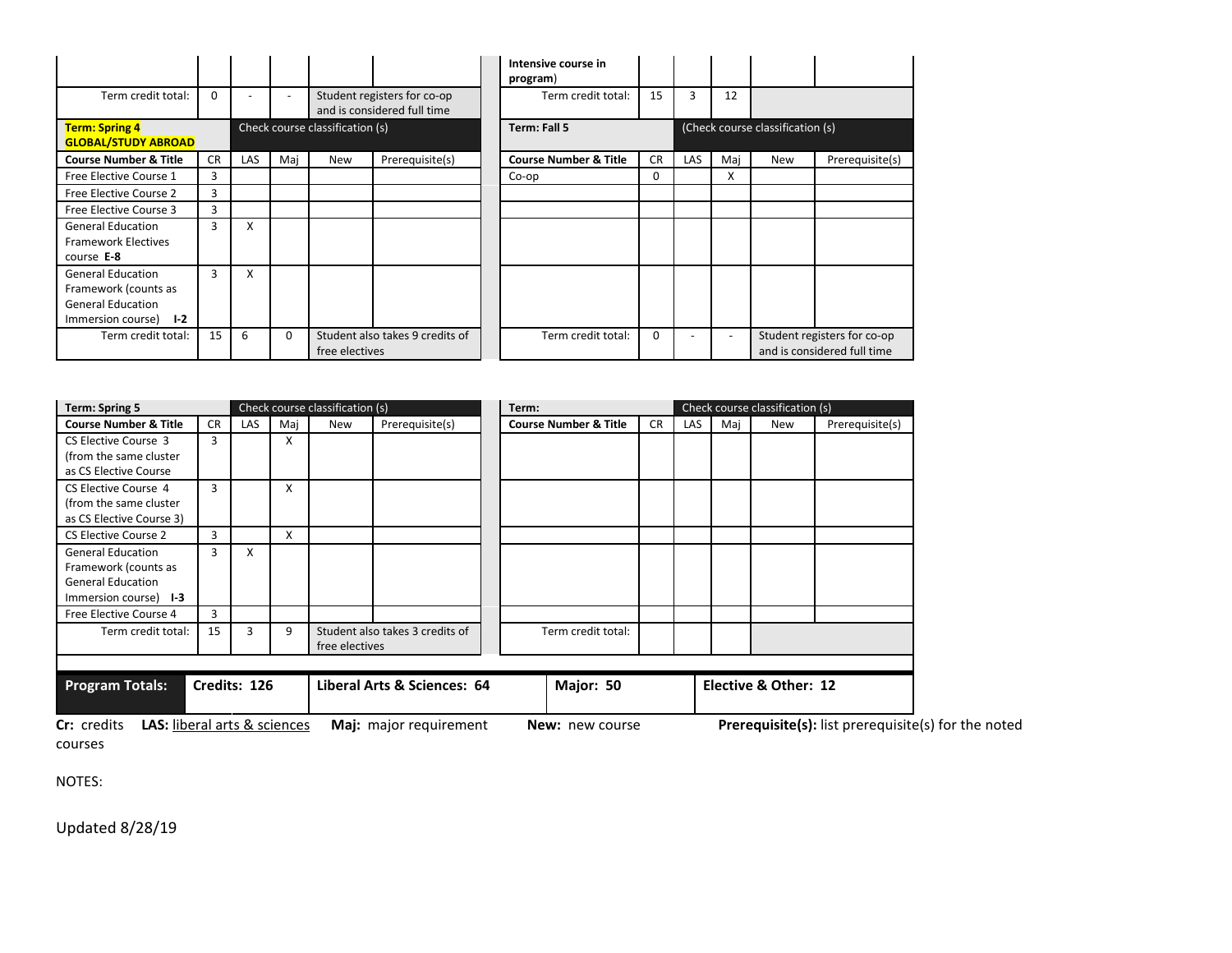|                                                                                                                     |           |                          |                          |                                 |                                                            | Intensive course in<br>program)  |           |            |     |                                  |                                                            |
|---------------------------------------------------------------------------------------------------------------------|-----------|--------------------------|--------------------------|---------------------------------|------------------------------------------------------------|----------------------------------|-----------|------------|-----|----------------------------------|------------------------------------------------------------|
| Term credit total:                                                                                                  | 0         | $\overline{\phantom{a}}$ | $\overline{\phantom{a}}$ |                                 | Student registers for co-op<br>and is considered full time | Term credit total:               | 15        | 3          | 12  |                                  |                                                            |
| <b>Term: Spring 4</b><br><b>GLOBAL/STUDY ABROAD</b>                                                                 |           |                          |                          | Check course classification (s) |                                                            | <b>Term: Fall 5</b>              |           |            |     | (Check course classification (s) |                                                            |
| <b>Course Number &amp; Title</b>                                                                                    | <b>CR</b> | <b>LAS</b>               | Maj                      | New                             | Prerequisite(s)                                            | <b>Course Number &amp; Title</b> | <b>CR</b> | <b>LAS</b> | Mai | New                              | Prerequisite(s)                                            |
| Free Elective Course 1                                                                                              | 3         |                          |                          |                                 |                                                            | Co-op                            | 0         |            | X   |                                  |                                                            |
| Free Elective Course 2                                                                                              | 3         |                          |                          |                                 |                                                            |                                  |           |            |     |                                  |                                                            |
| Free Elective Course 3                                                                                              | 3         |                          |                          |                                 |                                                            |                                  |           |            |     |                                  |                                                            |
| <b>General Education</b><br><b>Framework Electives</b><br>course $E-8$                                              | 3         | X                        |                          |                                 |                                                            |                                  |           |            |     |                                  |                                                            |
| <b>General Education</b><br>Framework (counts as<br><b>General Education</b><br>Immersion course)<br>L <sub>2</sub> | 3         | x                        |                          |                                 |                                                            |                                  |           |            |     |                                  |                                                            |
| Term credit total:                                                                                                  | 15        | 6                        | $\Omega$                 | free electives                  | Student also takes 9 credits of                            | Term credit total:               | $\Omega$  |            |     |                                  | Student registers for co-op<br>and is considered full time |

| <b>Term: Spring 5</b>                                                 |           |            |     | Check course classification (s) |                                 | Term:                            |           | Check course classification (s) |     |                      |                                           |
|-----------------------------------------------------------------------|-----------|------------|-----|---------------------------------|---------------------------------|----------------------------------|-----------|---------------------------------|-----|----------------------|-------------------------------------------|
| <b>Course Number &amp; Title</b>                                      | <b>CR</b> | <b>LAS</b> | Maj | New                             | Prerequisite(s)                 | <b>Course Number &amp; Title</b> | <b>CR</b> | <b>LAS</b>                      | Mai | <b>New</b>           | Prerequisite(s)                           |
| CS Elective Course 3                                                  | 3         |            | X   |                                 |                                 |                                  |           |                                 |     |                      |                                           |
| (from the same cluster                                                |           |            |     |                                 |                                 |                                  |           |                                 |     |                      |                                           |
| as CS Elective Course                                                 |           |            |     |                                 |                                 |                                  |           |                                 |     |                      |                                           |
| CS Elective Course 4                                                  | 3         |            | x   |                                 |                                 |                                  |           |                                 |     |                      |                                           |
| (from the same cluster                                                |           |            |     |                                 |                                 |                                  |           |                                 |     |                      |                                           |
| as CS Elective Course 3)                                              |           |            |     |                                 |                                 |                                  |           |                                 |     |                      |                                           |
| CS Elective Course 2                                                  | 3         |            | X   |                                 |                                 |                                  |           |                                 |     |                      |                                           |
| <b>General Education</b>                                              | 3         | X          |     |                                 |                                 |                                  |           |                                 |     |                      |                                           |
| Framework (counts as                                                  |           |            |     |                                 |                                 |                                  |           |                                 |     |                      |                                           |
| <b>General Education</b>                                              |           |            |     |                                 |                                 |                                  |           |                                 |     |                      |                                           |
| Immersion course) 1-3                                                 |           |            |     |                                 |                                 |                                  |           |                                 |     |                      |                                           |
| Free Elective Course 4                                                | 3         |            |     |                                 |                                 |                                  |           |                                 |     |                      |                                           |
| Term credit total:                                                    | 15        | 3          | 9   |                                 | Student also takes 3 credits of | Term credit total:               |           |                                 |     |                      |                                           |
|                                                                       |           |            |     | free electives                  |                                 |                                  |           |                                 |     |                      |                                           |
|                                                                       |           |            |     |                                 |                                 |                                  |           |                                 |     |                      |                                           |
| Liberal Arts & Sciences: 64<br><b>Program Totals:</b><br>Credits: 126 |           |            |     |                                 |                                 | Major: 50                        |           |                                 |     | Elective & Other: 12 |                                           |
| <b>LAS</b> liberal arts <i>8. sciences</i><br>$C_{r}$ cradite         |           |            |     |                                 | Mai: maior requirement          | Now now course                   |           |                                 |     |                      | <b>Draroquicitals</b> list proroquisitals |

**Cr:** credits **LAS:** liberal arts & sciences **Maj:** major requirement **New:** new course **Prerequisite(s):** list prerequisite(s) for the noted courses

NOTES: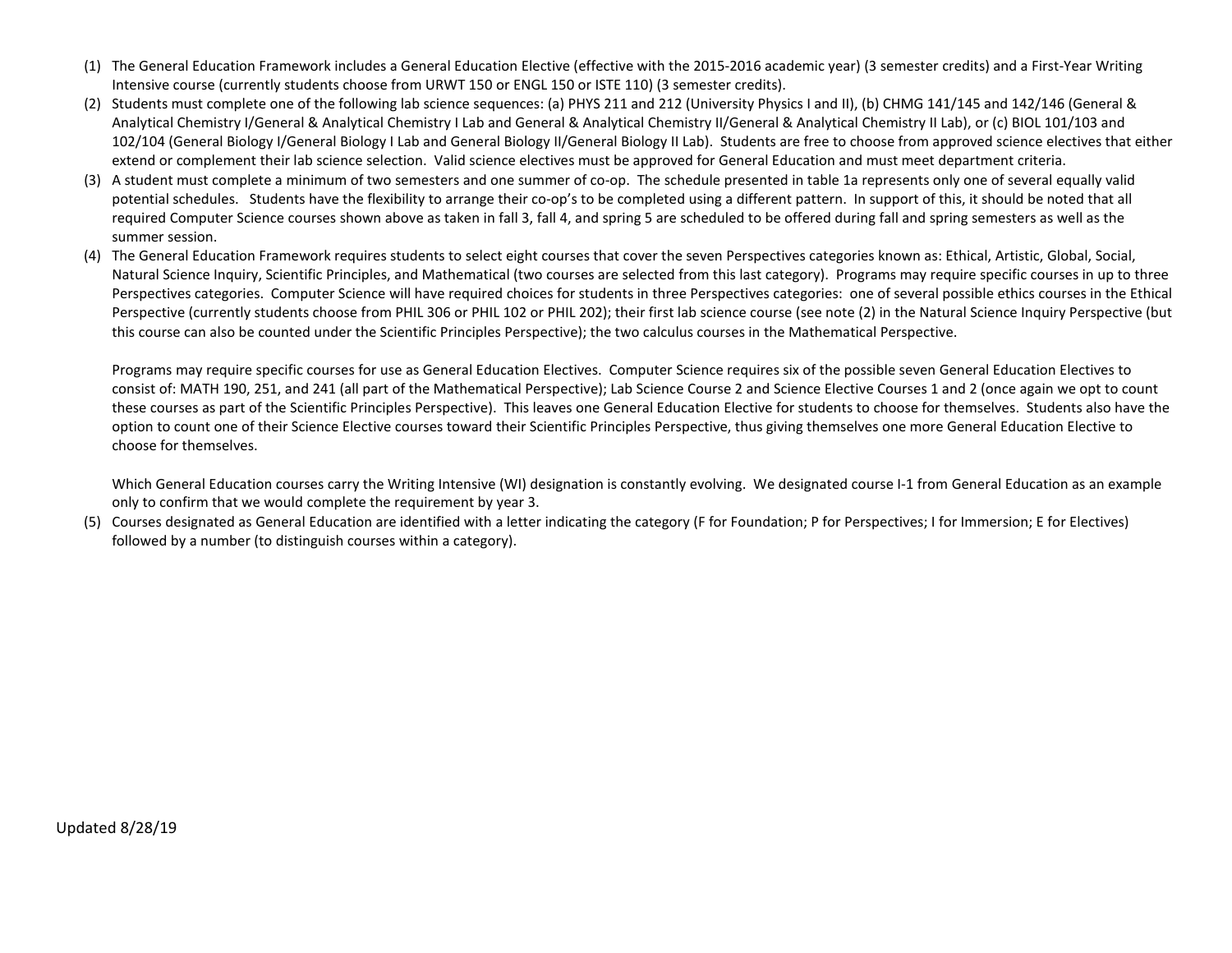- (1) The General Education Framework includes a General Education Elective (effective with the 2015-2016 academic year) (3 semester credits) and a First-Year Writing Intensive course (currently students choose from URWT 150 or ENGL 150 or ISTE 110) (3 semester credits).
- (2) Students must complete one of the following lab science sequences: (a) PHYS 211 and 212 (University Physics I and II), (b) CHMG 141/145 and 142/146 (General & Analytical Chemistry I/General & Analytical Chemistry I Lab and General & Analytical Chemistry II/General & Analytical Chemistry II Lab), or (c) BIOL 101/103 and 102/104 (General Biology I/General Biology I Lab and General Biology II/General Biology II Lab). Students are free to choose from approved science electives that either extend or complement their lab science selection. Valid science electives must be approved for General Education and must meet department criteria.
- (3) A student must complete a minimum of two semesters and one summer of co-op. The schedule presented in table 1a represents only one of several equally valid potential schedules. Students have the flexibility to arrange their co-op's to be completed using a different pattern. In support of this, it should be noted that all required Computer Science courses shown above as taken in fall 3, fall 4, and spring 5 are scheduled to be offered during fall and spring semesters as well as the summer session.
- (4) The General Education Framework requires students to select eight courses that cover the seven Perspectives categories known as: Ethical, Artistic, Global, Social, Natural Science Inquiry, Scientific Principles, and Mathematical (two courses are selected from this last category). Programs may require specific courses in up to three Perspectives categories. Computer Science will have required choices for students in three Perspectives categories: one of several possible ethics courses in the Ethical Perspective (currently students choose from PHIL 306 or PHIL 102 or PHIL 202); their first lab science course (see note (2) in the Natural Science Inquiry Perspective (but this course can also be counted under the Scientific Principles Perspective); the two calculus courses in the Mathematical Perspective.

Programs may require specific courses for use as General Education Electives. Computer Science requires six of the possible seven General Education Electives to consist of: MATH 190, 251, and 241 (all part of the Mathematical Perspective); Lab Science Course 2 and Science Elective Courses 1 and 2 (once again we opt to count these courses as part of the Scientific Principles Perspective). This leaves one General Education Elective for students to choose for themselves. Students also have the option to count one of their Science Elective courses toward their Scientific Principles Perspective, thus giving themselves one more General Education Elective to choose for themselves.

Which General Education courses carry the Writing Intensive (WI) designation is constantly evolving. We designated course I-1 from General Education as an example only to confirm that we would complete the requirement by year 3.

(5) Courses designated as General Education are identified with a letter indicating the category (F for Foundation; P for Perspectives; I for Immersion; E for Electives) followed by a number (to distinguish courses within a category).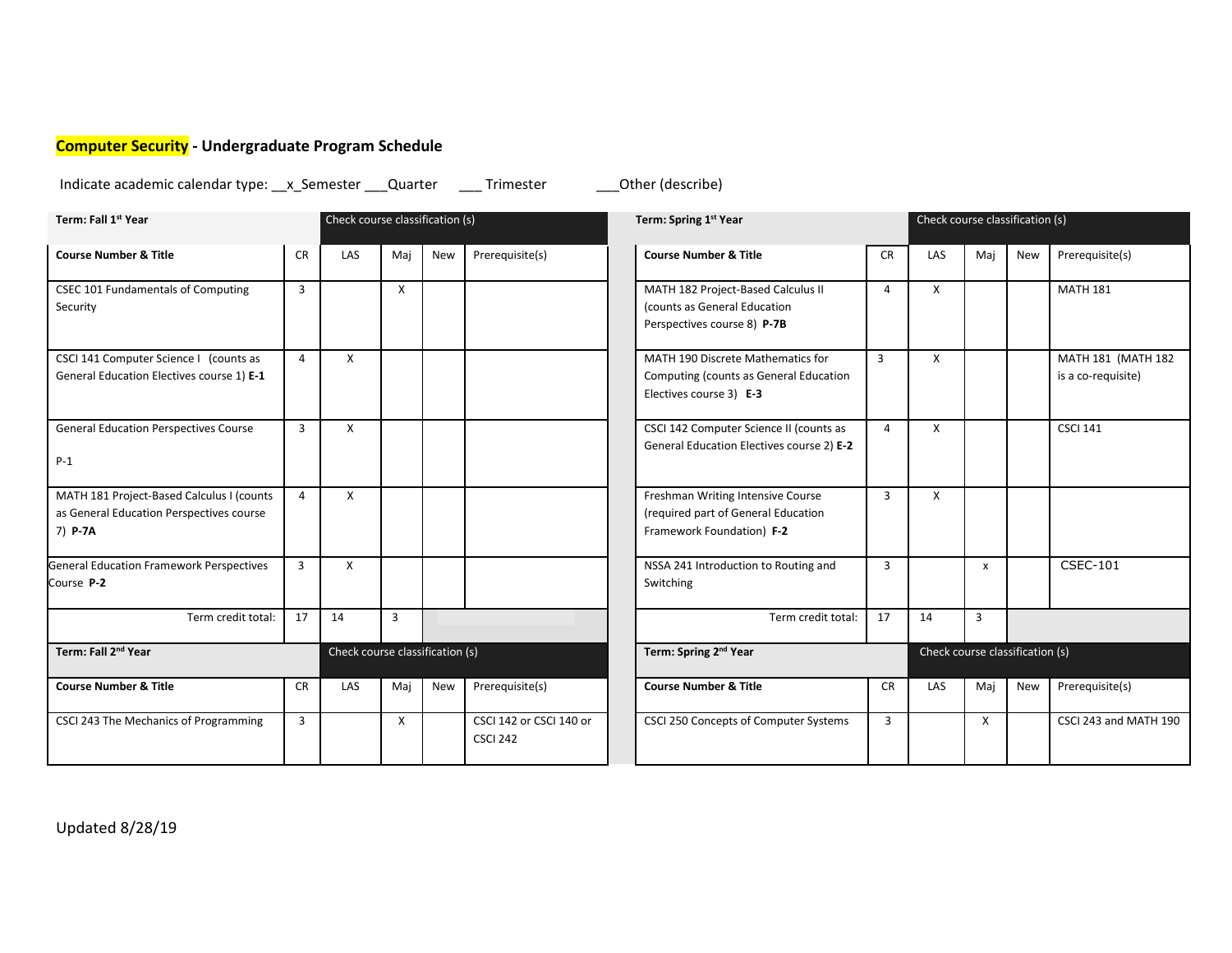# <span id="page-9-0"></span>**Computer Security - Undergraduate Program Schedule**

Indicate academic calendar type: \_\_x\_Semester \_\_\_Quarter \_\_\_\_ Trimester \_\_\_\_\_\_Other (describe)

| Term: Fall 1st Year                                                                              |                | Check course classification (s) |     |            |                                            | Term: Spring 1st Year                                                                                  |                | Check course classification (s) |                                 |            |                                          |
|--------------------------------------------------------------------------------------------------|----------------|---------------------------------|-----|------------|--------------------------------------------|--------------------------------------------------------------------------------------------------------|----------------|---------------------------------|---------------------------------|------------|------------------------------------------|
| <b>Course Number &amp; Title</b>                                                                 | <b>CR</b>      | LAS                             | Maj | <b>New</b> | Prerequisite(s)                            | <b>Course Number &amp; Title</b>                                                                       | <b>CR</b>      | <b>LAS</b>                      | Maj                             | <b>New</b> |                                          |
| CSEC 101 Fundamentals of Computing<br>Security                                                   | $\overline{3}$ |                                 | X   |            |                                            | MATH 182 Project-Based Calculus II<br>(counts as General Education<br>Perspectives course 8) P-7B      | 4              | X                               |                                 |            | <b>MATH 181</b>                          |
| CSCI 141 Computer Science I (counts as<br>General Education Electives course 1) E-1              | $\overline{a}$ | X                               |     |            |                                            | MATH 190 Discrete Mathematics for<br>Computing (counts as General Education<br>Electives course 3) E-3 | $\overline{3}$ | X                               |                                 |            | MATH 181 (MATH 182<br>is a co-requisite) |
| <b>General Education Perspectives Course</b><br>$P-1$                                            | $\overline{3}$ | X                               |     |            |                                            | CSCI 142 Computer Science II (counts as<br>General Education Electives course 2) E-2                   | 4              | X                               |                                 |            | <b>CSCI 141</b>                          |
| MATH 181 Project-Based Calculus I (counts<br>as General Education Perspectives course<br>7) P-7A | $\overline{4}$ | X                               |     |            |                                            | Freshman Writing Intensive Course<br>(required part of General Education<br>Framework Foundation) F-2  | 3              | X                               |                                 |            |                                          |
| <b>General Education Framework Perspectives</b><br>Course P-2                                    | $\overline{3}$ | X                               |     |            |                                            | NSSA 241 Introduction to Routing and<br>Switching                                                      | $\overline{3}$ |                                 | X                               |            | <b>CSEC-101</b>                          |
| Term credit total:                                                                               | 17             | 14                              | 3   |            |                                            | Term credit total:                                                                                     | 17             | 14                              | 3                               |            |                                          |
| Term: Fall 2nd Year                                                                              |                | Check course classification (s) |     |            |                                            | Term: Spring 2 <sup>nd</sup> Year                                                                      |                |                                 | Check course classification (s) |            |                                          |
| <b>Course Number &amp; Title</b>                                                                 | <b>CR</b>      | LAS                             | Mai | New        | Prerequisite(s)                            | <b>Course Number &amp; Title</b>                                                                       | <b>CR</b>      | LAS                             | Mai                             | New        | Prerequisite(s)                          |
| CSCI 243 The Mechanics of Programming                                                            | $\overline{3}$ |                                 | X   |            | CSCI 142 or CSCI 140 or<br><b>CSCI 242</b> | CSCI 250 Concepts of Computer Systems                                                                  | $\overline{3}$ |                                 | $\boldsymbol{\mathsf{x}}$       |            | CSCI 243 and MATH 190                    |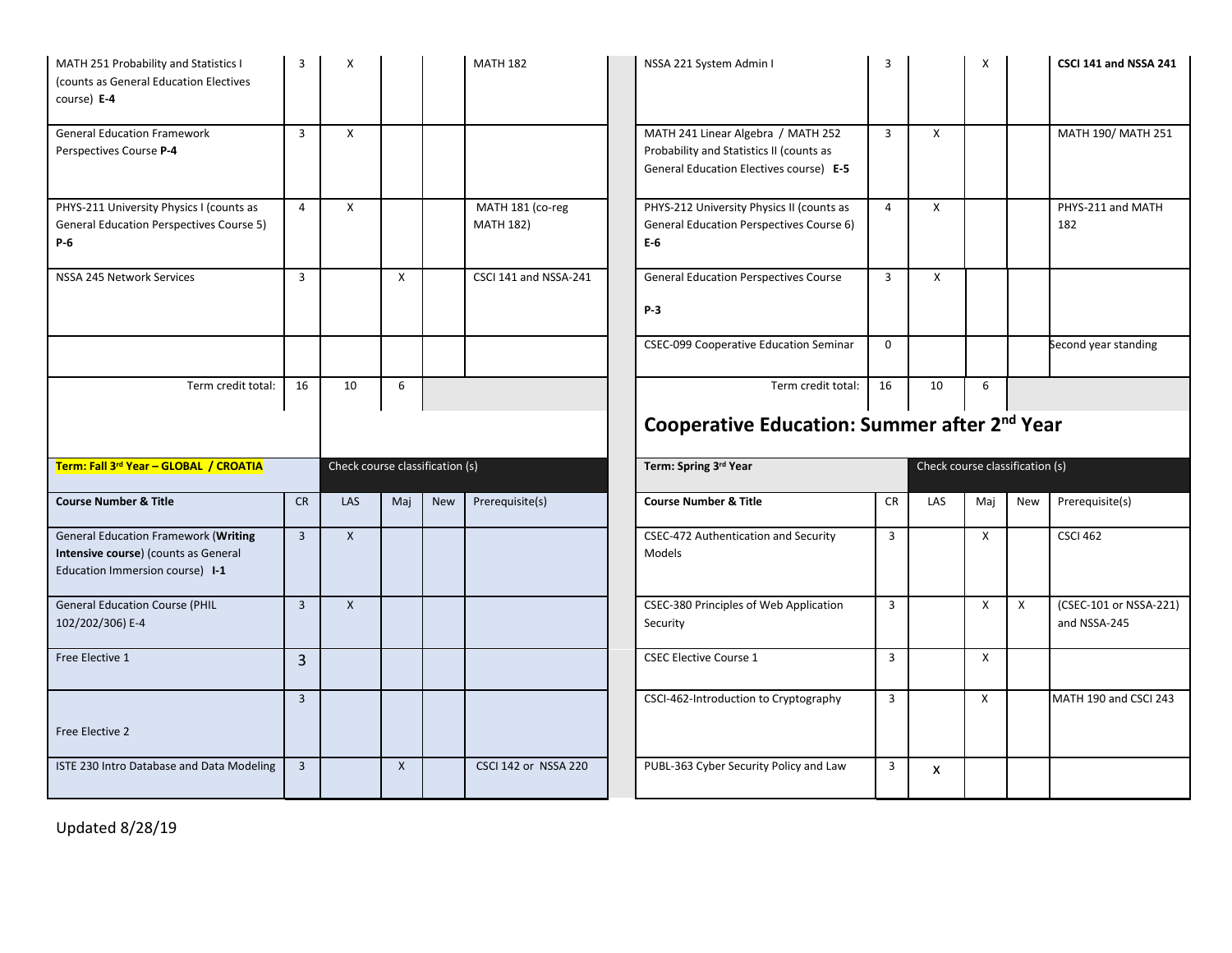| MATH 251 Probability and Statistics I<br>(counts as General Education Electives<br>course) E-4                         | 3              | X                               |     |            | <b>MATH 182</b>                      | NSSA 221 System Admin I                                                                                                   | 3              |                                 | X            |     | CSCI 141 and NSSA 241                  |
|------------------------------------------------------------------------------------------------------------------------|----------------|---------------------------------|-----|------------|--------------------------------------|---------------------------------------------------------------------------------------------------------------------------|----------------|---------------------------------|--------------|-----|----------------------------------------|
| <b>General Education Framework</b><br>Perspectives Course P-4                                                          | $\overline{3}$ | X                               |     |            |                                      | MATH 241 Linear Algebra / MATH 252<br>Probability and Statistics II (counts as<br>General Education Electives course) E-5 | $\overline{3}$ | X                               |              |     | MATH 190/ MATH 251                     |
| PHYS-211 University Physics I (counts as<br><b>General Education Perspectives Course 5)</b><br>P-6                     | $\overline{4}$ | $\times$                        |     |            | MATH 181 (co-reg<br><b>MATH 182)</b> | PHYS-212 University Physics II (counts as<br>General Education Perspectives Course 6)<br>$E-6$                            | $\overline{4}$ | X                               |              |     | PHYS-211 and MATH<br>182               |
| NSSA 245 Network Services                                                                                              | $\overline{3}$ |                                 | X   |            | CSCI 141 and NSSA-241                | <b>General Education Perspectives Course</b><br>P-3                                                                       | $\overline{3}$ | X                               |              |     |                                        |
|                                                                                                                        |                |                                 |     |            |                                      | <b>CSEC-099 Cooperative Education Seminar</b>                                                                             | $\mathbf 0$    |                                 |              |     | Second year standing                   |
| Term credit total:                                                                                                     | 16             | 10                              | 6   |            |                                      | Term credit total:                                                                                                        | 16             | 10                              | 6            |     |                                        |
|                                                                                                                        |                |                                 |     |            |                                      |                                                                                                                           |                |                                 |              |     |                                        |
| Term: Fall 3rd Year - GLOBAL / CROATIA                                                                                 |                | Check course classification (s) |     |            |                                      | Cooperative Education: Summer after 2 <sup>nd</sup> Year<br>Term: Spring 3rd Year                                         |                | Check course classification (s) |              |     |                                        |
|                                                                                                                        |                |                                 |     |            |                                      |                                                                                                                           |                |                                 |              |     |                                        |
| <b>Course Number &amp; Title</b>                                                                                       | <b>CR</b>      | <b>LAS</b>                      | Maj | <b>New</b> | Prerequisite(s)                      | <b>Course Number &amp; Title</b>                                                                                          | <b>CR</b>      | LAS                             | Mai          | New | Prerequisite(s)                        |
| <b>General Education Framework (Writing</b><br>Intensive course) (counts as General<br>Education Immersion course) I-1 | $\overline{3}$ | $\mathsf{X}$                    |     |            |                                      | CSEC-472 Authentication and Security<br><b>Models</b>                                                                     | 3              |                                 | X            |     | <b>CSCI 462</b>                        |
| <b>General Education Course (PHIL</b><br>102/202/306) E-4                                                              | $\overline{3}$ | $\mathsf{X}$                    |     |            |                                      | CSEC-380 Principles of Web Application<br>Security                                                                        | 3              |                                 | X            | X   | (CSEC-101 or NSSA-221)<br>and NSSA-245 |
| Free Elective 1                                                                                                        | $\overline{3}$ |                                 |     |            |                                      | <b>CSEC Elective Course 1</b>                                                                                             | $\overline{3}$ |                                 | $\mathsf{X}$ |     |                                        |
|                                                                                                                        | $\overline{3}$ |                                 |     |            |                                      | CSCI-462-Introduction to Cryptography                                                                                     | $\overline{3}$ |                                 | X            |     | MATH 190 and CSCI 243                  |
| Free Elective 2                                                                                                        |                |                                 |     |            |                                      |                                                                                                                           |                |                                 |              |     |                                        |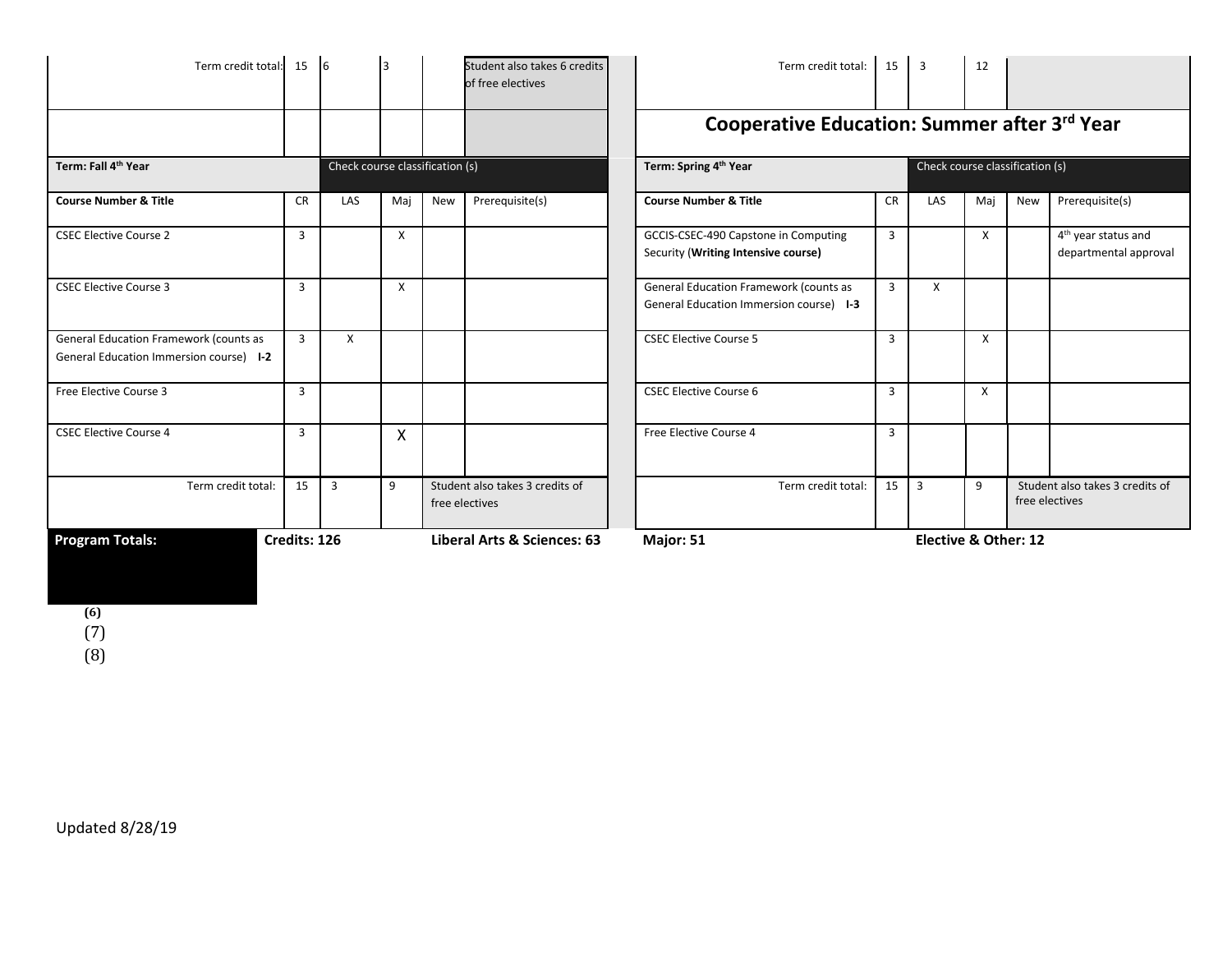| Term credit total: 15                                                                                                                      |                             | $\overline{6}$          | 3            |                      | Student also takes 6 credits<br>of free electives | Term credit total:                                                                | 15              | $\overline{\mathbf{3}}$ | 12       |     |                                                          |
|--------------------------------------------------------------------------------------------------------------------------------------------|-----------------------------|-------------------------|--------------|----------------------|---------------------------------------------------|-----------------------------------------------------------------------------------|-----------------|-------------------------|----------|-----|----------------------------------------------------------|
|                                                                                                                                            |                             |                         |              |                      |                                                   | Cooperative Education: Summer after 3rd Year                                      |                 |                         |          |     |                                                          |
| Term: Spring 4 <sup>th</sup> Year<br>Check course classification (s)<br>Term: Fall 4 <sup>th</sup> Year<br>Check course classification (s) |                             |                         |              |                      |                                                   |                                                                                   |                 |                         |          |     |                                                          |
| <b>Course Number &amp; Title</b>                                                                                                           | <b>CR</b>                   | LAS                     | Maj          | New                  | Prerequisite(s)                                   | <b>Course Number &amp; Title</b>                                                  | <b>CR</b>       | LAS                     | Maj      | New | Prerequisite(s)                                          |
| <b>CSEC Elective Course 2</b>                                                                                                              | $\overline{3}$              |                         | X            |                      |                                                   | GCCIS-CSEC-490 Capstone in Computing<br>Security (Writing Intensive course)       | $\mathbf{3}$    |                         | $\times$ |     | 4 <sup>th</sup> year status and<br>departmental approval |
| <b>CSEC Elective Course 3</b>                                                                                                              | $\overline{3}$              |                         | X            |                      |                                                   | General Education Framework (counts as<br>General Education Immersion course) 1-3 | 3               | X                       |          |     |                                                          |
| General Education Framework (counts as<br>General Education Immersion course) I-2                                                          | $\mathbf{R}$                | X                       |              |                      |                                                   | <b>CSEC Elective Course 5</b>                                                     | $\mathbf{3}$    |                         | X        |     |                                                          |
| Free Elective Course 3                                                                                                                     | $\overline{3}$              |                         |              |                      |                                                   | <b>CSEC Elective Course 6</b>                                                     | $\overline{3}$  |                         | X        |     |                                                          |
| <b>CSEC Elective Course 4</b>                                                                                                              | $\overline{3}$              |                         | $\mathsf{x}$ |                      |                                                   | Free Elective Course 4                                                            | $\overline{3}$  |                         |          |     |                                                          |
| Term credit total:                                                                                                                         | 15                          | $\overline{\mathbf{3}}$ | 9            |                      | Student also takes 3 credits of<br>free electives | Term credit total:                                                                | 15 <sup>1</sup> | $\overline{3}$          | 9        |     | Student also takes 3 credits of<br>free electives        |
| <b>Program Totals:</b><br>Credits: 126                                                                                                     | Liberal Arts & Sciences: 63 | Major: 51               |              | Elective & Other: 12 |                                                   |                                                                                   |                 |                         |          |     |                                                          |

**(6)** (7)

(8)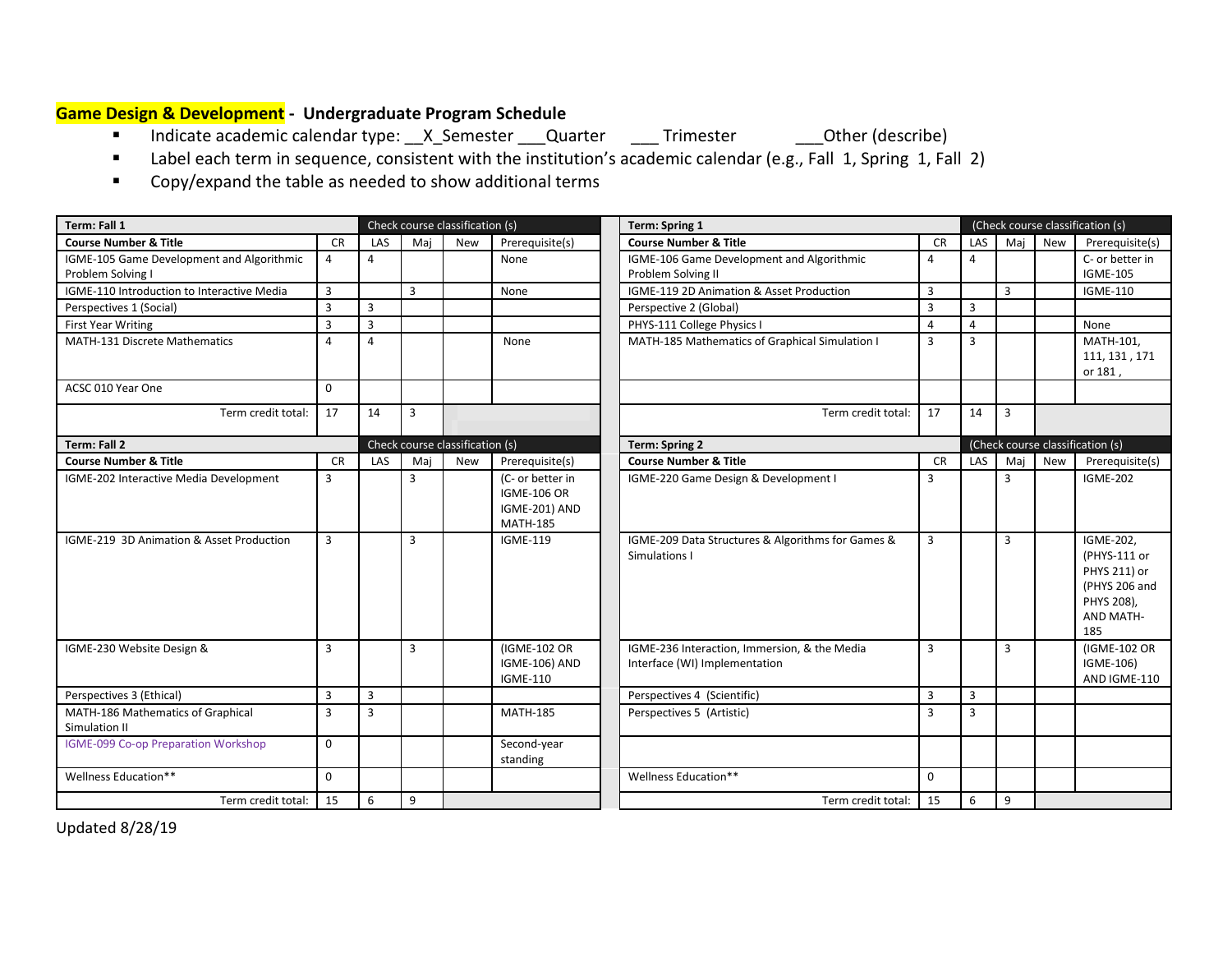# <span id="page-12-0"></span>**Game Design & Development - Undergraduate Program Schedule**

- Indicate academic calendar type: \_\_X\_Semester \_\_\_Quarter \_\_\_\_Trimester \_\_\_\_Other (describe)
- Label each term in sequence, consistent with the institution's academic calendar (e.g., Fall 1, Spring 1, Fall 2)
- Copy/expand the table as needed to show additional terms

| Term: Fall 1                                                   |           |                |                | Check course classification (s) |                                                                            | Term: Spring 1                                                                |                |                |                |     | (Check course classification (s)                                                             |
|----------------------------------------------------------------|-----------|----------------|----------------|---------------------------------|----------------------------------------------------------------------------|-------------------------------------------------------------------------------|----------------|----------------|----------------|-----|----------------------------------------------------------------------------------------------|
| <b>Course Number &amp; Title</b>                               | <b>CR</b> | LAS            | Mai            | New                             | Prerequisite(s)                                                            | <b>Course Number &amp; Title</b>                                              | <b>CR</b>      | LAS            | Maj            | New | Prerequisite(s)                                                                              |
| IGME-105 Game Development and Algorithmic<br>Problem Solving I | 4         | 4              |                |                                 | None                                                                       | IGME-106 Game Development and Algorithmic<br>Problem Solving II               | 4              | 4              |                |     | C- or better in<br><b>IGME-105</b>                                                           |
| IGME-110 Introduction to Interactive Media                     | 3         |                | $\overline{3}$ |                                 | None                                                                       | IGME-119 2D Animation & Asset Production                                      | $\overline{3}$ |                | 3              |     | <b>IGME-110</b>                                                                              |
| Perspectives 1 (Social)                                        | 3         | $\overline{3}$ |                |                                 |                                                                            | Perspective 2 (Global)                                                        | $\overline{3}$ | $\overline{3}$ |                |     |                                                                                              |
| <b>First Year Writing</b>                                      | 3         | $\overline{3}$ |                |                                 |                                                                            | PHYS-111 College Physics I                                                    | $\overline{4}$ | $\overline{4}$ |                |     | None                                                                                         |
| <b>MATH-131 Discrete Mathematics</b>                           | 4         | $\overline{a}$ |                |                                 | None                                                                       | MATH-185 Mathematics of Graphical Simulation I                                | $\overline{3}$ | $\overline{3}$ |                |     | MATH-101,<br>111, 131, 171<br>or 181,                                                        |
| ACSC 010 Year One                                              | $\Omega$  |                |                |                                 |                                                                            |                                                                               |                |                |                |     |                                                                                              |
| Term credit total:                                             | 17        | 14             | $\overline{3}$ |                                 |                                                                            | Term credit total:                                                            | 17             | 14             | $\overline{3}$ |     |                                                                                              |
| Term: Fall 2                                                   |           |                |                | Check course classification (s) |                                                                            | <b>Term: Spring 2</b>                                                         |                |                |                |     | (Check course classification (s)                                                             |
| <b>Course Number &amp; Title</b>                               | <b>CR</b> | LAS            | Maj            | New                             | Prerequisite(s)                                                            | <b>Course Number &amp; Title</b>                                              | <b>CR</b>      | LAS            | Mai            | New | Prerequisite(s)                                                                              |
| IGME-202 Interactive Media Development                         | 3         |                | 3              |                                 | (C- or better in<br><b>IGME-106 OR</b><br>IGME-201) AND<br><b>MATH-185</b> | IGME-220 Game Design & Development I                                          | $\overline{3}$ |                | 3              |     | <b>IGME-202</b>                                                                              |
| IGME-219 3D Animation & Asset Production                       | 3         |                | $\overline{3}$ |                                 | <b>IGME-119</b>                                                            | IGME-209 Data Structures & Algorithms for Games &<br>Simulations I            | $\overline{3}$ |                | 3              |     | IGME-202,<br>(PHYS-111 or<br>PHYS 211) or<br>(PHYS 206 and<br>PHYS 208),<br>AND MATH-<br>185 |
| IGME-230 Website Design &                                      | 3         |                | 3              |                                 | (IGME-102 OR<br><b>IGME-106) AND</b><br><b>IGME-110</b>                    | IGME-236 Interaction, Immersion, & the Media<br>Interface (WI) Implementation | $\overline{3}$ |                | 3              |     | (IGME-102 OR<br>IGME-106)<br>AND IGME-110                                                    |
| Perspectives 3 (Ethical)                                       | 3         | 3              |                |                                 |                                                                            | Perspectives 4 (Scientific)                                                   | $\overline{3}$ | 3              |                |     |                                                                                              |
| MATH-186 Mathematics of Graphical<br>Simulation II             | 3         | $\overline{3}$ |                |                                 | <b>MATH-185</b>                                                            | Perspectives 5 (Artistic)                                                     | $\overline{3}$ | $\overline{3}$ |                |     |                                                                                              |
| IGME-099 Co-op Preparation Workshop                            | 0         |                |                |                                 | Second-year<br>standing                                                    |                                                                               |                |                |                |     |                                                                                              |
| Wellness Education**                                           | 0         |                |                |                                 |                                                                            | Wellness Education**                                                          | $\Omega$       |                |                |     |                                                                                              |
| Term credit total:                                             | 15        | 6              | 9              |                                 |                                                                            | Term credit total:                                                            | 15             | 6              | 9              |     |                                                                                              |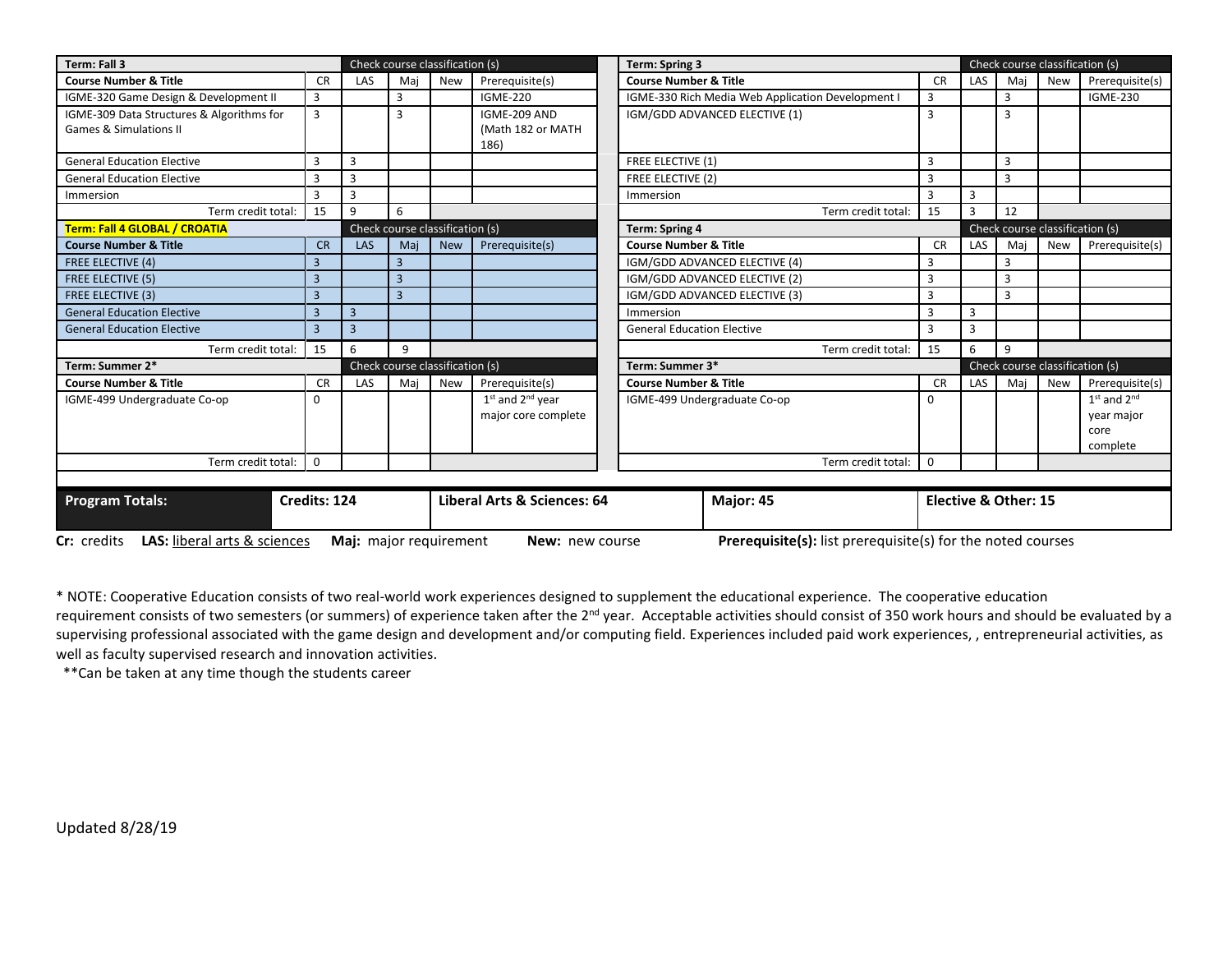| Term: Fall 3                                                                                                                                                              |                |                |                             | Check course classification (s) |                           |                                   | <b>Term: Spring 3</b>                             |                |                | Check course classification (s) |                                 |                 |  |  |
|---------------------------------------------------------------------------------------------------------------------------------------------------------------------------|----------------|----------------|-----------------------------|---------------------------------|---------------------------|-----------------------------------|---------------------------------------------------|----------------|----------------|---------------------------------|---------------------------------|-----------------|--|--|
| <b>Course Number &amp; Title</b>                                                                                                                                          | <b>CR</b>      | LAS            | Mai                         | <b>New</b>                      | Prerequisite(s)           | <b>Course Number &amp; Title</b>  |                                                   | <b>CR</b>      | LAS            | Mai                             | <b>New</b>                      | Prerequisite(s) |  |  |
| IGME-320 Game Design & Development II                                                                                                                                     | 3              |                | 3                           |                                 | <b>IGME-220</b>           |                                   | IGME-330 Rich Media Web Application Development I | 3              |                | 3                               |                                 | <b>IGME-230</b> |  |  |
| IGME-309 Data Structures & Algorithms for                                                                                                                                 | 3              |                | 3                           |                                 | IGME-209 AND              | IGM/GDD ADVANCED ELECTIVE (1)     |                                                   |                |                | 3                               |                                 |                 |  |  |
| <b>Games &amp; Simulations II</b>                                                                                                                                         |                |                |                             |                                 | (Math 182 or MATH<br>186) |                                   |                                                   |                |                |                                 |                                 |                 |  |  |
| <b>General Education Elective</b>                                                                                                                                         | 3              | 3              |                             |                                 |                           | <b>FREE ELECTIVE (1)</b>          |                                                   |                |                | 3                               |                                 |                 |  |  |
| <b>General Education Elective</b>                                                                                                                                         | $\overline{3}$ | 3              |                             |                                 |                           | <b>FREE ELECTIVE (2)</b>          |                                                   | $\overline{3}$ |                | 3                               |                                 |                 |  |  |
| Immersion                                                                                                                                                                 | 3              | 3              |                             |                                 |                           | Immersion                         |                                                   | 3              | 3              |                                 |                                 |                 |  |  |
| Term credit total:                                                                                                                                                        | 15             | 9              | 6                           |                                 |                           |                                   | Term credit total:                                | 15             | $\overline{3}$ | 12                              |                                 |                 |  |  |
| Term: Fall 4 GLOBAL / CROATIA                                                                                                                                             |                |                |                             | Check course classification (s) | <b>Term: Spring 4</b>     |                                   |                                                   |                |                | Check course classification (s) |                                 |                 |  |  |
| <b>Course Number &amp; Title</b>                                                                                                                                          | <b>CR</b>      | LAS            | Mai                         | <b>New</b>                      | Prerequisite(s)           | <b>Course Number &amp; Title</b>  |                                                   | <b>CR</b>      | LAS            | Mai                             | <b>New</b>                      | Prerequisite(s) |  |  |
| <b>FREE ELECTIVE (4)</b>                                                                                                                                                  | $\overline{3}$ |                | $\overline{3}$              |                                 |                           |                                   | IGM/GDD ADVANCED ELECTIVE (4)                     | 3              |                | $\mathbf{a}$                    |                                 |                 |  |  |
| <b>FREE ELECTIVE (5)</b>                                                                                                                                                  | $\overline{3}$ |                | $\overline{3}$              |                                 |                           | IGM/GDD ADVANCED ELECTIVE (2)     |                                                   |                |                | 3                               |                                 |                 |  |  |
| FREE ELECTIVE (3)                                                                                                                                                         | $\overline{3}$ |                | $\overline{3}$              |                                 |                           | IGM/GDD ADVANCED ELECTIVE (3)     |                                                   |                |                | 3                               |                                 |                 |  |  |
| <b>General Education Elective</b>                                                                                                                                         | $\overline{3}$ | $\overline{3}$ |                             |                                 |                           | Immersion                         |                                                   |                | 3              |                                 |                                 |                 |  |  |
| <b>General Education Elective</b>                                                                                                                                         | $\overline{3}$ | 3              |                             |                                 |                           | <b>General Education Elective</b> |                                                   | 3              | $\overline{3}$ |                                 |                                 |                 |  |  |
| Term credit total:                                                                                                                                                        | 15             | 6              | 9                           |                                 |                           |                                   | Term credit total:                                | 15             | 6              | 9                               |                                 |                 |  |  |
| Term: Summer 2*                                                                                                                                                           |                |                |                             | Check course classification (s) |                           | Term: Summer 3*                   |                                                   |                |                |                                 | Check course classification (s) |                 |  |  |
| <b>Course Number &amp; Title</b>                                                                                                                                          | <b>CR</b>      | <b>LAS</b>     | Mai                         | <b>New</b>                      | Prerequisite(s)           | <b>Course Number &amp; Title</b>  |                                                   | <b>CR</b>      | LAS            | Mai                             | <b>New</b>                      | Prerequisite(s) |  |  |
| IGME-499 Undergraduate Co-op                                                                                                                                              | $\Omega$       |                |                             |                                 | $1st$ and $2nd$ year      |                                   | IGME-499 Undergraduate Co-op                      | 0              |                |                                 |                                 | $1st$ and $2nd$ |  |  |
|                                                                                                                                                                           |                |                |                             |                                 | major core complete       |                                   |                                                   |                |                |                                 |                                 | year major      |  |  |
|                                                                                                                                                                           |                |                |                             |                                 |                           |                                   |                                                   |                |                |                                 |                                 | core            |  |  |
|                                                                                                                                                                           |                |                |                             |                                 |                           |                                   |                                                   |                |                |                                 |                                 | complete        |  |  |
| Term credit total:                                                                                                                                                        | $\Omega$       |                |                             |                                 |                           |                                   | Term credit total:                                | $\Omega$       |                |                                 |                                 |                 |  |  |
|                                                                                                                                                                           |                |                |                             |                                 |                           |                                   |                                                   |                |                |                                 |                                 |                 |  |  |
| <b>Program Totals:</b>                                                                                                                                                    | Credits: 124   |                | Liberal Arts & Sciences: 64 |                                 |                           |                                   | Major: 45                                         |                |                | Elective & Other: 15            |                                 |                 |  |  |
| Prerequisite(s): list prerequisite(s) for the noted courses<br><b>Cr:</b> credits <b>LAS:</b> liberal arts & sciences<br>Maj: major requirement<br><b>New:</b> new course |                |                |                             |                                 |                           |                                   |                                                   |                |                |                                 |                                 |                 |  |  |

\* NOTE: Cooperative Education consists of two real-world work experiences designed to supplement the educational experience. The cooperative education requirement consists of two semesters (or summers) of experience taken after the 2<sup>nd</sup> year. Acceptable activities should consist of 350 work hours and should be evaluated by a supervising professional associated with the game design and development and/or computing field. Experiences included paid work experiences, , entrepreneurial activities, as well as faculty supervised research and innovation activities.

\*\*Can be taken at any time though the students career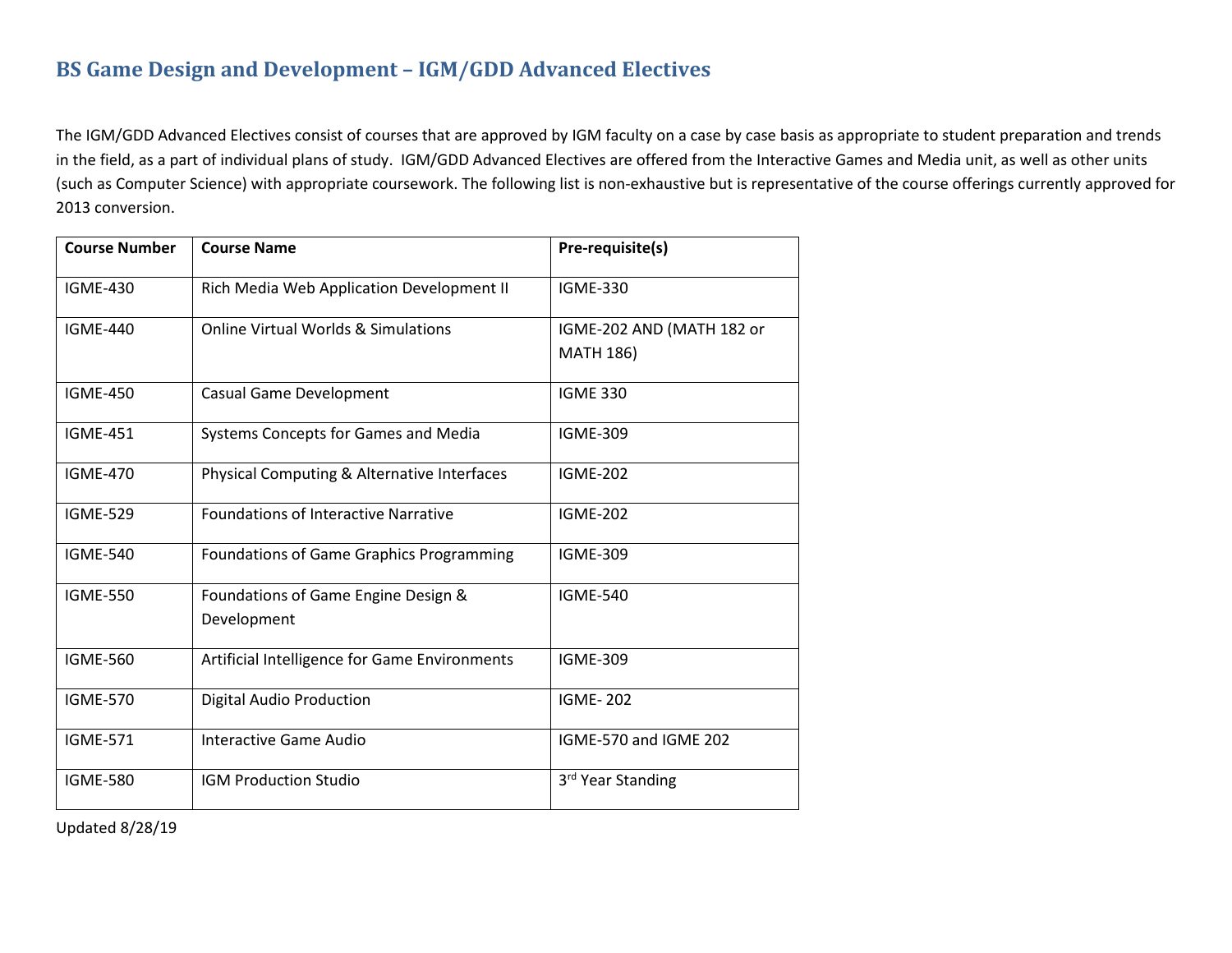# **BS Game Design and Development – IGM/GDD Advanced Electives**

The IGM/GDD Advanced Electives consist of courses that are approved by IGM faculty on a case by case basis as appropriate to student preparation and trends in the field, as a part of individual plans of study. IGM/GDD Advanced Electives are offered from the Interactive Games and Media unit, as well as other units (such as Computer Science) with appropriate coursework. The following list is non-exhaustive but is representative of the course offerings currently approved for 2013 conversion.

| <b>Course Number</b> | <b>Course Name</b>                             | Pre-requisite(s)              |
|----------------------|------------------------------------------------|-------------------------------|
| <b>IGME-430</b>      | Rich Media Web Application Development II      | <b>IGME-330</b>               |
| <b>IGME-440</b>      | <b>Online Virtual Worlds &amp; Simulations</b> | IGME-202 AND (MATH 182 or     |
|                      |                                                | <b>MATH 186)</b>              |
| <b>IGME-450</b>      | <b>Casual Game Development</b>                 | <b>IGME 330</b>               |
| <b>IGME-451</b>      | <b>Systems Concepts for Games and Media</b>    | <b>IGME-309</b>               |
| <b>IGME-470</b>      | Physical Computing & Alternative Interfaces    | <b>IGME-202</b>               |
| <b>IGME-529</b>      | <b>Foundations of Interactive Narrative</b>    | <b>IGME-202</b>               |
| <b>IGME-540</b>      | Foundations of Game Graphics Programming       | <b>IGME-309</b>               |
| <b>IGME-550</b>      | Foundations of Game Engine Design &            | <b>IGME-540</b>               |
|                      | Development                                    |                               |
| <b>IGME-560</b>      | Artificial Intelligence for Game Environments  | <b>IGME-309</b>               |
| <b>IGME-570</b>      | <b>Digital Audio Production</b>                | <b>IGME-202</b>               |
| <b>IGME-571</b>      | Interactive Game Audio                         | IGME-570 and IGME 202         |
| <b>IGME-580</b>      | <b>IGM Production Studio</b>                   | 3 <sup>rd</sup> Year Standing |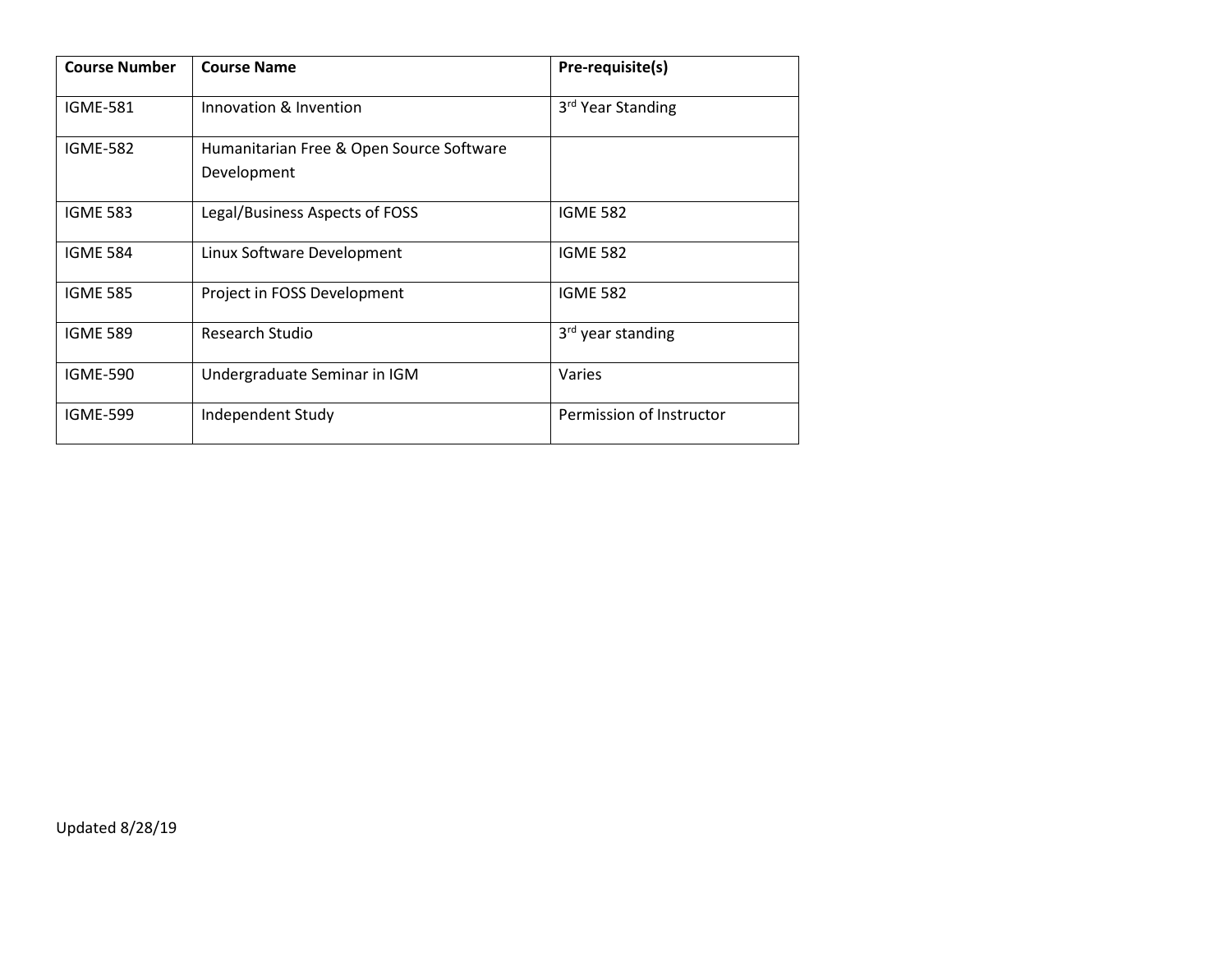| <b>Course Number</b> | <b>Course Name</b>                                      | Pre-requisite(s)              |
|----------------------|---------------------------------------------------------|-------------------------------|
| <b>IGME-581</b>      | Innovation & Invention                                  | 3 <sup>rd</sup> Year Standing |
| <b>IGME-582</b>      | Humanitarian Free & Open Source Software<br>Development |                               |
| <b>IGME 583</b>      | Legal/Business Aspects of FOSS                          | <b>IGME 582</b>               |
| <b>IGME 584</b>      | Linux Software Development                              | <b>IGME 582</b>               |
| <b>IGME 585</b>      | Project in FOSS Development                             | <b>IGME 582</b>               |
| <b>IGME 589</b>      | Research Studio                                         | 3 <sup>rd</sup> year standing |
| <b>IGME-590</b>      | Undergraduate Seminar in IGM                            | Varies                        |
| <b>IGME-599</b>      | Independent Study                                       | Permission of Instructor      |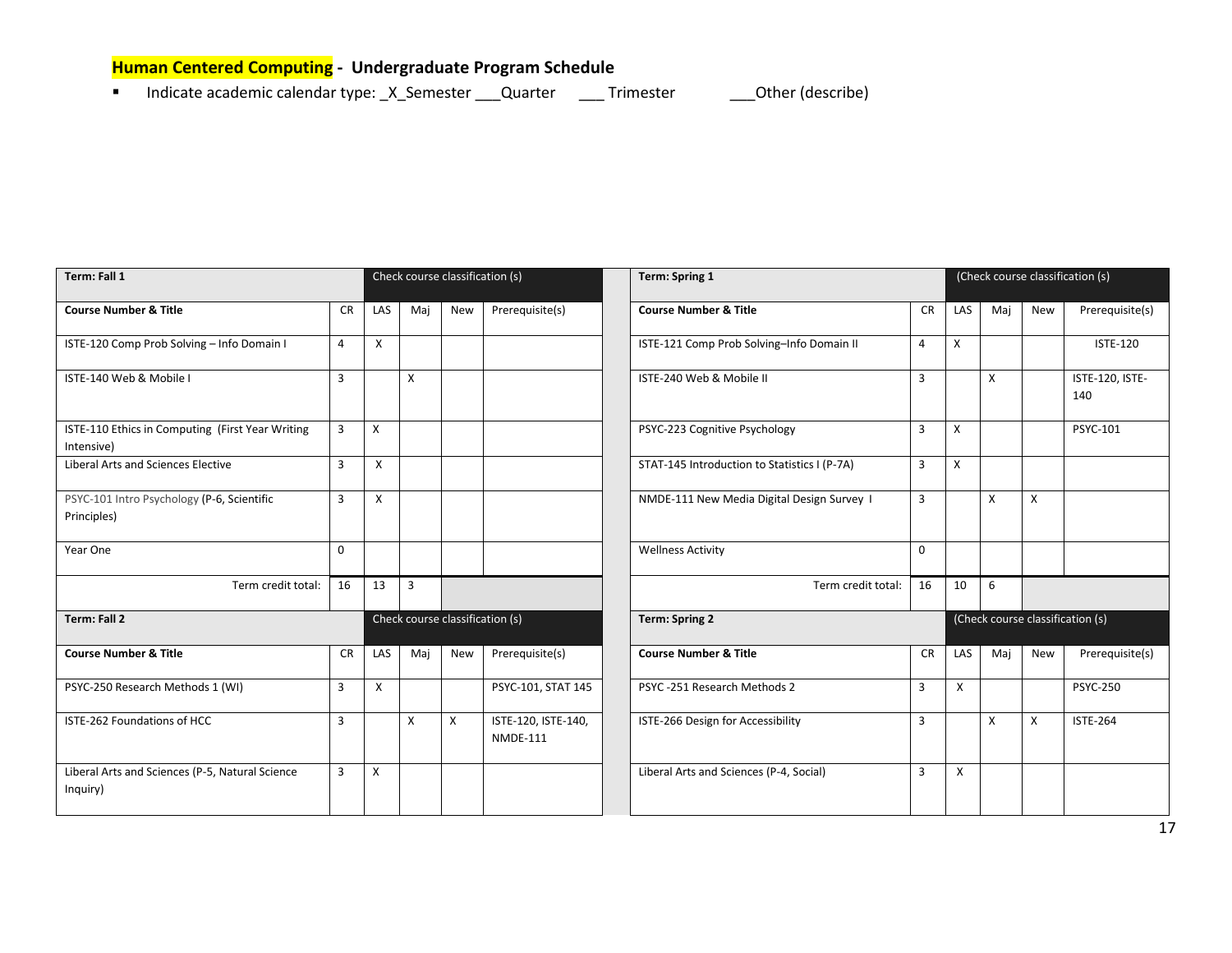# <span id="page-16-0"></span>**Human Centered Computing - Undergraduate Program Schedule**

Indicate academic calendar type: \_X\_Semester \_\_\_Quarter \_\_\_\_ Trimester \_\_\_\_\_ Other (describe)

| Term: Fall 1                                                   |                |     |                | Check course classification (s) |                                            | <b>Term: Spring 1</b>                                        |                |     |                           |              | (Check course classification (s) |
|----------------------------------------------------------------|----------------|-----|----------------|---------------------------------|--------------------------------------------|--------------------------------------------------------------|----------------|-----|---------------------------|--------------|----------------------------------|
| <b>Course Number &amp; Title</b>                               | <b>CR</b>      | LAS | Maj            | New                             | Prerequisite(s)                            | <b>Course Number &amp; Title</b>                             | <b>CR</b>      | LAS | Maj                       | <b>New</b>   | Prerequisite(s)                  |
| ISTE-120 Comp Prob Solving - Info Domain I                     | 4              | X   |                |                                 |                                            | ISTE-121 Comp Prob Solving-Info Domain II                    | 4              | X   |                           |              | <b>ISTE-120</b>                  |
| ISTE-140 Web & Mobile I                                        | $\overline{3}$ |     | $\mathsf{x}$   |                                 | ISTE-240 Web & Mobile II<br>$\overline{3}$ |                                                              |                |     | $\boldsymbol{\mathsf{X}}$ |              | ISTE-120, ISTE-<br>140           |
| ISTE-110 Ethics in Computing (First Year Writing<br>Intensive) | 3              | X   |                |                                 | PSYC-223 Cognitive Psychology<br>3         |                                                              |                | X   |                           |              | PSYC-101                         |
| <b>Liberal Arts and Sciences Elective</b>                      | 3              | X   |                |                                 |                                            | STAT-145 Introduction to Statistics I (P-7A)                 | $\overline{3}$ | X   |                           |              |                                  |
| PSYC-101 Intro Psychology (P-6, Scientific<br>Principles)      | $\overline{3}$ | X   |                |                                 |                                            | $\overline{3}$<br>NMDE-111 New Media Digital Design Survey 1 |                |     | $\boldsymbol{\mathsf{x}}$ | $\mathsf{X}$ |                                  |
| Year One                                                       | $\Omega$       |     |                |                                 |                                            | <b>Wellness Activity</b>                                     | $\Omega$       |     |                           |              |                                  |
| Term credit total:                                             | 16             | 13  | $\overline{3}$ |                                 |                                            | Term credit total:                                           | 16             | 10  | 6                         |              |                                  |
| <b>Term: Fall 2</b>                                            |                |     |                | Check course classification (s) |                                            | <b>Term: Spring 2</b>                                        |                |     |                           |              | (Check course classification (s) |
| <b>Course Number &amp; Title</b>                               | <b>CR</b>      | LAS | Maj            | New                             | Prerequisite(s)                            | <b>Course Number &amp; Title</b>                             | <b>CR</b>      | LAS | Maj                       | <b>New</b>   | Prerequisite(s)                  |
| PSYC-250 Research Methods 1 (WI)                               | $\overline{3}$ | X   |                |                                 | PSYC-101, STAT 145                         | PSYC-251 Research Methods 2                                  | 3              | X   |                           |              | <b>PSYC-250</b>                  |
| ISTE-262 Foundations of HCC                                    | 3              |     | Χ              | X                               | ISTE-120, ISTE-140,<br><b>NMDE-111</b>     | ISTE-266 Design for Accessibility                            | 3              |     | X                         | X            | <b>ISTE-264</b>                  |
| Liberal Arts and Sciences (P-5, Natural Science<br>Inquiry)    | 3              | X   |                |                                 |                                            | Liberal Arts and Sciences (P-4, Social)                      | 3              | Χ   |                           |              |                                  |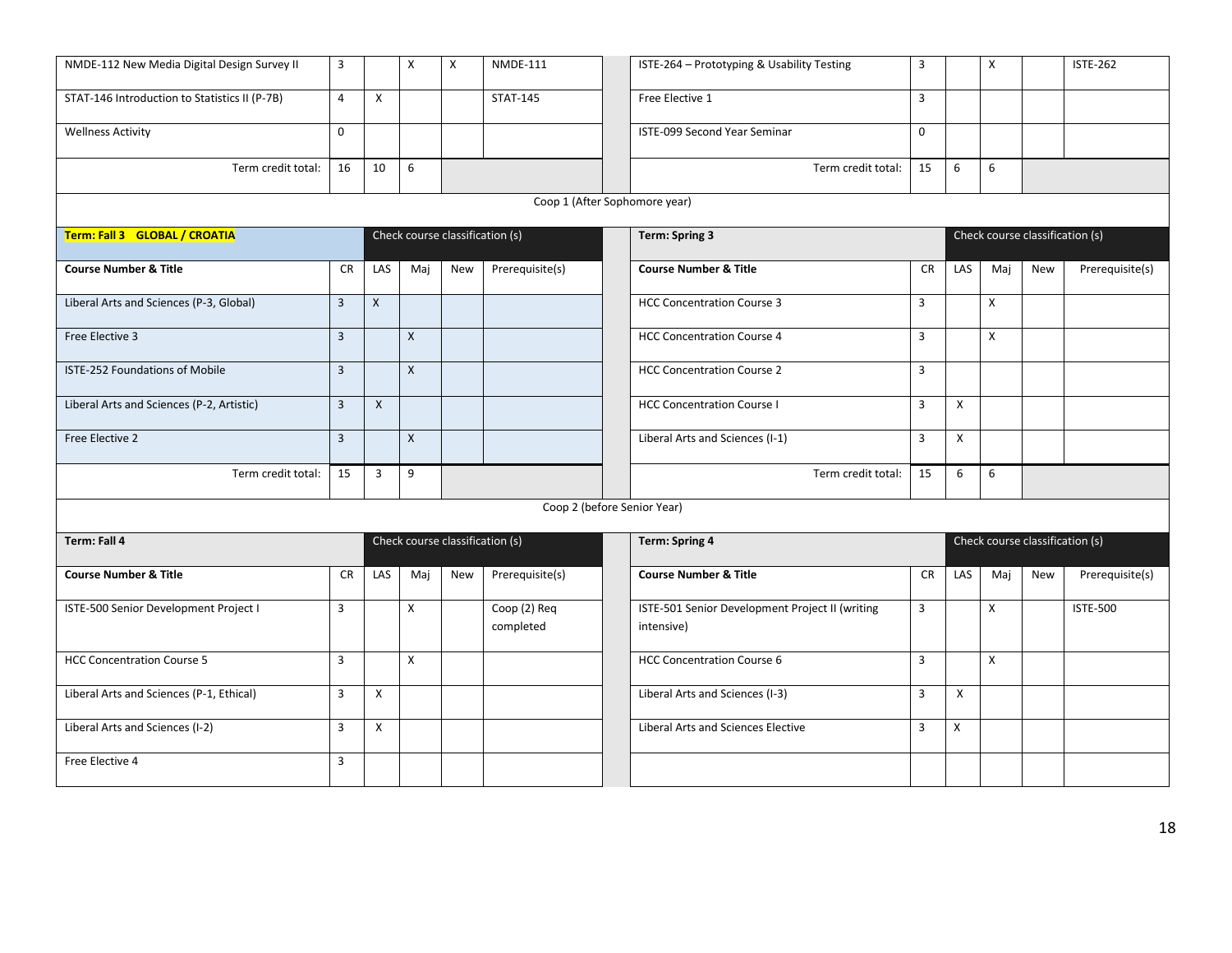| NMDE-112 New Media Digital Design Survey II   | $\overline{3}$ |                | X            | X                               | <b>NMDE-111</b>           | $\overline{3}$<br>X<br>ISTE-264 - Prototyping & Usability Testing<br><b>ISTE-262</b>                    |
|-----------------------------------------------|----------------|----------------|--------------|---------------------------------|---------------------------|---------------------------------------------------------------------------------------------------------|
| STAT-146 Introduction to Statistics II (P-7B) | $\overline{4}$ | $\times$       |              |                                 | <b>STAT-145</b>           | $\overline{3}$<br>Free Elective 1                                                                       |
| <b>Wellness Activity</b>                      | $\mathbf{0}$   |                |              |                                 |                           | ISTE-099 Second Year Seminar<br>$\mathbf 0$                                                             |
| Term credit total:                            | 16             | 10             | 6            |                                 |                           | 15<br>6<br>6<br>Term credit total:                                                                      |
|                                               |                |                |              |                                 |                           | Coop 1 (After Sophomore year)                                                                           |
| Term: Fall 3 GLOBAL / CROATIA                 |                |                |              | Check course classification (s) |                           | Check course classification (s)<br>Term: Spring 3                                                       |
| <b>Course Number &amp; Title</b>              | <b>CR</b>      | LAS            | Maj          | <b>New</b>                      | Prerequisite(s)           | <b>Course Number &amp; Title</b><br><b>CR</b><br>LAS<br>Maj<br>New<br>Prerequisite(s)                   |
| Liberal Arts and Sciences (P-3, Global)       | $\overline{3}$ | X              |              |                                 |                           | $\overline{3}$<br><b>HCC Concentration Course 3</b><br>X                                                |
| Free Elective 3                               | $\overline{3}$ |                | X            |                                 |                           | <b>HCC Concentration Course 4</b><br>$\overline{3}$<br>X                                                |
| ISTE-252 Foundations of Mobile                | $\overline{3}$ |                | X            |                                 |                           | <b>HCC Concentration Course 2</b><br>$\overline{3}$                                                     |
| Liberal Arts and Sciences (P-2, Artistic)     | $\overline{3}$ | $\pmb{\times}$ |              |                                 |                           | <b>HCC Concentration Course I</b><br>$\overline{3}$<br>X                                                |
| Free Elective 2                               | $\overline{3}$ |                | $\mathsf{X}$ |                                 |                           | Liberal Arts and Sciences (I-1)<br>$\overline{3}$<br>X                                                  |
| Term credit total:                            | 15             | 3              | 9            |                                 |                           | Term credit total:<br>15<br>6<br>6                                                                      |
|                                               |                |                |              |                                 |                           | Coop 2 (before Senior Year)                                                                             |
| Term: Fall 4                                  |                |                |              | Check course classification (s) |                           | <b>Term: Spring 4</b><br>Check course classification (s)                                                |
| <b>Course Number &amp; Title</b>              | <b>CR</b>      | LAS            | Maj          | <b>New</b>                      | Prerequisite(s)           | <b>Course Number &amp; Title</b><br><b>CR</b><br>LAS<br>Maj<br>Prerequisite(s)<br><b>New</b>            |
| ISTE-500 Senior Development Project I         | $\overline{3}$ |                | X            |                                 | Coop (2) Req<br>completed | ISTE-501 Senior Development Project II (writing<br>$\overline{3}$<br><b>ISTE-500</b><br>X<br>intensive) |
| <b>HCC Concentration Course 5</b>             | $\overline{3}$ |                | X            |                                 |                           | $\overline{3}$<br>$\pmb{\chi}$<br><b>HCC Concentration Course 6</b>                                     |
| Liberal Arts and Sciences (P-1, Ethical)      | $\overline{3}$ | X              |              |                                 |                           | Liberal Arts and Sciences (I-3)<br>$\overline{3}$<br>X                                                  |
| Liberal Arts and Sciences (I-2)               | $\overline{3}$ | X              |              |                                 |                           | <b>Liberal Arts and Sciences Elective</b><br>X<br>$\overline{3}$                                        |
| Free Elective 4                               | $\overline{3}$ |                |              |                                 |                           |                                                                                                         |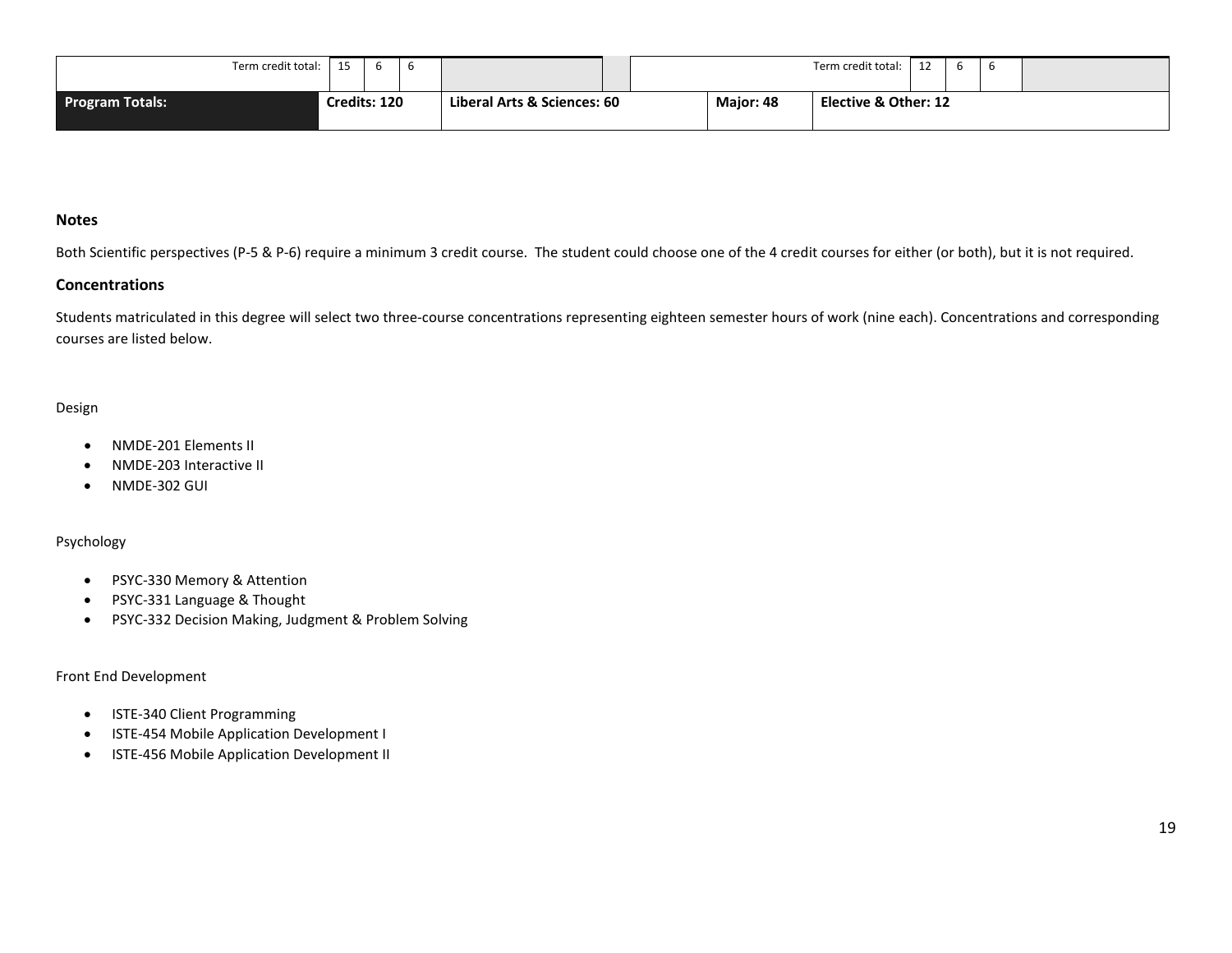| Term credit total:     | 15           | n |  |                             |  |           | Term credit total:   | $\sim$ | n |  |
|------------------------|--------------|---|--|-----------------------------|--|-----------|----------------------|--------|---|--|
| <b>Program Totals:</b> | Credits: 120 |   |  | Liberal Arts & Sciences: 60 |  | Major: 48 | Elective & Other: 12 |        |   |  |

#### **Notes**

Both Scientific perspectives (P-5 & P-6) require a minimum 3 credit course. The student could choose one of the 4 credit courses for either (or both), but it is not required.

#### **Concentrations**

Students matriculated in this degree will select two three-course concentrations representing eighteen semester hours of work (nine each). Concentrations and corresponding courses are listed below.

#### Design

- NMDE-201 Elements II
- NMDE-203 Interactive II
- NMDE-302 GUI

#### Psychology

- PSYC-330 Memory & Attention
- PSYC-331 Language & Thought
- PSYC-332 Decision Making, Judgment & Problem Solving

#### Front End Development

- ISTE-340 Client Programming
- ISTE-454 Mobile Application Development I
- ISTE-456 Mobile Application Development II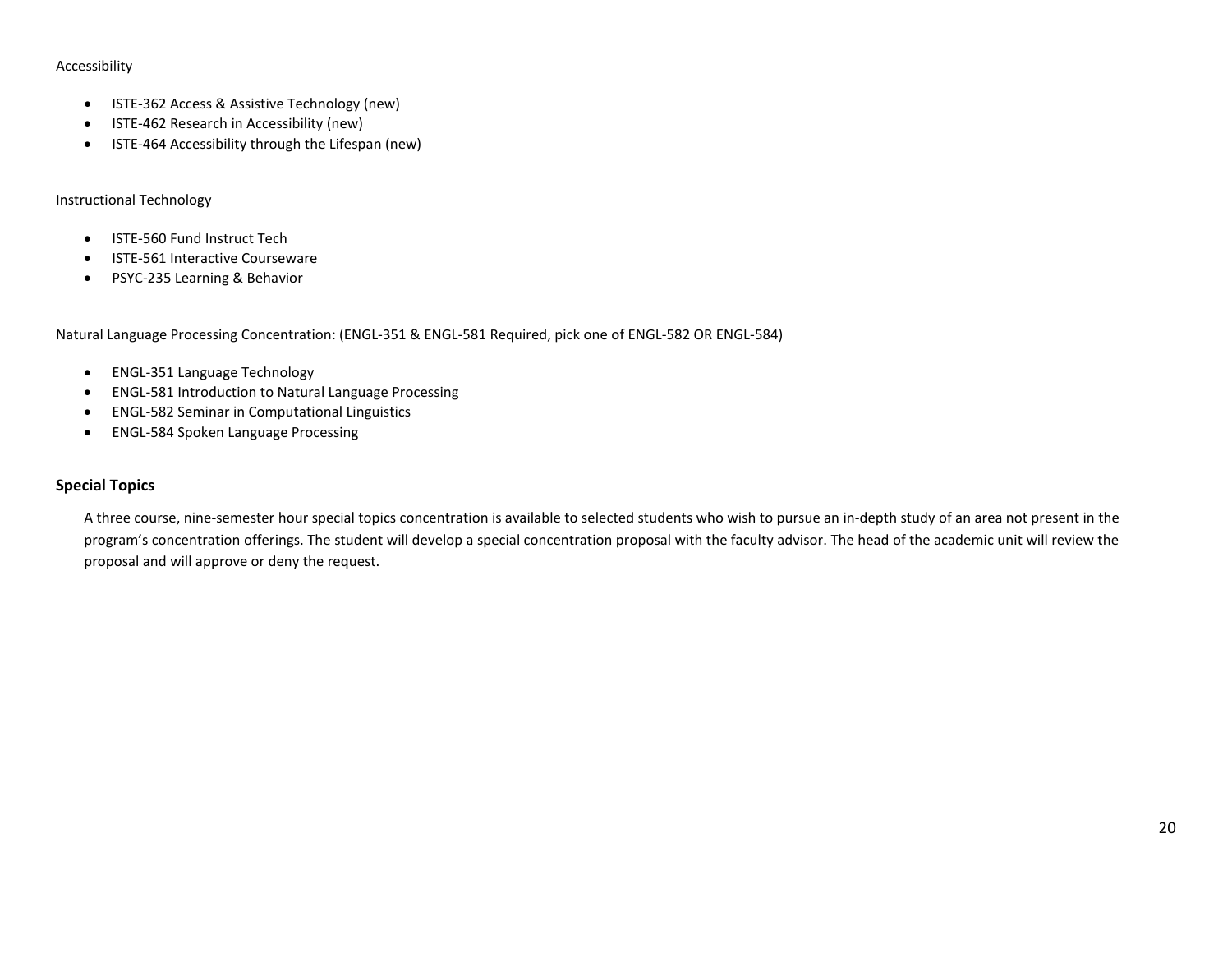#### Accessibility

- ISTE-362 Access & Assistive Technology (new)
- ISTE-462 Research in Accessibility (new)
- ISTE-464 Accessibility through the Lifespan (new)

#### Instructional Technology

- ISTE-560 Fund Instruct Tech
- ISTE-561 Interactive Courseware
- PSYC-235 Learning & Behavior

Natural Language Processing Concentration: (ENGL-351 & ENGL-581 Required, pick one of ENGL-582 OR ENGL-584)

- ENGL-351 Language Technology
- ENGL-581 Introduction to Natural Language Processing
- ENGL-582 Seminar in Computational Linguistics
- ENGL-584 Spoken Language Processing

#### **Special Topics**

A three course, nine-semester hour special topics concentration is available to selected students who wish to pursue an in-depth study of an area not present in the program's concentration offerings. The student will develop a special concentration proposal with the faculty advisor. The head of the academic unit will review the proposal and will approve or deny the request.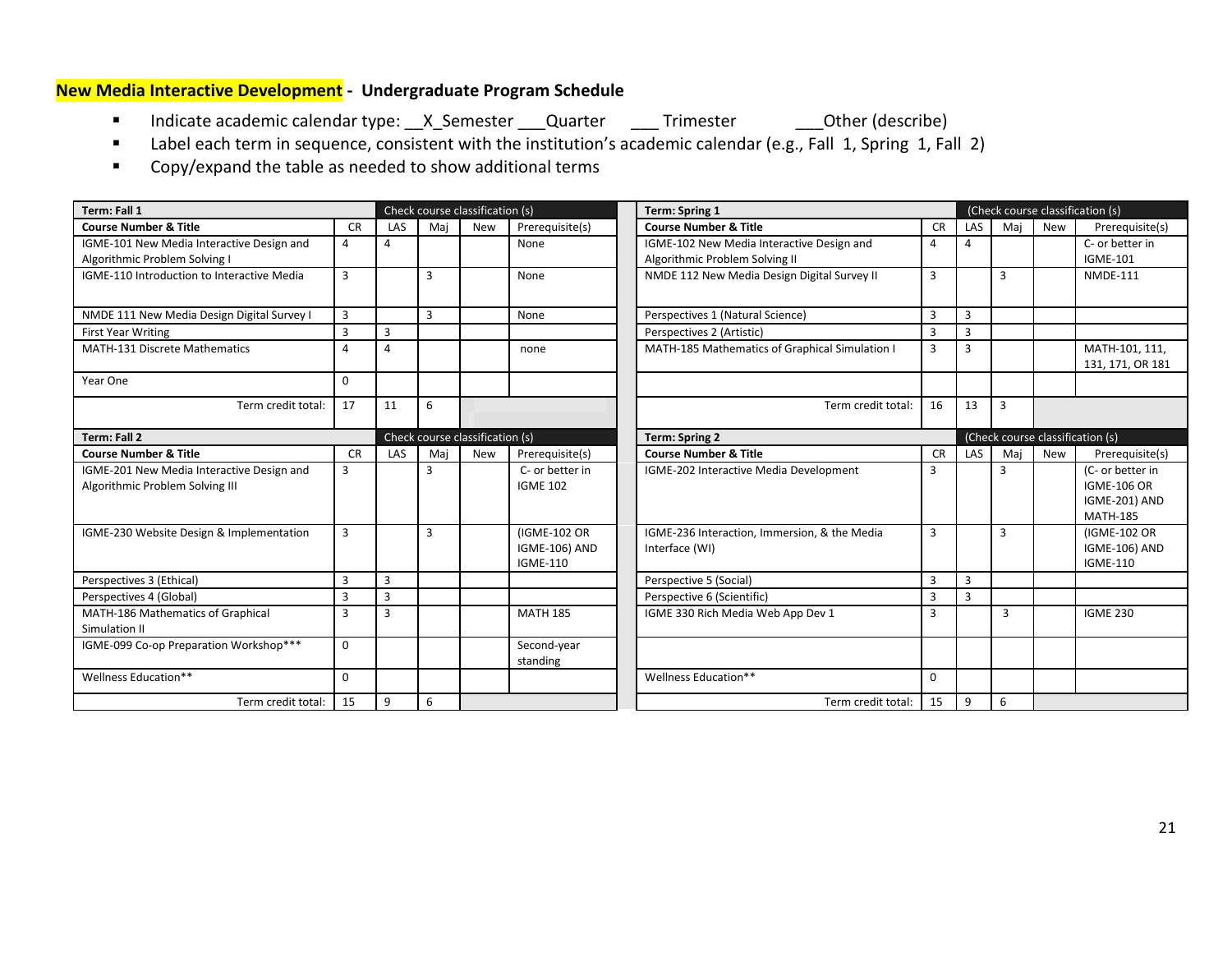# <span id="page-20-0"></span>**New Media Interactive Development - Undergraduate Program Schedule**

- Indicate academic calendar type: \_\_X\_Semester \_\_\_Quarter \_\_\_\_Trimester \_\_\_\_Other (describe)
- Label each term in sequence, consistent with the institution's academic calendar (e.g., Fall 1, Spring 1, Fall 2)
- Copy/expand the table as needed to show additional terms

| Term: Fall 1                                                                 |             |                |     | Check course classification (s) |                                                         | <b>Term: Spring 1</b>                                                       |                | (Check course classification (s) |                                  |            |                                                                            |  |
|------------------------------------------------------------------------------|-------------|----------------|-----|---------------------------------|---------------------------------------------------------|-----------------------------------------------------------------------------|----------------|----------------------------------|----------------------------------|------------|----------------------------------------------------------------------------|--|
| <b>Course Number &amp; Title</b>                                             | <b>CR</b>   | LAS            | Mai | <b>New</b>                      | Prerequisite(s)                                         | <b>Course Number &amp; Title</b>                                            | <b>CR</b>      | LAS                              | Mai                              | New        | Prerequisite(s)                                                            |  |
| IGME-101 New Media Interactive Design and<br>Algorithmic Problem Solving I   | 4           | 4              |     |                                 | None                                                    | IGME-102 New Media Interactive Design and<br>Algorithmic Problem Solving II | 4              | 4                                |                                  |            | C- or better in<br><b>IGME-101</b>                                         |  |
| IGME-110 Introduction to Interactive Media                                   | 3           |                | 3   |                                 | NMDE 112 New Media Design Digital Survey II<br>None     |                                                                             | 3              |                                  | 3                                |            | <b>NMDE-111</b>                                                            |  |
| NMDE 111 New Media Design Digital Survey I                                   | 3           |                | 3   |                                 | None                                                    | Perspectives 1 (Natural Science)                                            | $\overline{3}$ | 3                                |                                  |            |                                                                            |  |
| <b>First Year Writing</b>                                                    | 3           | 3              |     |                                 |                                                         | Perspectives 2 (Artistic)                                                   | $\overline{3}$ | $\overline{3}$                   |                                  |            |                                                                            |  |
| <b>MATH-131 Discrete Mathematics</b>                                         | $\Delta$    | 4              |     |                                 | none                                                    | MATH-185 Mathematics of Graphical Simulation I                              | 3              | 3                                |                                  |            | MATH-101, 111,<br>131, 171, OR 181                                         |  |
| Year One                                                                     | $\mathbf 0$ |                |     |                                 |                                                         |                                                                             |                |                                  |                                  |            |                                                                            |  |
| Term credit total:                                                           | 17          | 11             | 6   |                                 |                                                         | Term credit total:                                                          | 16             | 13                               | $\overline{3}$                   |            |                                                                            |  |
| <b>Term: Fall 2</b>                                                          |             |                |     | Check course classification (s) |                                                         | <b>Term: Spring 2</b>                                                       |                |                                  | (Check course classification (s) |            |                                                                            |  |
| <b>Course Number &amp; Title</b>                                             | <b>CR</b>   | <b>LAS</b>     | Mai | <b>New</b>                      | Prerequisite(s)                                         | <b>Course Number &amp; Title</b>                                            | <b>CR</b>      | LAS                              | Mai                              | <b>New</b> | Prerequisite(s)                                                            |  |
| IGME-201 New Media Interactive Design and<br>Algorithmic Problem Solving III | 3           |                | 3   |                                 | C- or better in<br><b>IGME 102</b>                      | IGME-202 Interactive Media Development                                      | 3              |                                  | 3                                |            | (C- or better in<br><b>IGME-106 OR</b><br>IGME-201) AND<br><b>MATH-185</b> |  |
| IGME-230 Website Design & Implementation                                     | 3           |                | 3   |                                 | (IGME-102 OR<br><b>IGME-106) AND</b><br><b>IGME-110</b> | IGME-236 Interaction, Immersion, & the Media<br>Interface (WI)              | 3              |                                  | 3                                |            | (IGME-102 OR<br><b>IGME-106) AND</b><br><b>IGME-110</b>                    |  |
| Perspectives 3 (Ethical)                                                     | 3           | 3              |     |                                 |                                                         | Perspective 5 (Social)                                                      | 3              | 3                                |                                  |            |                                                                            |  |
| Perspectives 4 (Global)                                                      | 3           | $\overline{3}$ |     |                                 |                                                         | Perspective 6 (Scientific)                                                  | $\overline{3}$ | 3                                |                                  |            |                                                                            |  |
| MATH-186 Mathematics of Graphical<br>Simulation II                           | 3           | 3              |     |                                 | <b>MATH 185</b>                                         | IGME 330 Rich Media Web App Dev 1                                           | 3              |                                  | 3                                |            | <b>IGME 230</b>                                                            |  |
| IGME-099 Co-op Preparation Workshop***                                       | $\mathbf 0$ |                |     |                                 | Second-year<br>standing                                 |                                                                             |                |                                  |                                  |            |                                                                            |  |
| Wellness Education**                                                         | $\Omega$    |                |     |                                 |                                                         | Wellness Education**                                                        | $\Omega$       |                                  |                                  |            |                                                                            |  |
| Term credit total:                                                           | 15          | 9              | 6   |                                 |                                                         | Term credit total:                                                          | 15             | 9                                | 6                                |            |                                                                            |  |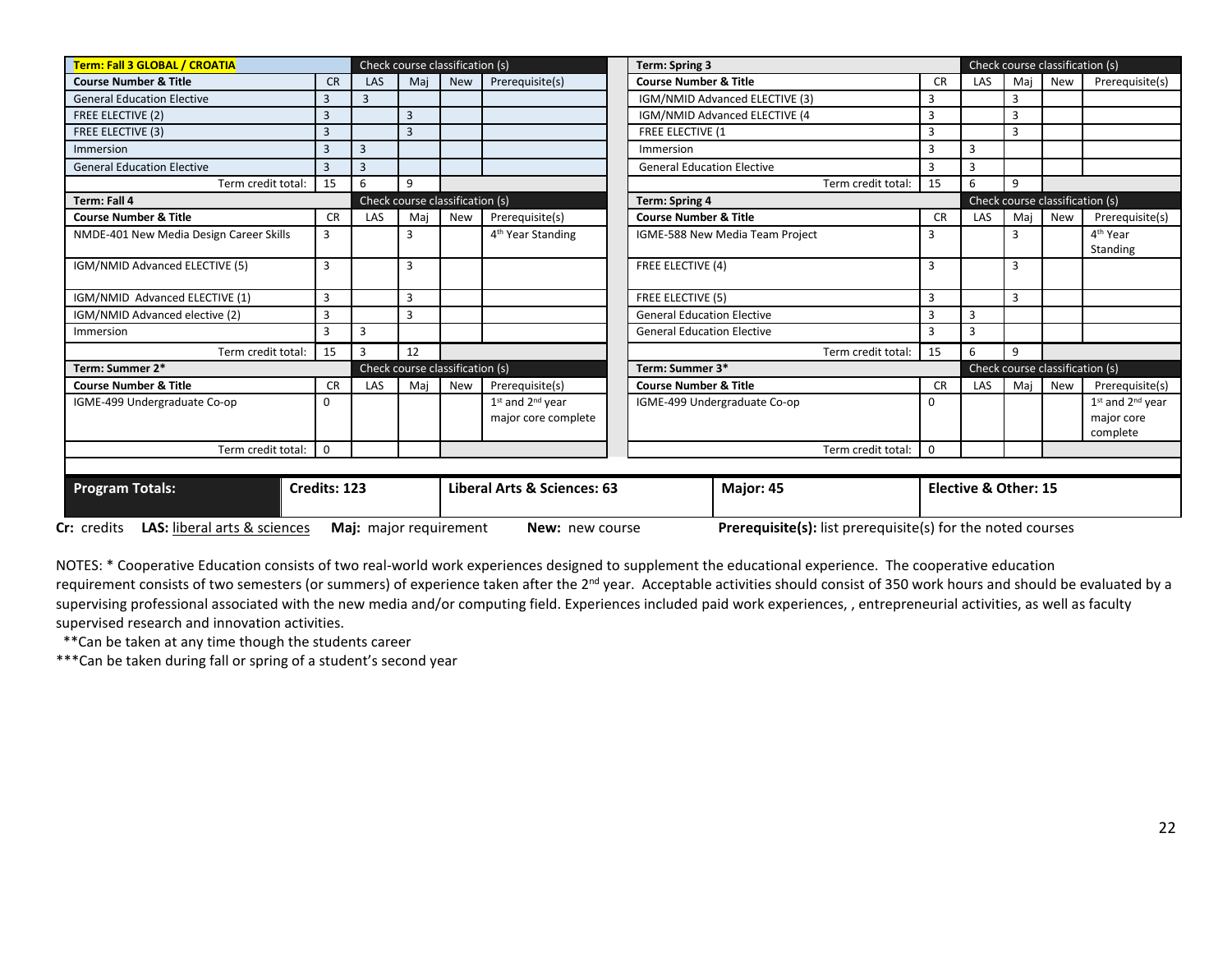| Term: Fall 3 GLOBAL / CROATIA                             |                                                          |                        | Check course classification (s) |     |                                             | <b>Term: Spring 3</b>             |                                                             |                                 |                | Check course classification (s) |     |                                                |  |  |  |
|-----------------------------------------------------------|----------------------------------------------------------|------------------------|---------------------------------|-----|---------------------------------------------|-----------------------------------|-------------------------------------------------------------|---------------------------------|----------------|---------------------------------|-----|------------------------------------------------|--|--|--|
| <b>Course Number &amp; Title</b>                          | <b>CR</b>                                                | LAS                    | Mai                             | New | Prerequisite(s)                             | <b>Course Number &amp; Title</b>  |                                                             | <b>CR</b>                       | <b>LAS</b>     | Mai                             | New | Prerequisite(s)                                |  |  |  |
| <b>General Education Elective</b>                         |                                                          | 3                      |                                 |     |                                             |                                   | IGM/NMID Advanced ELECTIVE (3)                              | 3                               |                | 3                               |     |                                                |  |  |  |
| FREE ELECTIVE (2)                                         | 3                                                        |                        | 3                               |     |                                             |                                   | IGM/NMID Advanced ELECTIVE (4                               | 3                               |                | 3                               |     |                                                |  |  |  |
| FREE ELECTIVE (3)                                         |                                                          |                        | 3                               |     |                                             | FREE ELECTIVE (1                  |                                                             | 3                               |                | 3                               |     |                                                |  |  |  |
| Immersion                                                 | 3                                                        | $\overline{3}$         |                                 |     |                                             | Immersion                         |                                                             | 3                               | $\mathbf{3}$   |                                 |     |                                                |  |  |  |
| <b>General Education Elective</b>                         | 3                                                        | $\overline{3}$         |                                 |     |                                             | <b>General Education Elective</b> |                                                             | 3                               | $\mathbf{3}$   |                                 |     |                                                |  |  |  |
| Term credit total:                                        | 15                                                       | 6                      | 9                               |     |                                             |                                   | Term credit total:                                          | 15                              | 6              | 9                               |     |                                                |  |  |  |
| Term: Fall 4                                              | Check course classification (s)<br><b>Term: Spring 4</b> |                        |                                 |     |                                             |                                   |                                                             |                                 |                | Check course classification (s) |     |                                                |  |  |  |
| <b>Course Number &amp; Title</b>                          | <b>CR</b>                                                | LAS                    | Mai                             | New | Prerequisite(s)                             | <b>Course Number &amp; Title</b>  |                                                             | <b>CR</b>                       | <b>LAS</b>     | Mai                             | New | Prerequisite(s)                                |  |  |  |
| NMDE-401 New Media Design Career Skills                   | 3                                                        |                        | 3                               |     | 4 <sup>th</sup> Year Standing               |                                   | IGME-588 New Media Team Project                             | 3                               |                | 3                               |     | 4 <sup>th</sup> Year                           |  |  |  |
|                                                           |                                                          |                        |                                 |     |                                             |                                   |                                                             |                                 |                |                                 |     | Standing                                       |  |  |  |
| IGM/NMID Advanced ELECTIVE (5)                            | 3                                                        |                        | 3                               |     |                                             |                                   | FREE ELECTIVE (4)                                           |                                 |                | 3                               |     |                                                |  |  |  |
| IGM/NMID Advanced ELECTIVE (1)                            | 3                                                        |                        | 3                               |     |                                             |                                   | FREE ELECTIVE (5)                                           |                                 |                | 3                               |     |                                                |  |  |  |
| IGM/NMID Advanced elective (2)                            | 3                                                        |                        | 3                               |     |                                             | <b>General Education Elective</b> |                                                             | 3                               | $\overline{3}$ |                                 |     |                                                |  |  |  |
| Immersion                                                 | $\mathbf{3}$                                             | 3                      |                                 |     |                                             | <b>General Education Elective</b> |                                                             | 3                               | $\mathbf{3}$   |                                 |     |                                                |  |  |  |
| Term credit total:                                        | 15                                                       | $\overline{3}$         | 12                              |     |                                             |                                   | Term credit total:                                          | 15                              | 6              | 9                               |     |                                                |  |  |  |
| Term: Summer 2*                                           |                                                          |                        | Check course classification (s) |     |                                             | Term: Summer 3*                   |                                                             | Check course classification (s) |                |                                 |     |                                                |  |  |  |
| <b>Course Number &amp; Title</b>                          | <b>CR</b>                                                | <b>LAS</b>             | Mai                             | New | Prerequisite(s)                             | <b>Course Number &amp; Title</b>  |                                                             | <b>CR</b>                       | LAS            | Maj                             | New | Prerequisite(s)                                |  |  |  |
| IGME-499 Undergraduate Co-op                              | 0                                                        |                        |                                 |     | $1st$ and $2nd$ year<br>major core complete |                                   | IGME-499 Undergraduate Co-op                                |                                 |                |                                 |     | $1st$ and $2nd$ year<br>major core<br>complete |  |  |  |
| Term credit total:                                        | $\Omega$                                                 |                        |                                 |     |                                             |                                   | Term credit total:                                          | $\Omega$                        |                |                                 |     |                                                |  |  |  |
|                                                           |                                                          |                        |                                 |     |                                             |                                   |                                                             |                                 |                |                                 |     |                                                |  |  |  |
| <b>Program Totals:</b>                                    | Credits: 123                                             |                        |                                 |     | Liberal Arts & Sciences: 63                 | Major: 45<br>Elective & Other: 15 |                                                             |                                 |                |                                 |     |                                                |  |  |  |
| <b>LAS:</b> liberal arts & sciences<br><b>Cr:</b> credits |                                                          | Maj: major requirement |                                 |     | New: new course                             |                                   | Prerequisite(s): list prerequisite(s) for the noted courses |                                 |                |                                 |     |                                                |  |  |  |

NOTES: \* Cooperative Education consists of two real-world work experiences designed to supplement the educational experience. The cooperative education requirement consists of two semesters (or summers) of experience taken after the 2<sup>nd</sup> year. Acceptable activities should consist of 350 work hours and should be evaluated by a supervising professional associated with the new media and/or computing field. Experiences included paid work experiences, , entrepreneurial activities, as well as faculty supervised research and innovation activities.

\*\*Can be taken at any time though the students career

\*\*\*Can be taken during fall or spring of a student's second year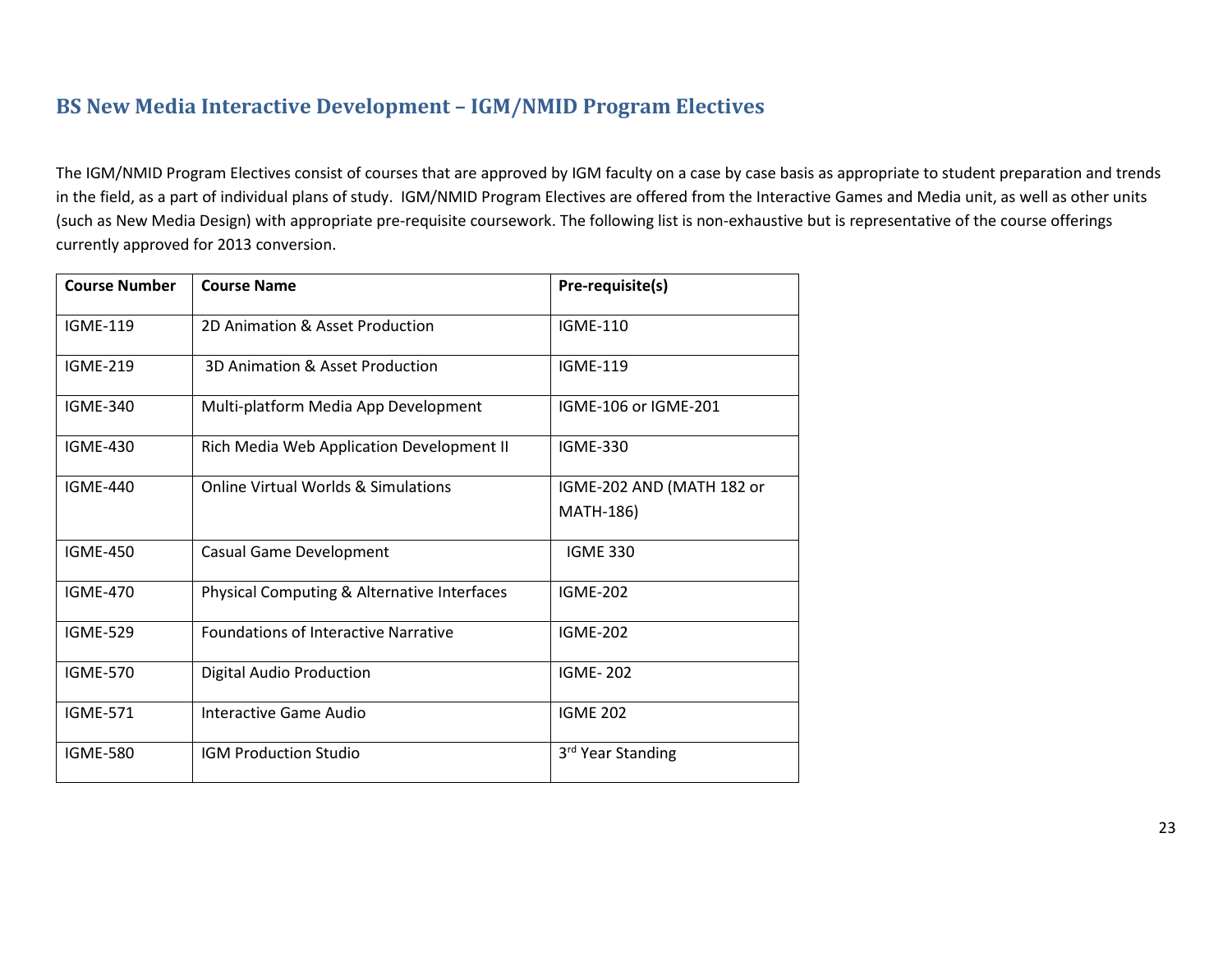# **BS New Media Interactive Development – IGM/NMID Program Electives**

The IGM/NMID Program Electives consist of courses that are approved by IGM faculty on a case by case basis as appropriate to student preparation and trends in the field, as a part of individual plans of study. IGM/NMID Program Electives are offered from the Interactive Games and Media unit, as well as other units (such as New Media Design) with appropriate pre-requisite coursework. The following list is non-exhaustive but is representative of the course offerings currently approved for 2013 conversion.

| <b>Course Number</b> | <b>Course Name</b>                             | Pre-requisite(s)              |
|----------------------|------------------------------------------------|-------------------------------|
| <b>IGME-119</b>      | 2D Animation & Asset Production                | <b>IGME-110</b>               |
| <b>IGME-219</b>      | 3D Animation & Asset Production                | <b>IGME-119</b>               |
| <b>IGME-340</b>      | Multi-platform Media App Development           | IGME-106 or IGME-201          |
| <b>IGME-430</b>      | Rich Media Web Application Development II      | <b>IGME-330</b>               |
| <b>IGME-440</b>      | <b>Online Virtual Worlds &amp; Simulations</b> | IGME-202 AND (MATH 182 or     |
|                      |                                                | <b>MATH-186)</b>              |
| <b>IGME-450</b>      | Casual Game Development                        | <b>IGME 330</b>               |
| <b>IGME-470</b>      | Physical Computing & Alternative Interfaces    | <b>IGME-202</b>               |
| <b>IGME-529</b>      | <b>Foundations of Interactive Narrative</b>    | <b>IGME-202</b>               |
| <b>IGME-570</b>      | <b>Digital Audio Production</b>                | <b>IGME-202</b>               |
| <b>IGME-571</b>      | Interactive Game Audio                         | <b>IGME 202</b>               |
| <b>IGME-580</b>      | <b>IGM Production Studio</b>                   | 3 <sup>rd</sup> Year Standing |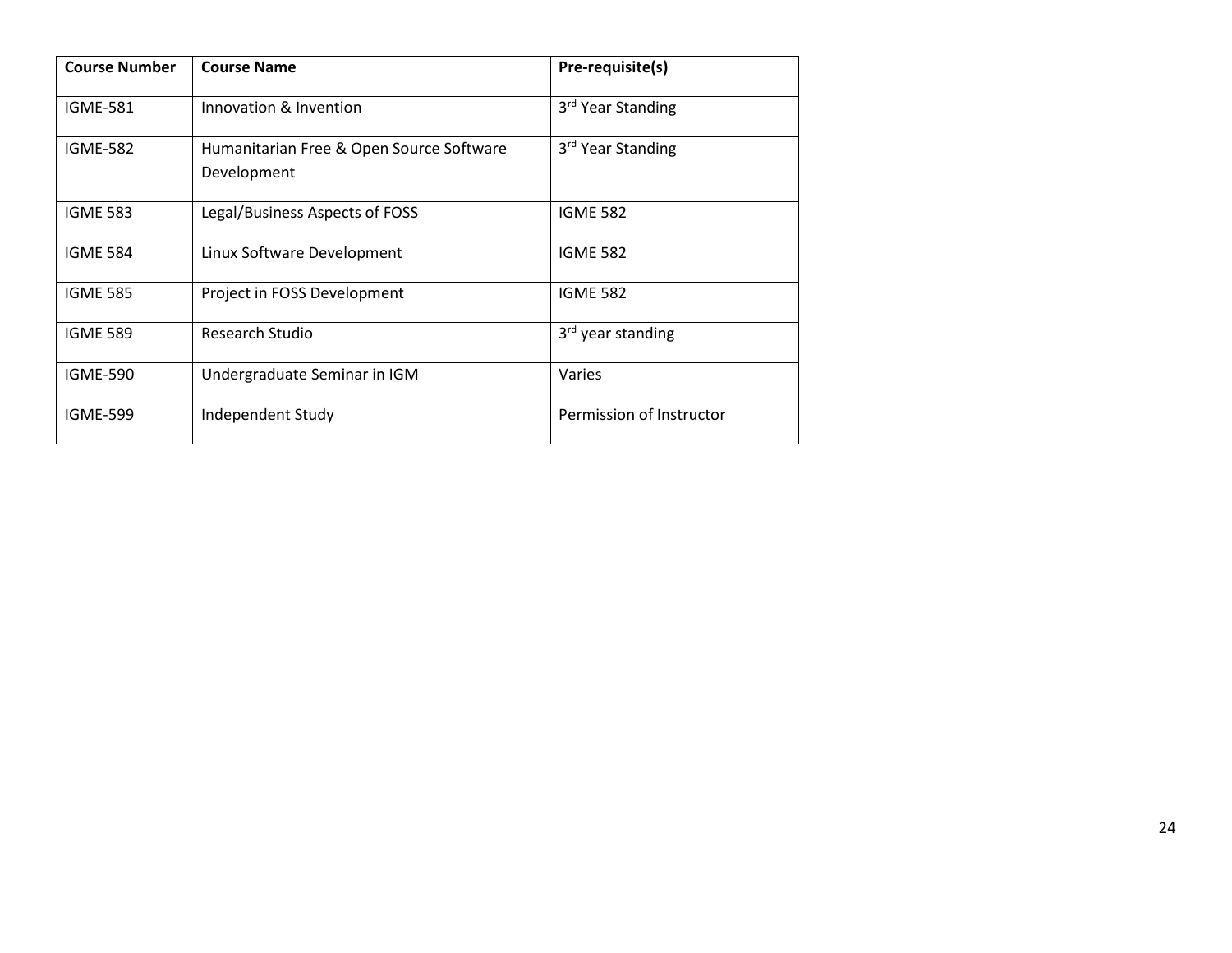| <b>Course Number</b> | <b>Course Name</b>                                      | Pre-requisite(s)              |
|----------------------|---------------------------------------------------------|-------------------------------|
| <b>IGME-581</b>      | Innovation & Invention                                  | 3 <sup>rd</sup> Year Standing |
| <b>IGME-582</b>      | Humanitarian Free & Open Source Software<br>Development | 3 <sup>rd</sup> Year Standing |
| <b>IGME 583</b>      | Legal/Business Aspects of FOSS                          | <b>IGME 582</b>               |
| <b>IGME 584</b>      | Linux Software Development                              | <b>IGME 582</b>               |
| <b>IGME 585</b>      | Project in FOSS Development                             | <b>IGME 582</b>               |
| <b>IGME 589</b>      | Research Studio                                         | 3 <sup>rd</sup> year standing |
| <b>IGME-590</b>      | Undergraduate Seminar in IGM                            | Varies                        |
| <b>IGME-599</b>      | Independent Study                                       | Permission of Instructor      |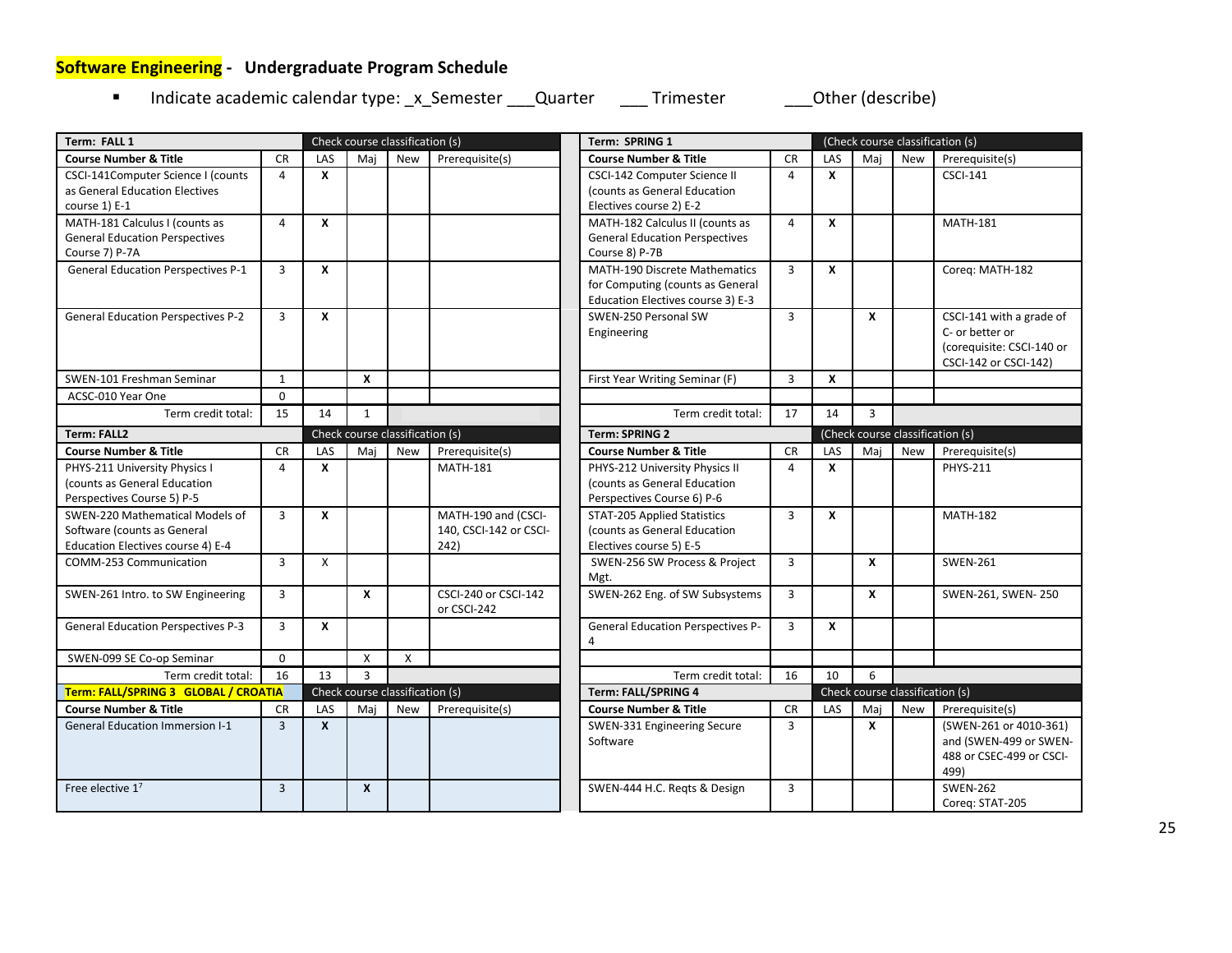# <span id="page-24-0"></span>**Software Engineering - Undergraduate Program Schedule**

Indicate academic calendar type: \_x\_Semester \_\_\_Quarter \_\_\_\_ Trimester \_\_\_\_\_\_ Other (describe)

| Term: FALL 1                              |                |              |                  | Check course classification (s) |                        | Term: SPRING 1                           |                |                                  |                  |                                 | (Check course classification (s) |
|-------------------------------------------|----------------|--------------|------------------|---------------------------------|------------------------|------------------------------------------|----------------|----------------------------------|------------------|---------------------------------|----------------------------------|
| <b>Course Number &amp; Title</b>          | <b>CR</b>      | LAS          | Maj              | <b>New</b>                      | Prerequisite(s)        | <b>Course Number &amp; Title</b>         | <b>CR</b>      | LAS                              | Mai              | <b>New</b>                      | Prerequisite(s)                  |
| CSCI-141Computer Science I (counts        | $\overline{4}$ | X            |                  |                                 |                        | CSCI-142 Computer Science II             | $\overline{4}$ | X                                |                  |                                 | <b>CSCI-141</b>                  |
| as General Education Electives            |                |              |                  |                                 |                        | (counts as General Education             |                |                                  |                  |                                 |                                  |
| course 1) E-1                             |                |              |                  |                                 |                        | Electives course 2) E-2                  |                |                                  |                  |                                 |                                  |
| MATH-181 Calculus I (counts as            | $\overline{4}$ | X            |                  |                                 |                        | MATH-182 Calculus II (counts as          | $\overline{4}$ | X                                |                  |                                 | <b>MATH-181</b>                  |
| <b>General Education Perspectives</b>     |                |              |                  |                                 |                        | <b>General Education Perspectives</b>    |                |                                  |                  |                                 |                                  |
| Course 7) P-7A                            |                |              |                  |                                 |                        | Course 8) P-7B                           |                |                                  |                  |                                 |                                  |
| <b>General Education Perspectives P-1</b> | 3              | X            |                  |                                 |                        | <b>MATH-190 Discrete Mathematics</b>     | $\overline{3}$ | $\mathbf{x}$                     |                  |                                 | Coreg: MATH-182                  |
|                                           |                |              |                  |                                 |                        | for Computing (counts as General         |                |                                  |                  |                                 |                                  |
|                                           |                |              |                  |                                 |                        | Education Electives course 3) E-3        |                |                                  |                  |                                 |                                  |
| <b>General Education Perspectives P-2</b> | $\overline{3}$ | X            |                  |                                 |                        | SWEN-250 Personal SW                     | $\overline{3}$ |                                  | $\boldsymbol{x}$ |                                 | CSCI-141 with a grade of         |
|                                           |                |              |                  |                                 |                        | Engineering                              |                |                                  |                  |                                 | C- or better or                  |
|                                           |                |              |                  |                                 |                        |                                          |                |                                  |                  |                                 | (corequisite: CSCI-140 or        |
|                                           |                |              |                  |                                 |                        |                                          |                |                                  |                  |                                 | CSCI-142 or CSCI-142)            |
| SWEN-101 Freshman Seminar                 | $\mathbf{1}$   |              | $\boldsymbol{x}$ |                                 |                        | First Year Writing Seminar (F)           | $\overline{3}$ | $\boldsymbol{x}$                 |                  |                                 |                                  |
| ACSC-010 Year One                         | $\Omega$       |              |                  |                                 |                        |                                          |                |                                  |                  |                                 |                                  |
| Term credit total:                        | 15             | 14           | 1                |                                 |                        | Term credit total:                       | 17             | 14                               | $\overline{3}$   |                                 |                                  |
| <b>Term: FALL2</b>                        |                |              |                  | Check course classification (s) |                        | <b>Term: SPRING 2</b>                    |                | (Check course classification (s) |                  |                                 |                                  |
| <b>Course Number &amp; Title</b>          | <b>CR</b>      | LAS          | Maj              | <b>New</b>                      | Prerequisite(s)        | <b>Course Number &amp; Title</b>         | <b>CR</b>      | LAS                              | Maj              | <b>New</b>                      | Prerequisite(s)                  |
| PHYS-211 University Physics I             | 4              | X            |                  |                                 | <b>MATH-181</b>        | PHYS-212 University Physics II           | $\overline{a}$ | $\mathbf{x}$                     |                  |                                 | <b>PHYS-211</b>                  |
| (counts as General Education              |                |              |                  |                                 |                        | (counts as General Education             |                |                                  |                  |                                 |                                  |
| Perspectives Course 5) P-5                |                |              |                  |                                 |                        | Perspectives Course 6) P-6               |                |                                  |                  |                                 |                                  |
| SWEN-220 Mathematical Models of           | $\overline{3}$ | X            |                  |                                 | MATH-190 and (CSCI-    | <b>STAT-205 Applied Statistics</b>       | 3              | X                                |                  |                                 | <b>MATH-182</b>                  |
| Software (counts as General               |                |              |                  |                                 | 140, CSCI-142 or CSCI- | (counts as General Education             |                |                                  |                  |                                 |                                  |
| Education Electives course 4) E-4         |                |              |                  |                                 | 242)                   | Electives course 5) E-5                  |                |                                  |                  |                                 |                                  |
| COMM-253 Communication                    | $\overline{3}$ | $\mathsf{x}$ |                  |                                 |                        | SWEN-256 SW Process & Project            | $\overline{3}$ |                                  | $\mathbf{x}$     |                                 | <b>SWEN-261</b>                  |
|                                           |                |              |                  |                                 |                        | Mgt.                                     |                |                                  |                  |                                 |                                  |
| SWEN-261 Intro. to SW Engineering         | 3              |              | X                |                                 | CSCI-240 or CSCI-142   | SWEN-262 Eng. of SW Subsystems           | $\overline{3}$ |                                  | $\boldsymbol{x}$ |                                 | SWEN-261, SWEN-250               |
|                                           |                |              |                  |                                 | or CSCI-242            |                                          |                |                                  |                  |                                 |                                  |
| <b>General Education Perspectives P-3</b> | 3              | X            |                  |                                 |                        | <b>General Education Perspectives P-</b> | $\overline{3}$ | X                                |                  |                                 |                                  |
|                                           |                |              |                  |                                 |                        | 4                                        |                |                                  |                  |                                 |                                  |
| SWEN-099 SE Co-op Seminar                 | $\Omega$       |              | X                | X                               |                        |                                          |                |                                  |                  |                                 |                                  |
| Term credit total:                        | 16             | 13           | $\overline{3}$   |                                 |                        | Term credit total:                       | 16             | 10                               | 6                |                                 |                                  |
| Term: FALL/SPRING 3 GLOBAL / CROATIA      |                |              |                  | Check course classification (s) |                        | Term: FALL/SPRING 4                      |                |                                  |                  | Check course classification (s) |                                  |
| <b>Course Number &amp; Title</b>          | <b>CR</b>      | LAS          | Mai              | <b>New</b>                      | Prerequisite(s)        | <b>Course Number &amp; Title</b>         | <b>CR</b>      | LAS                              | Mai              | <b>New</b>                      | Prerequisite(s)                  |
| <b>General Education Immersion I-1</b>    | $\overline{3}$ | $\mathbf{x}$ |                  |                                 |                        | SWEN-331 Engineering Secure              | $\overline{3}$ |                                  | $\mathbf{x}$     |                                 | (SWEN-261 or 4010-361)           |
|                                           |                |              |                  |                                 |                        | Software                                 |                |                                  |                  |                                 | and (SWEN-499 or SWEN-           |
|                                           |                |              |                  |                                 |                        |                                          |                |                                  |                  |                                 | 488 or CSEC-499 or CSCI-         |
|                                           |                |              |                  |                                 |                        |                                          |                |                                  |                  |                                 | 499)                             |
| Free elective $1^7$                       | 3              |              | X                |                                 |                        | SWEN-444 H.C. Reqts & Design             | $\overline{3}$ |                                  |                  |                                 | <b>SWEN-262</b>                  |
|                                           |                |              |                  |                                 |                        |                                          |                |                                  |                  |                                 | Coreg: STAT-205                  |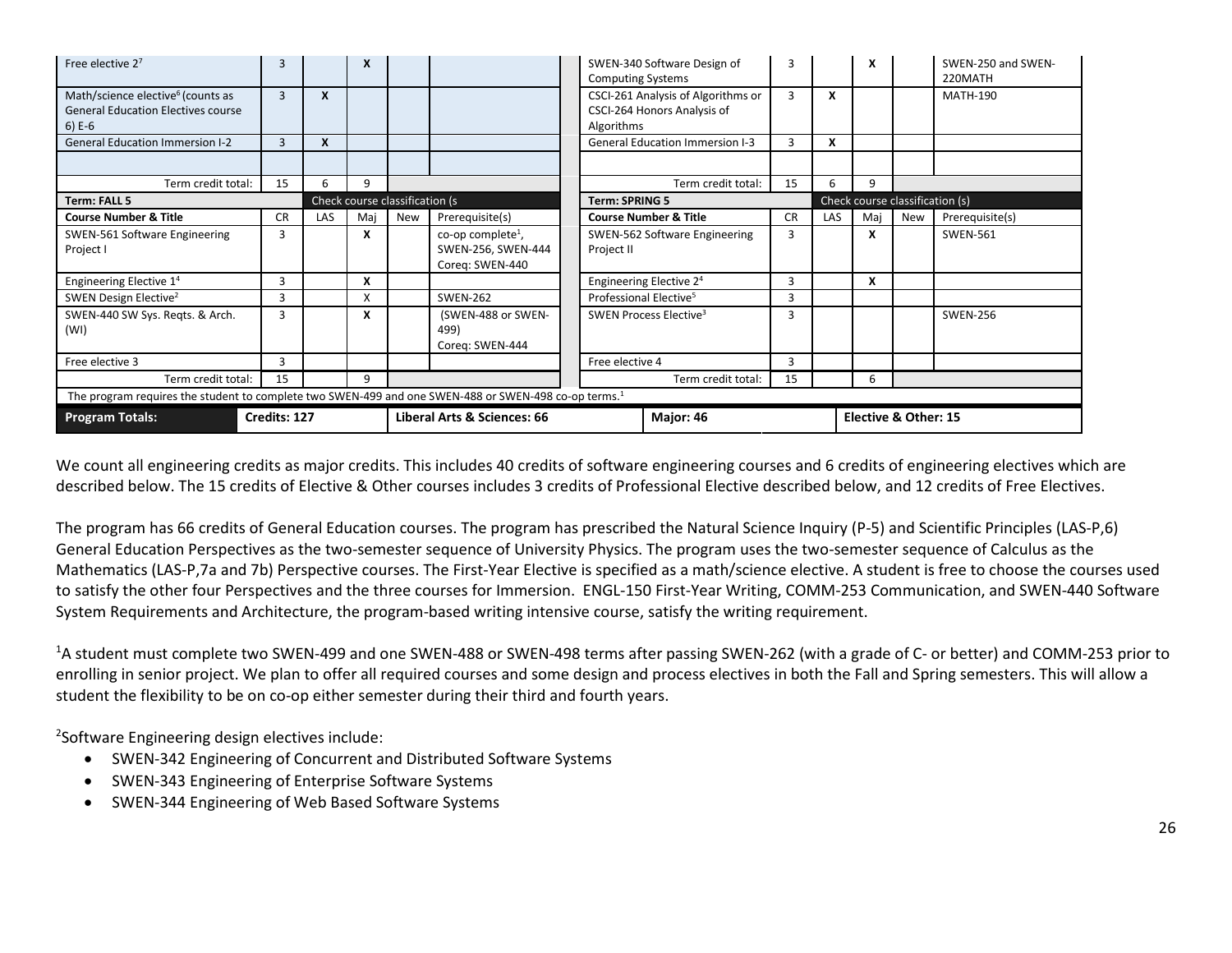| Free elective 27                                                                                                 | 3            |                           | X   |                                |                                                                        | SWEN-340 Software Design of<br><b>Computing Systems</b>                         | 3         |                                 | x                    |     | SWEN-250 and SWEN-<br>220MATH |  |
|------------------------------------------------------------------------------------------------------------------|--------------|---------------------------|-----|--------------------------------|------------------------------------------------------------------------|---------------------------------------------------------------------------------|-----------|---------------------------------|----------------------|-----|-------------------------------|--|
| Math/science elective <sup>6</sup> (counts as<br><b>General Education Electives course</b><br>$6) E-6$           | 3            | $\boldsymbol{\mathsf{x}}$ |     |                                |                                                                        | CSCI-261 Analysis of Algorithms or<br>CSCI-264 Honors Analysis of<br>Algorithms | 3         | X                               |                      |     | <b>MATH-190</b>               |  |
| <b>General Education Immersion I-2</b>                                                                           | 3            | X                         |     |                                |                                                                        | <b>General Education Immersion I-3</b>                                          | 3         | X                               |                      |     |                               |  |
|                                                                                                                  |              |                           |     |                                |                                                                        |                                                                                 |           |                                 |                      |     |                               |  |
| Term credit total:                                                                                               | 15           | 6                         | q   |                                |                                                                        | Term credit total:                                                              | 15        | 6                               | q                    |     |                               |  |
| <b>Term: FALL 5</b>                                                                                              |              |                           |     | Check course classification (s |                                                                        | <b>Term: SPRING 5</b>                                                           |           | Check course classification (s) |                      |     |                               |  |
| <b>Course Number &amp; Title</b>                                                                                 | <b>CR</b>    | LAS                       | Mai | New                            | Prerequisite(s)                                                        | <b>Course Number &amp; Title</b>                                                | <b>CR</b> | LAS                             | Mai                  | New | Prerequisite(s)               |  |
| SWEN-561 Software Engineering<br>Project I                                                                       | 3            |                           | X   |                                | co-op complete <sup>1</sup> ,<br>SWEN-256, SWEN-444<br>Coreg: SWEN-440 | SWEN-562 Software Engineering<br>Project II                                     | 3         |                                 | x                    |     | <b>SWEN-561</b>               |  |
| Engineering Elective 1 <sup>4</sup>                                                                              | 3            |                           | X   |                                |                                                                        | Engineering Elective 2 <sup>4</sup>                                             | 3         |                                 | X                    |     |                               |  |
| SWEN Design Elective <sup>2</sup>                                                                                | 3            |                           | X   |                                | <b>SWEN-262</b>                                                        | Professional Elective <sup>5</sup>                                              | 3         |                                 |                      |     |                               |  |
| SWEN-440 SW Sys. Regts. & Arch.<br>(WI)                                                                          | 3            |                           | x   |                                | (SWEN-488 or SWEN-<br>499)<br>Coreg: SWEN-444                          | SWEN Process Elective <sup>3</sup>                                              | З         |                                 |                      |     | <b>SWEN-256</b>               |  |
| Free elective 3                                                                                                  | 3            |                           |     |                                |                                                                        | Free elective 4                                                                 | 3         |                                 |                      |     |                               |  |
| Term credit total:                                                                                               | 15           |                           | 9   |                                |                                                                        | Term credit total:                                                              | 15        |                                 | 6                    |     |                               |  |
| The program requires the student to complete two SWEN-499 and one SWEN-488 or SWEN-498 co-op terms. <sup>1</sup> |              |                           |     |                                |                                                                        |                                                                                 |           |                                 |                      |     |                               |  |
| <b>Program Totals:</b>                                                                                           | Credits: 127 |                           |     |                                | Liberal Arts & Sciences: 66                                            | Major: 46                                                                       |           |                                 | Elective & Other: 15 |     |                               |  |

We count all engineering credits as major credits. This includes 40 credits of software engineering courses and 6 credits of engineering electives which are described below. The 15 credits of Elective & Other courses includes 3 credits of Professional Elective described below, and 12 credits of Free Electives.

The program has 66 credits of General Education courses. The program has prescribed the Natural Science Inquiry (P-5) and Scientific Principles (LAS-P,6) General Education Perspectives as the two-semester sequence of University Physics. The program uses the two-semester sequence of Calculus as the Mathematics (LAS-P,7a and 7b) Perspective courses. The First-Year Elective is specified as a math/science elective. A student is free to choose the courses used to satisfy the other four Perspectives and the three courses for Immersion. ENGL-150 First-Year Writing, COMM-253 Communication, and SWEN-440 Software System Requirements and Architecture, the program-based writing intensive course, satisfy the writing requirement.

<sup>1</sup>A student must complete two SWEN-499 and one SWEN-488 or SWEN-498 terms after passing SWEN-262 (with a grade of C- or better) and COMM-253 prior to enrolling in senior project. We plan to offer all required courses and some design and process electives in both the Fall and Spring semesters. This will allow a student the flexibility to be on co-op either semester during their third and fourth years.

<sup>2</sup>Software Engineering design electives include:

- SWEN-342 Engineering of Concurrent and Distributed Software Systems
- SWEN-343 Engineering of Enterprise Software Systems
- SWEN-344 Engineering of Web Based Software Systems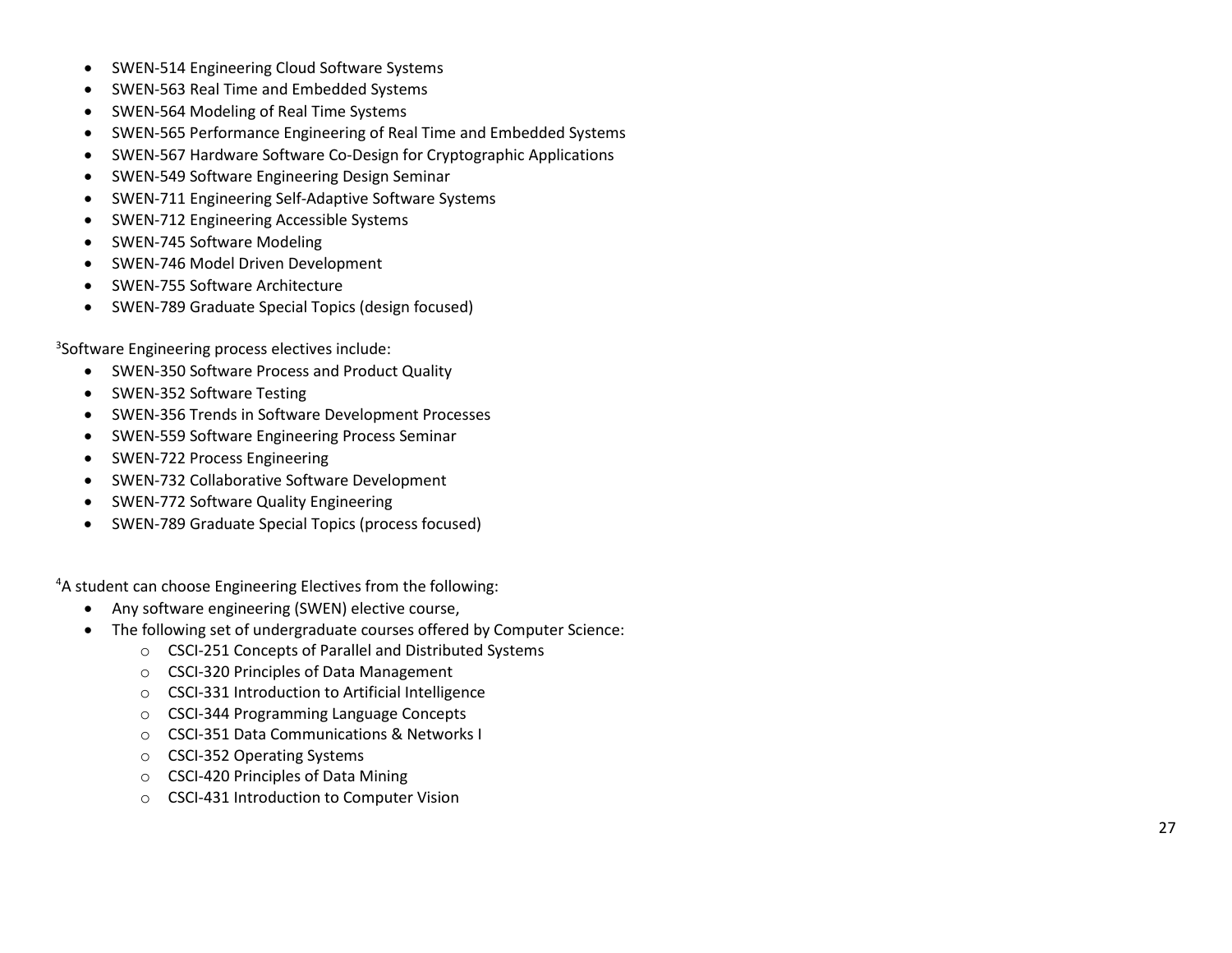- SWEN -514 Engineering Cloud Software Systems
- SWEN -563 Real Time and Embedded Systems
- SWEN -564 Modeling of Real Time Systems
- SWEN -565 Performance Engineering of Real Time and Embedded Systems
- SWEN -567 Hardware Software Co -Design for Cryptographic Applications
- SWEN -549 Software Engineering Design Seminar
- SWEN -711 Engineering Self -Adaptive Software Systems
- SWEN -712 Engineering Accessible Systems
- SWEN -745 Software Modeling
- SWEN -746 Model Driven Development
- SWEN -755 Software Architecture
- SWEN -789 Graduate Special Topics (design focused)

3 Software Engineering process electives include:

- SWEN-350 Software Process and Product Quality
- SWEN-352 Software Testing
- SWEN-356 Trends in Software Development Processes
- SWEN-559 Software Engineering Process Seminar
- SWEN-722 Process Engineering
- SWEN-732 Collaborative Software Development
- SWEN-772 Software Quality Engineering
- SWEN-789 Graduate Special Topics (process focused)

4 A student can choose Engineering Electives from the following:

- Any software engineering (SWEN) elective course,
- The following set of undergraduate courses offered by Computer Science :
	- o CSCI -251 Concepts of Parallel and Distributed Systems
	- o CSCI -320 Principles of Data Management
	- o CSCI -331 Introduction to Artificial Intelligence
	- o CSCI -344 Programming Language Concepts
	- o CSCI -351 Data Communications & Networks I
	- o CSCI -352 Operating Systems
	- o CSCI -420 Principles of Data Mining
	- o CSCI -431 Introduction to Computer Vision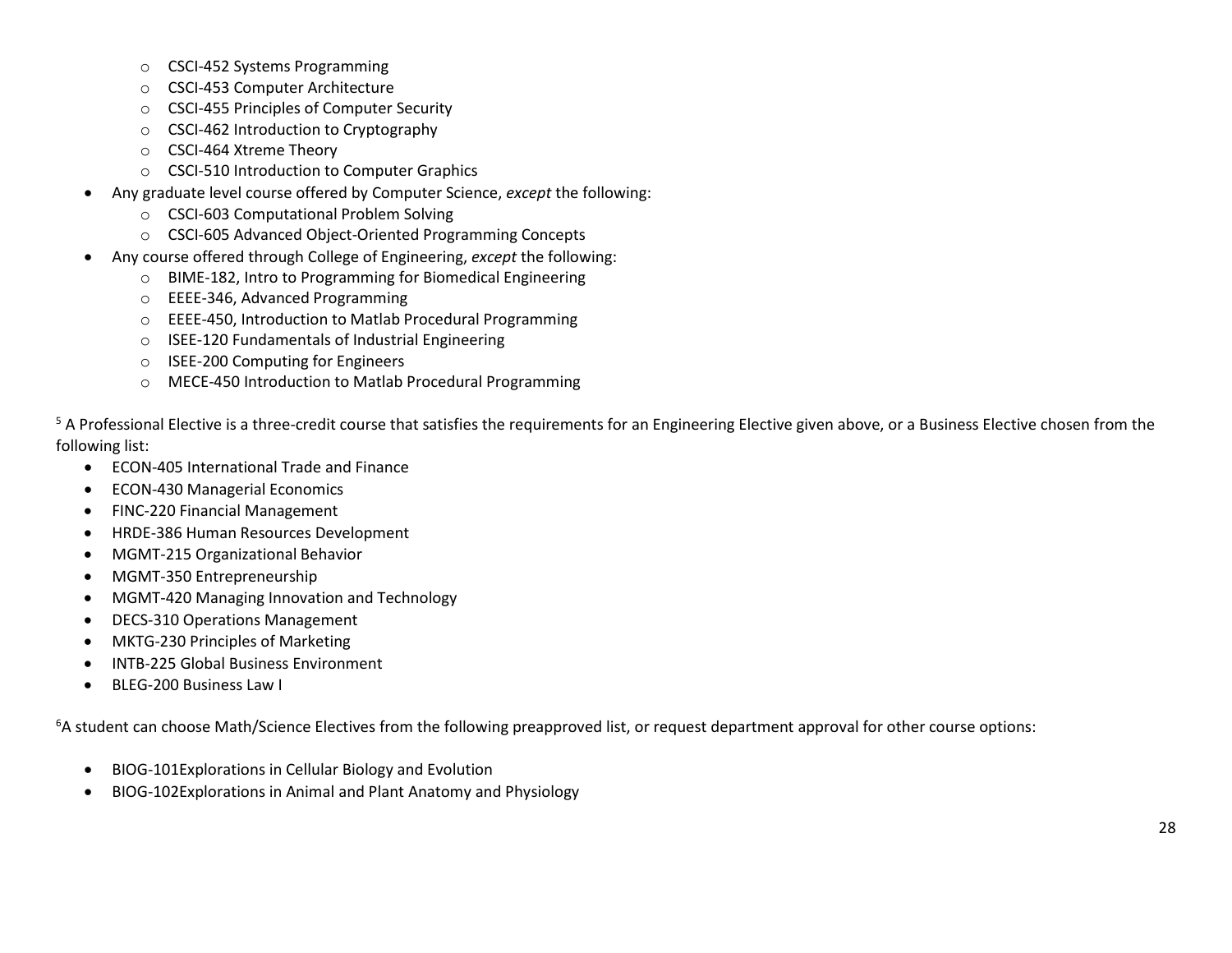- o CSCI-452 Systems Programming
- o CSCI-453 Computer Architecture
- o CSCI-455 Principles of Computer Security
- o CSCI-462 Introduction to Cryptography
- o CSCI-464 Xtreme Theory
- o CSCI-510 Introduction to Computer Graphics
- Any graduate level course offered by Computer Science, *except* the following:
	- o CSCI-603 Computational Problem Solving
	- o CSCI-605 Advanced Object-Oriented Programming Concepts
- Any course offered through College of Engineering, *except* the following:
	- o BIME-182, Intro to Programming for Biomedical Engineering
	- o EEEE-346, Advanced Programming
	- o EEEE-450, Introduction to Matlab Procedural Programming
	- o ISEE-120 Fundamentals of Industrial Engineering
	- o ISEE-200 Computing for Engineers
	- o MECE-450 Introduction to Matlab Procedural Programming

<sup>5</sup> A Professional Elective is a three-credit course that satisfies the requirements for an Engineering Elective given above, or a Business Elective chosen from the following list:

- ECON-405 International Trade and Finance
- ECON-430 Managerial Economics
- FINC-220 Financial Management
- HRDE-386 Human Resources Development
- MGMT-215 Organizational Behavior
- MGMT-350 Entrepreneurship
- MGMT-420 Managing Innovation and Technology
- DECS-310 Operations Management
- MKTG-230 Principles of Marketing
- INTB-225 Global Business Environment
- BLEG-200 Business Law I

<sup>6</sup>A student can choose Math/Science Electives from the following preapproved list, or request department approval for other course options:

- BIOG-101Explorations in Cellular Biology and Evolution
- BIOG-102Explorations in Animal and Plant Anatomy and Physiology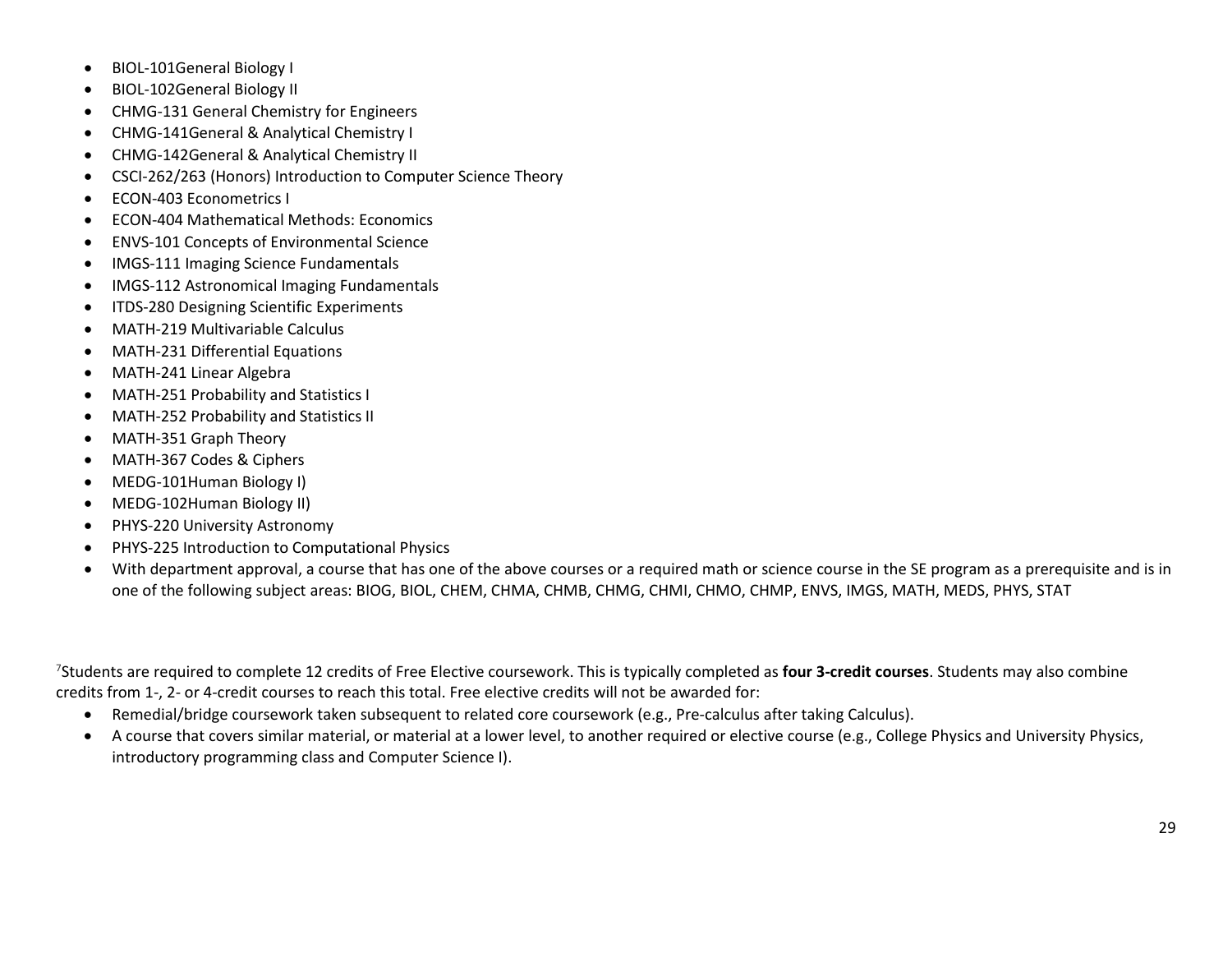- BIOL-101General Biology I
- BIOL-102General Biology II
- CHMG-131 General Chemistry for Engineers
- CHMG-141General & Analytical Chemistry I
- CHMG-142General & Analytical Chemistry II
- CSCI-262/263 (Honors) Introduction to Computer Science Theory
- ECON-403 Econometrics I
- ECON-404 Mathematical Methods: Economics
- ENVS-101 Concepts of Environmental Science
- IMGS-111 Imaging Science Fundamentals
- IMGS-112 Astronomical Imaging Fundamentals
- ITDS-280 Designing Scientific Experiments
- MATH-219 Multivariable Calculus
- MATH-231 Differential Equations
- MATH-241 Linear Algebra
- MATH-251 Probability and Statistics I
- MATH-252 Probability and Statistics II
- MATH-351 Graph Theory
- MATH-367 Codes & Ciphers
- MEDG-101Human Biology I)
- MEDG-102Human Biology II)
- PHYS-220 University Astronomy
- PHYS-225 Introduction to Computational Physics
- With department approval, a course that has one of the above courses or a required math or science course in the SE program as a prerequisite and is in one of the following subject areas: BIOG, BIOL, CHEM, CHMA, CHMB, CHMG, CHMI, CHMO, CHMP, ENVS, IMGS, MATH, MEDS, PHYS, STAT

7Students are required to complete 12 credits of Free Elective coursework. This is typically completed as **four 3-credit courses**. Students may also combine credits from 1-, 2- or 4-credit courses to reach this total. Free elective credits will not be awarded for:

- Remedial/bridge coursework taken subsequent to related core coursework (e.g., Pre-calculus after taking Calculus).
- A course that covers similar material, or material at a lower level, to another required or elective course (e.g., College Physics and University Physics, introductory programming class and Computer Science I).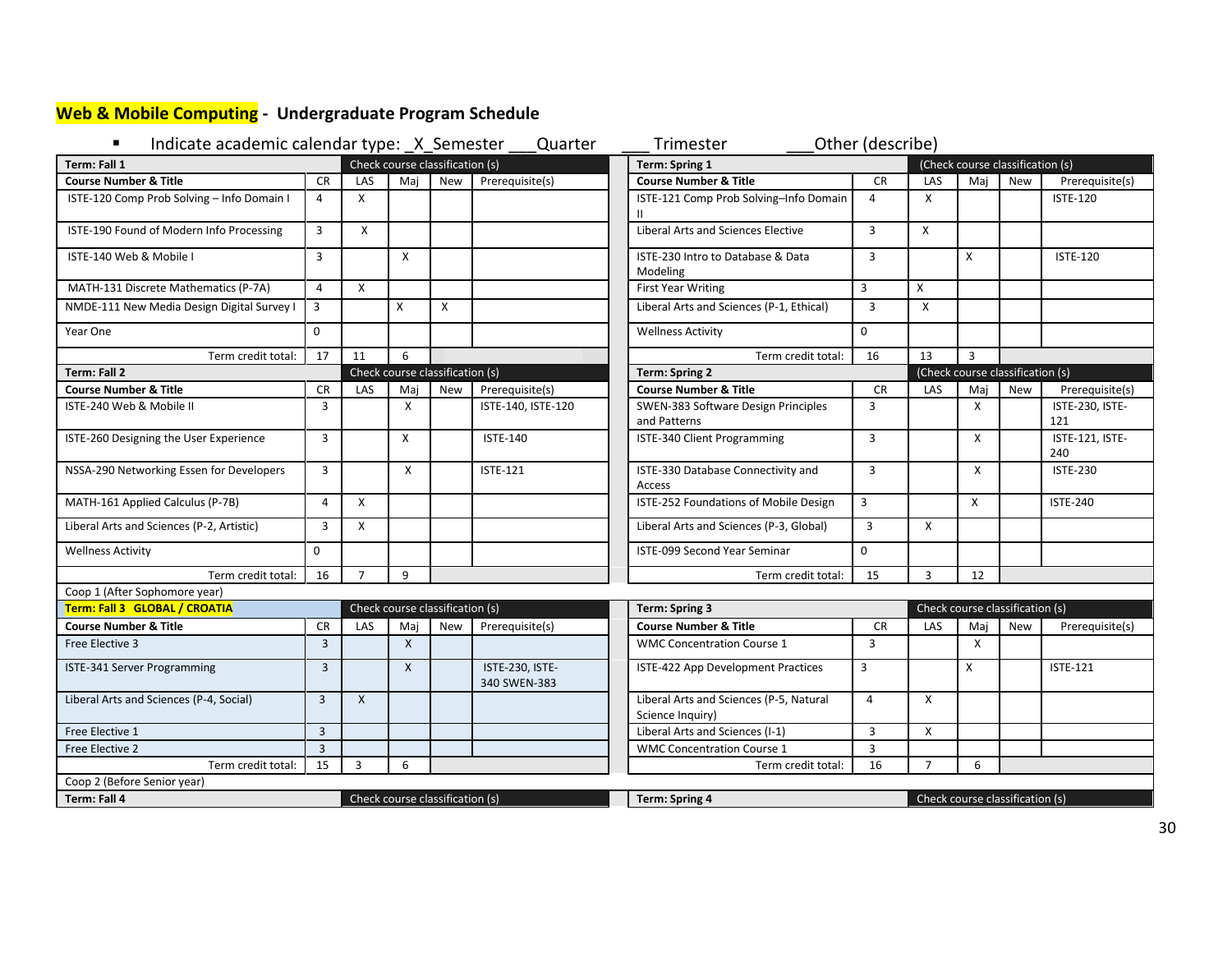# <span id="page-29-0"></span>**Web & Mobile Computing - Undergraduate Program Schedule**

| Check course classification (s)<br>Term: Fall 1<br>(Check course classification (s)<br>Term: Spring 1<br><b>Course Number &amp; Title</b><br><b>CR</b><br><b>Course Number &amp; Title</b><br><b>CR</b><br>LAS<br>Maj<br>Prerequisite(s)<br>LAS<br>Prerequisite(s)<br><b>New</b><br>Maj<br><b>New</b><br>ISTE-120 Comp Prob Solving - Info Domain I<br>X<br>ISTE-121 Comp Prob Solving-Info Domain<br>X<br><b>ISTE-120</b><br>$\overline{4}$<br>$\overline{4}$<br>$\mathbf{H}$<br>Liberal Arts and Sciences Elective<br>ISTE-190 Found of Modern Info Processing<br>$\overline{3}$<br>X<br>$\overline{3}$<br>$\mathsf{x}$<br>ISTE-140 Web & Mobile I<br>$\overline{3}$<br>$\mathsf{x}$<br>3<br>$\times$<br>ISTE-230 Intro to Database & Data<br><b>ISTE-120</b><br>Modeling<br>3<br>$\mathsf{X}$<br><b>First Year Writing</b><br>X<br>MATH-131 Discrete Mathematics (P-7A)<br>$\overline{4}$<br>$\mathsf{x}$<br>$\overline{3}$<br>$\mathsf{X}$<br>Liberal Arts and Sciences (P-1, Ethical)<br>$\overline{3}$<br>$\mathsf{x}$<br>NMDE-111 New Media Design Digital Survey I<br>$\Omega$<br>Year One<br>$\Omega$<br><b>Wellness Activity</b><br>11<br>6<br>16<br>13<br>$\overline{3}$<br>Term credit total:<br>17<br>Term credit total:<br>Check course classification (s)<br>Term: Fall 2<br><b>Term: Spring 2</b><br>(Check course classification (s)<br><b>CR</b><br>LAS<br>Maj<br>New<br>Prerequisite(s)<br><b>Course Number &amp; Title</b><br><b>CR</b><br>LAS<br>Maj<br>New<br>Prerequisite(s)<br><b>Course Number &amp; Title</b><br>$\overline{3}$<br>ISTE-140, ISTE-120<br>SWEN-383 Software Design Principles<br>$\overline{3}$<br>$\mathsf{x}$<br>ISTE-230, ISTE-<br>ISTE-240 Web & Mobile II<br>X<br>and Patterns<br>121<br>$\overline{3}$<br>ISTE-340 Client Programming<br>ISTE-121, ISTE-<br>ISTE-260 Designing the User Experience<br>$\mathsf{x}$<br><b>ISTE-140</b><br>3<br>$\mathsf{x}$<br>240<br>NSSA-290 Networking Essen for Developers<br>3<br>X<br>ISTE-330 Database Connectivity and<br>3<br>X<br><b>ISTE-230</b><br><b>ISTE-121</b><br>Access<br>3<br>MATH-161 Applied Calculus (P-7B)<br>ISTE-252 Foundations of Mobile Design<br>$\times$<br>$\overline{4}$<br>X<br><b>ISTE-240</b><br>Liberal Arts and Sciences (P-2, Artistic)<br>X<br>Liberal Arts and Sciences (P-3, Global)<br>$\overline{3}$<br>X<br>3<br>0<br>$\Omega$<br><b>ISTE-099 Second Year Seminar</b><br><b>Wellness Activity</b><br>16<br>9<br>15<br>$\overline{3}$<br>Term credit total:<br>$\overline{7}$<br>Term credit total:<br>12<br>Coop 1 (After Sophomore year)<br>Term: Fall 3 GLOBAL / CROATIA<br>Check course classification (s)<br>Check course classification (s)<br><b>Term: Spring 3</b><br><b>Course Number &amp; Title</b><br><b>Course Number &amp; Title</b><br><b>CR</b><br>LAS<br>Maj<br><b>New</b><br>Prerequisite(s)<br><b>CR</b><br>LAS<br>Mai<br><b>New</b><br>Prerequisite(s)<br>$\overline{3}$<br>$\mathsf{X}$<br>3<br><b>WMC Concentration Course 1</b><br>$\mathsf{x}$<br>Free Elective 3<br>$\overline{3}$<br>$\mathsf{x}$<br>ISTE-230, ISTE-<br>X<br><b>ISTE-121</b><br>ISTE-341 Server Programming<br>ISTE-422 App Development Practices<br>3<br>340 SWEN-383<br>Liberal Arts and Sciences (P-5, Natural<br>Liberal Arts and Sciences (P-4, Social)<br>$\overline{3}$<br>$\mathsf{X}$<br>X<br>$\overline{4}$<br>Science Inquiry)<br>Free Elective 1<br>$\overline{3}$<br>Liberal Arts and Sciences (I-1)<br>3<br>X<br>$\overline{3}$<br>$\overline{3}$<br>Free Elective 2<br><b>WMC Concentration Course 1</b><br>15<br>3<br>6<br>16<br>$\overline{7}$<br>6<br>Term credit total:<br>Term credit total:<br>Coop 2 (Before Senior year)<br>Check course classification (s)<br>Term: Fall 4<br><b>Term: Spring 4</b><br>Check course classification (s) | Other (describe)<br>Indicate academic calendar type: _X_Semester<br>Quarter<br>٠<br>Trimester |  |  |  |  |  |  |  |  |  |  |  |  |  |
|-----------------------------------------------------------------------------------------------------------------------------------------------------------------------------------------------------------------------------------------------------------------------------------------------------------------------------------------------------------------------------------------------------------------------------------------------------------------------------------------------------------------------------------------------------------------------------------------------------------------------------------------------------------------------------------------------------------------------------------------------------------------------------------------------------------------------------------------------------------------------------------------------------------------------------------------------------------------------------------------------------------------------------------------------------------------------------------------------------------------------------------------------------------------------------------------------------------------------------------------------------------------------------------------------------------------------------------------------------------------------------------------------------------------------------------------------------------------------------------------------------------------------------------------------------------------------------------------------------------------------------------------------------------------------------------------------------------------------------------------------------------------------------------------------------------------------------------------------------------------------------------------------------------------------------------------------------------------------------------------------------------------------------------------------------------------------------------------------------------------------------------------------------------------------------------------------------------------------------------------------------------------------------------------------------------------------------------------------------------------------------------------------------------------------------------------------------------------------------------------------------------------------------------------------------------------------------------------------------------------------------------------------------------------------------------------------------------------------------------------------------------------------------------------------------------------------------------------------------------------------------------------------------------------------------------------------------------------------------------------------------------------------------------------------------------------------------------------------------------------------------------------------------------------------------------------------------------------------------------------------------------------------------------------------------------------------------------------------------------------------------------------------------------------------------------------------------------------------------------------------------------------------------------------------------------------------------------------------------------------------------------------------------------------------------------------------------------------------------------------------------------------------------------|-----------------------------------------------------------------------------------------------|--|--|--|--|--|--|--|--|--|--|--|--|--|
|                                                                                                                                                                                                                                                                                                                                                                                                                                                                                                                                                                                                                                                                                                                                                                                                                                                                                                                                                                                                                                                                                                                                                                                                                                                                                                                                                                                                                                                                                                                                                                                                                                                                                                                                                                                                                                                                                                                                                                                                                                                                                                                                                                                                                                                                                                                                                                                                                                                                                                                                                                                                                                                                                                                                                                                                                                                                                                                                                                                                                                                                                                                                                                                                                                                                                                                                                                                                                                                                                                                                                                                                                                                                                                                                                                                   |                                                                                               |  |  |  |  |  |  |  |  |  |  |  |  |  |
|                                                                                                                                                                                                                                                                                                                                                                                                                                                                                                                                                                                                                                                                                                                                                                                                                                                                                                                                                                                                                                                                                                                                                                                                                                                                                                                                                                                                                                                                                                                                                                                                                                                                                                                                                                                                                                                                                                                                                                                                                                                                                                                                                                                                                                                                                                                                                                                                                                                                                                                                                                                                                                                                                                                                                                                                                                                                                                                                                                                                                                                                                                                                                                                                                                                                                                                                                                                                                                                                                                                                                                                                                                                                                                                                                                                   |                                                                                               |  |  |  |  |  |  |  |  |  |  |  |  |  |
|                                                                                                                                                                                                                                                                                                                                                                                                                                                                                                                                                                                                                                                                                                                                                                                                                                                                                                                                                                                                                                                                                                                                                                                                                                                                                                                                                                                                                                                                                                                                                                                                                                                                                                                                                                                                                                                                                                                                                                                                                                                                                                                                                                                                                                                                                                                                                                                                                                                                                                                                                                                                                                                                                                                                                                                                                                                                                                                                                                                                                                                                                                                                                                                                                                                                                                                                                                                                                                                                                                                                                                                                                                                                                                                                                                                   |                                                                                               |  |  |  |  |  |  |  |  |  |  |  |  |  |
|                                                                                                                                                                                                                                                                                                                                                                                                                                                                                                                                                                                                                                                                                                                                                                                                                                                                                                                                                                                                                                                                                                                                                                                                                                                                                                                                                                                                                                                                                                                                                                                                                                                                                                                                                                                                                                                                                                                                                                                                                                                                                                                                                                                                                                                                                                                                                                                                                                                                                                                                                                                                                                                                                                                                                                                                                                                                                                                                                                                                                                                                                                                                                                                                                                                                                                                                                                                                                                                                                                                                                                                                                                                                                                                                                                                   |                                                                                               |  |  |  |  |  |  |  |  |  |  |  |  |  |
|                                                                                                                                                                                                                                                                                                                                                                                                                                                                                                                                                                                                                                                                                                                                                                                                                                                                                                                                                                                                                                                                                                                                                                                                                                                                                                                                                                                                                                                                                                                                                                                                                                                                                                                                                                                                                                                                                                                                                                                                                                                                                                                                                                                                                                                                                                                                                                                                                                                                                                                                                                                                                                                                                                                                                                                                                                                                                                                                                                                                                                                                                                                                                                                                                                                                                                                                                                                                                                                                                                                                                                                                                                                                                                                                                                                   |                                                                                               |  |  |  |  |  |  |  |  |  |  |  |  |  |
|                                                                                                                                                                                                                                                                                                                                                                                                                                                                                                                                                                                                                                                                                                                                                                                                                                                                                                                                                                                                                                                                                                                                                                                                                                                                                                                                                                                                                                                                                                                                                                                                                                                                                                                                                                                                                                                                                                                                                                                                                                                                                                                                                                                                                                                                                                                                                                                                                                                                                                                                                                                                                                                                                                                                                                                                                                                                                                                                                                                                                                                                                                                                                                                                                                                                                                                                                                                                                                                                                                                                                                                                                                                                                                                                                                                   |                                                                                               |  |  |  |  |  |  |  |  |  |  |  |  |  |
|                                                                                                                                                                                                                                                                                                                                                                                                                                                                                                                                                                                                                                                                                                                                                                                                                                                                                                                                                                                                                                                                                                                                                                                                                                                                                                                                                                                                                                                                                                                                                                                                                                                                                                                                                                                                                                                                                                                                                                                                                                                                                                                                                                                                                                                                                                                                                                                                                                                                                                                                                                                                                                                                                                                                                                                                                                                                                                                                                                                                                                                                                                                                                                                                                                                                                                                                                                                                                                                                                                                                                                                                                                                                                                                                                                                   |                                                                                               |  |  |  |  |  |  |  |  |  |  |  |  |  |
|                                                                                                                                                                                                                                                                                                                                                                                                                                                                                                                                                                                                                                                                                                                                                                                                                                                                                                                                                                                                                                                                                                                                                                                                                                                                                                                                                                                                                                                                                                                                                                                                                                                                                                                                                                                                                                                                                                                                                                                                                                                                                                                                                                                                                                                                                                                                                                                                                                                                                                                                                                                                                                                                                                                                                                                                                                                                                                                                                                                                                                                                                                                                                                                                                                                                                                                                                                                                                                                                                                                                                                                                                                                                                                                                                                                   |                                                                                               |  |  |  |  |  |  |  |  |  |  |  |  |  |
|                                                                                                                                                                                                                                                                                                                                                                                                                                                                                                                                                                                                                                                                                                                                                                                                                                                                                                                                                                                                                                                                                                                                                                                                                                                                                                                                                                                                                                                                                                                                                                                                                                                                                                                                                                                                                                                                                                                                                                                                                                                                                                                                                                                                                                                                                                                                                                                                                                                                                                                                                                                                                                                                                                                                                                                                                                                                                                                                                                                                                                                                                                                                                                                                                                                                                                                                                                                                                                                                                                                                                                                                                                                                                                                                                                                   |                                                                                               |  |  |  |  |  |  |  |  |  |  |  |  |  |
|                                                                                                                                                                                                                                                                                                                                                                                                                                                                                                                                                                                                                                                                                                                                                                                                                                                                                                                                                                                                                                                                                                                                                                                                                                                                                                                                                                                                                                                                                                                                                                                                                                                                                                                                                                                                                                                                                                                                                                                                                                                                                                                                                                                                                                                                                                                                                                                                                                                                                                                                                                                                                                                                                                                                                                                                                                                                                                                                                                                                                                                                                                                                                                                                                                                                                                                                                                                                                                                                                                                                                                                                                                                                                                                                                                                   |                                                                                               |  |  |  |  |  |  |  |  |  |  |  |  |  |
|                                                                                                                                                                                                                                                                                                                                                                                                                                                                                                                                                                                                                                                                                                                                                                                                                                                                                                                                                                                                                                                                                                                                                                                                                                                                                                                                                                                                                                                                                                                                                                                                                                                                                                                                                                                                                                                                                                                                                                                                                                                                                                                                                                                                                                                                                                                                                                                                                                                                                                                                                                                                                                                                                                                                                                                                                                                                                                                                                                                                                                                                                                                                                                                                                                                                                                                                                                                                                                                                                                                                                                                                                                                                                                                                                                                   |                                                                                               |  |  |  |  |  |  |  |  |  |  |  |  |  |
|                                                                                                                                                                                                                                                                                                                                                                                                                                                                                                                                                                                                                                                                                                                                                                                                                                                                                                                                                                                                                                                                                                                                                                                                                                                                                                                                                                                                                                                                                                                                                                                                                                                                                                                                                                                                                                                                                                                                                                                                                                                                                                                                                                                                                                                                                                                                                                                                                                                                                                                                                                                                                                                                                                                                                                                                                                                                                                                                                                                                                                                                                                                                                                                                                                                                                                                                                                                                                                                                                                                                                                                                                                                                                                                                                                                   |                                                                                               |  |  |  |  |  |  |  |  |  |  |  |  |  |
|                                                                                                                                                                                                                                                                                                                                                                                                                                                                                                                                                                                                                                                                                                                                                                                                                                                                                                                                                                                                                                                                                                                                                                                                                                                                                                                                                                                                                                                                                                                                                                                                                                                                                                                                                                                                                                                                                                                                                                                                                                                                                                                                                                                                                                                                                                                                                                                                                                                                                                                                                                                                                                                                                                                                                                                                                                                                                                                                                                                                                                                                                                                                                                                                                                                                                                                                                                                                                                                                                                                                                                                                                                                                                                                                                                                   |                                                                                               |  |  |  |  |  |  |  |  |  |  |  |  |  |
|                                                                                                                                                                                                                                                                                                                                                                                                                                                                                                                                                                                                                                                                                                                                                                                                                                                                                                                                                                                                                                                                                                                                                                                                                                                                                                                                                                                                                                                                                                                                                                                                                                                                                                                                                                                                                                                                                                                                                                                                                                                                                                                                                                                                                                                                                                                                                                                                                                                                                                                                                                                                                                                                                                                                                                                                                                                                                                                                                                                                                                                                                                                                                                                                                                                                                                                                                                                                                                                                                                                                                                                                                                                                                                                                                                                   |                                                                                               |  |  |  |  |  |  |  |  |  |  |  |  |  |
|                                                                                                                                                                                                                                                                                                                                                                                                                                                                                                                                                                                                                                                                                                                                                                                                                                                                                                                                                                                                                                                                                                                                                                                                                                                                                                                                                                                                                                                                                                                                                                                                                                                                                                                                                                                                                                                                                                                                                                                                                                                                                                                                                                                                                                                                                                                                                                                                                                                                                                                                                                                                                                                                                                                                                                                                                                                                                                                                                                                                                                                                                                                                                                                                                                                                                                                                                                                                                                                                                                                                                                                                                                                                                                                                                                                   |                                                                                               |  |  |  |  |  |  |  |  |  |  |  |  |  |
|                                                                                                                                                                                                                                                                                                                                                                                                                                                                                                                                                                                                                                                                                                                                                                                                                                                                                                                                                                                                                                                                                                                                                                                                                                                                                                                                                                                                                                                                                                                                                                                                                                                                                                                                                                                                                                                                                                                                                                                                                                                                                                                                                                                                                                                                                                                                                                                                                                                                                                                                                                                                                                                                                                                                                                                                                                                                                                                                                                                                                                                                                                                                                                                                                                                                                                                                                                                                                                                                                                                                                                                                                                                                                                                                                                                   |                                                                                               |  |  |  |  |  |  |  |  |  |  |  |  |  |
|                                                                                                                                                                                                                                                                                                                                                                                                                                                                                                                                                                                                                                                                                                                                                                                                                                                                                                                                                                                                                                                                                                                                                                                                                                                                                                                                                                                                                                                                                                                                                                                                                                                                                                                                                                                                                                                                                                                                                                                                                                                                                                                                                                                                                                                                                                                                                                                                                                                                                                                                                                                                                                                                                                                                                                                                                                                                                                                                                                                                                                                                                                                                                                                                                                                                                                                                                                                                                                                                                                                                                                                                                                                                                                                                                                                   |                                                                                               |  |  |  |  |  |  |  |  |  |  |  |  |  |
|                                                                                                                                                                                                                                                                                                                                                                                                                                                                                                                                                                                                                                                                                                                                                                                                                                                                                                                                                                                                                                                                                                                                                                                                                                                                                                                                                                                                                                                                                                                                                                                                                                                                                                                                                                                                                                                                                                                                                                                                                                                                                                                                                                                                                                                                                                                                                                                                                                                                                                                                                                                                                                                                                                                                                                                                                                                                                                                                                                                                                                                                                                                                                                                                                                                                                                                                                                                                                                                                                                                                                                                                                                                                                                                                                                                   |                                                                                               |  |  |  |  |  |  |  |  |  |  |  |  |  |
|                                                                                                                                                                                                                                                                                                                                                                                                                                                                                                                                                                                                                                                                                                                                                                                                                                                                                                                                                                                                                                                                                                                                                                                                                                                                                                                                                                                                                                                                                                                                                                                                                                                                                                                                                                                                                                                                                                                                                                                                                                                                                                                                                                                                                                                                                                                                                                                                                                                                                                                                                                                                                                                                                                                                                                                                                                                                                                                                                                                                                                                                                                                                                                                                                                                                                                                                                                                                                                                                                                                                                                                                                                                                                                                                                                                   |                                                                                               |  |  |  |  |  |  |  |  |  |  |  |  |  |
|                                                                                                                                                                                                                                                                                                                                                                                                                                                                                                                                                                                                                                                                                                                                                                                                                                                                                                                                                                                                                                                                                                                                                                                                                                                                                                                                                                                                                                                                                                                                                                                                                                                                                                                                                                                                                                                                                                                                                                                                                                                                                                                                                                                                                                                                                                                                                                                                                                                                                                                                                                                                                                                                                                                                                                                                                                                                                                                                                                                                                                                                                                                                                                                                                                                                                                                                                                                                                                                                                                                                                                                                                                                                                                                                                                                   |                                                                                               |  |  |  |  |  |  |  |  |  |  |  |  |  |
|                                                                                                                                                                                                                                                                                                                                                                                                                                                                                                                                                                                                                                                                                                                                                                                                                                                                                                                                                                                                                                                                                                                                                                                                                                                                                                                                                                                                                                                                                                                                                                                                                                                                                                                                                                                                                                                                                                                                                                                                                                                                                                                                                                                                                                                                                                                                                                                                                                                                                                                                                                                                                                                                                                                                                                                                                                                                                                                                                                                                                                                                                                                                                                                                                                                                                                                                                                                                                                                                                                                                                                                                                                                                                                                                                                                   |                                                                                               |  |  |  |  |  |  |  |  |  |  |  |  |  |
|                                                                                                                                                                                                                                                                                                                                                                                                                                                                                                                                                                                                                                                                                                                                                                                                                                                                                                                                                                                                                                                                                                                                                                                                                                                                                                                                                                                                                                                                                                                                                                                                                                                                                                                                                                                                                                                                                                                                                                                                                                                                                                                                                                                                                                                                                                                                                                                                                                                                                                                                                                                                                                                                                                                                                                                                                                                                                                                                                                                                                                                                                                                                                                                                                                                                                                                                                                                                                                                                                                                                                                                                                                                                                                                                                                                   |                                                                                               |  |  |  |  |  |  |  |  |  |  |  |  |  |
|                                                                                                                                                                                                                                                                                                                                                                                                                                                                                                                                                                                                                                                                                                                                                                                                                                                                                                                                                                                                                                                                                                                                                                                                                                                                                                                                                                                                                                                                                                                                                                                                                                                                                                                                                                                                                                                                                                                                                                                                                                                                                                                                                                                                                                                                                                                                                                                                                                                                                                                                                                                                                                                                                                                                                                                                                                                                                                                                                                                                                                                                                                                                                                                                                                                                                                                                                                                                                                                                                                                                                                                                                                                                                                                                                                                   |                                                                                               |  |  |  |  |  |  |  |  |  |  |  |  |  |
|                                                                                                                                                                                                                                                                                                                                                                                                                                                                                                                                                                                                                                                                                                                                                                                                                                                                                                                                                                                                                                                                                                                                                                                                                                                                                                                                                                                                                                                                                                                                                                                                                                                                                                                                                                                                                                                                                                                                                                                                                                                                                                                                                                                                                                                                                                                                                                                                                                                                                                                                                                                                                                                                                                                                                                                                                                                                                                                                                                                                                                                                                                                                                                                                                                                                                                                                                                                                                                                                                                                                                                                                                                                                                                                                                                                   |                                                                                               |  |  |  |  |  |  |  |  |  |  |  |  |  |
|                                                                                                                                                                                                                                                                                                                                                                                                                                                                                                                                                                                                                                                                                                                                                                                                                                                                                                                                                                                                                                                                                                                                                                                                                                                                                                                                                                                                                                                                                                                                                                                                                                                                                                                                                                                                                                                                                                                                                                                                                                                                                                                                                                                                                                                                                                                                                                                                                                                                                                                                                                                                                                                                                                                                                                                                                                                                                                                                                                                                                                                                                                                                                                                                                                                                                                                                                                                                                                                                                                                                                                                                                                                                                                                                                                                   |                                                                                               |  |  |  |  |  |  |  |  |  |  |  |  |  |
|                                                                                                                                                                                                                                                                                                                                                                                                                                                                                                                                                                                                                                                                                                                                                                                                                                                                                                                                                                                                                                                                                                                                                                                                                                                                                                                                                                                                                                                                                                                                                                                                                                                                                                                                                                                                                                                                                                                                                                                                                                                                                                                                                                                                                                                                                                                                                                                                                                                                                                                                                                                                                                                                                                                                                                                                                                                                                                                                                                                                                                                                                                                                                                                                                                                                                                                                                                                                                                                                                                                                                                                                                                                                                                                                                                                   |                                                                                               |  |  |  |  |  |  |  |  |  |  |  |  |  |
|                                                                                                                                                                                                                                                                                                                                                                                                                                                                                                                                                                                                                                                                                                                                                                                                                                                                                                                                                                                                                                                                                                                                                                                                                                                                                                                                                                                                                                                                                                                                                                                                                                                                                                                                                                                                                                                                                                                                                                                                                                                                                                                                                                                                                                                                                                                                                                                                                                                                                                                                                                                                                                                                                                                                                                                                                                                                                                                                                                                                                                                                                                                                                                                                                                                                                                                                                                                                                                                                                                                                                                                                                                                                                                                                                                                   |                                                                                               |  |  |  |  |  |  |  |  |  |  |  |  |  |
|                                                                                                                                                                                                                                                                                                                                                                                                                                                                                                                                                                                                                                                                                                                                                                                                                                                                                                                                                                                                                                                                                                                                                                                                                                                                                                                                                                                                                                                                                                                                                                                                                                                                                                                                                                                                                                                                                                                                                                                                                                                                                                                                                                                                                                                                                                                                                                                                                                                                                                                                                                                                                                                                                                                                                                                                                                                                                                                                                                                                                                                                                                                                                                                                                                                                                                                                                                                                                                                                                                                                                                                                                                                                                                                                                                                   |                                                                                               |  |  |  |  |  |  |  |  |  |  |  |  |  |
|                                                                                                                                                                                                                                                                                                                                                                                                                                                                                                                                                                                                                                                                                                                                                                                                                                                                                                                                                                                                                                                                                                                                                                                                                                                                                                                                                                                                                                                                                                                                                                                                                                                                                                                                                                                                                                                                                                                                                                                                                                                                                                                                                                                                                                                                                                                                                                                                                                                                                                                                                                                                                                                                                                                                                                                                                                                                                                                                                                                                                                                                                                                                                                                                                                                                                                                                                                                                                                                                                                                                                                                                                                                                                                                                                                                   |                                                                                               |  |  |  |  |  |  |  |  |  |  |  |  |  |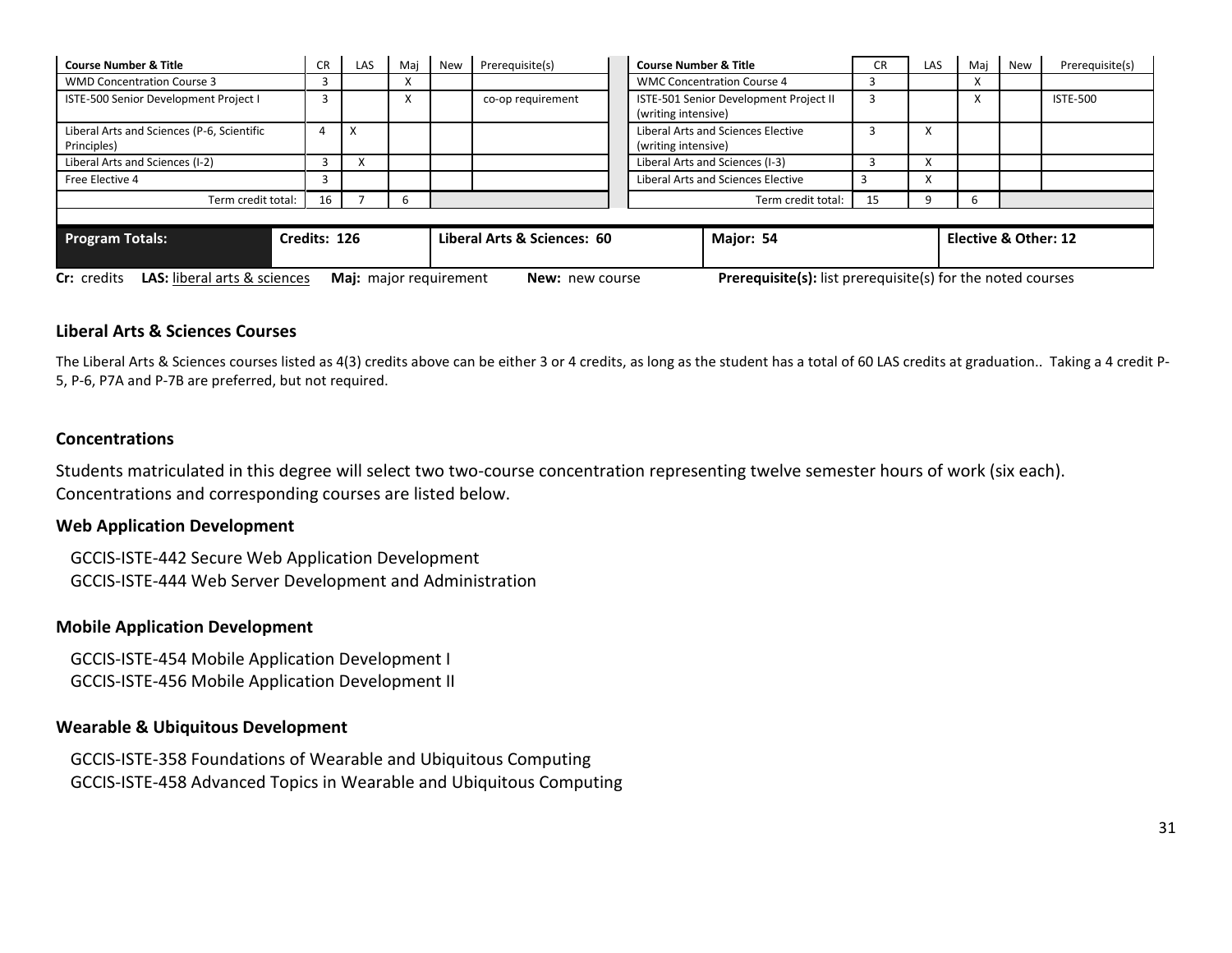| <b>Course Number &amp; Title</b>                                                                                                                                                    | <b>CR</b> | LAS | Maj | <b>New</b>                  | <b>Course Number &amp; Title</b><br>Prerequisite(s)                                |                                           |  | CR | <b>LAS</b>           | Mai | New | Prerequisite(s) |
|-------------------------------------------------------------------------------------------------------------------------------------------------------------------------------------|-----------|-----|-----|-----------------------------|------------------------------------------------------------------------------------|-------------------------------------------|--|----|----------------------|-----|-----|-----------------|
| <b>WMD Concentration Course 3</b>                                                                                                                                                   |           |     |     |                             |                                                                                    | <b>WMC Concentration Course 4</b>         |  |    |                      |     |     |                 |
| ISTE-500 Senior Development Project I                                                                                                                                               |           |     |     |                             | ISTE-501 Senior Development Project II<br>co-op requirement<br>(writing intensive) |                                           |  |    |                      |     |     | <b>ISTE-500</b> |
| Liberal Arts and Sciences (P-6, Scientific<br>Principles)                                                                                                                           |           | x   |     |                             | Liberal Arts and Sciences Elective<br>(writing intensive)                          |                                           |  | x  |                      |     |     |                 |
| Liberal Arts and Sciences (I-2)                                                                                                                                                     |           |     |     |                             |                                                                                    | Liberal Arts and Sciences (I-3)           |  |    |                      |     |     |                 |
| Free Elective 4                                                                                                                                                                     |           |     |     |                             |                                                                                    | <b>Liberal Arts and Sciences Elective</b> |  |    | v                    |     |     |                 |
| 16<br>Term credit total:<br>h                                                                                                                                                       |           |     |     |                             |                                                                                    | 15<br>Term credit total:                  |  |    | b                    |     |     |                 |
|                                                                                                                                                                                     |           |     |     |                             |                                                                                    |                                           |  |    |                      |     |     |                 |
| Credits: 126<br><b>Program Totals:</b>                                                                                                                                              |           |     |     | Liberal Arts & Sciences: 60 |                                                                                    | Major: 54                                 |  |    | Elective & Other: 12 |     |     |                 |
| <b>LAS:</b> liberal arts & sciences<br><b>Prerequisite(s):</b> list prerequisite(s) for the noted courses<br><b>Cr:</b> credits<br>Maj: major requirement<br><b>New:</b> new course |           |     |     |                             |                                                                                    |                                           |  |    |                      |     |     |                 |

### **Liberal Arts & Sciences Courses**

The Liberal Arts & Sciences courses listed as 4(3) credits above can be either 3 or 4 credits, as long as the student has a total of 60 LAS credits at graduation.. Taking a 4 credit P-5, P-6, P7A and P-7B are preferred, but not required.

#### **Concentrations**

Students matriculated in this degree will select two two-course concentration representing twelve semester hours of work (six each). Concentrations and corresponding courses are listed below.

#### **Web Application Development**

GCCIS-ISTE-442 Secure Web Application Development GCCIS-ISTE-444 Web Server Development and Administration

#### **Mobile Application Development**

GCCIS-ISTE-454 Mobile Application Development I GCCIS-ISTE-456 Mobile Application Development II

#### **Wearable & Ubiquitous Development**

GCCIS-ISTE-358 Foundations of Wearable and Ubiquitous Computing GCCIS-ISTE-458 Advanced Topics in Wearable and Ubiquitous Computing